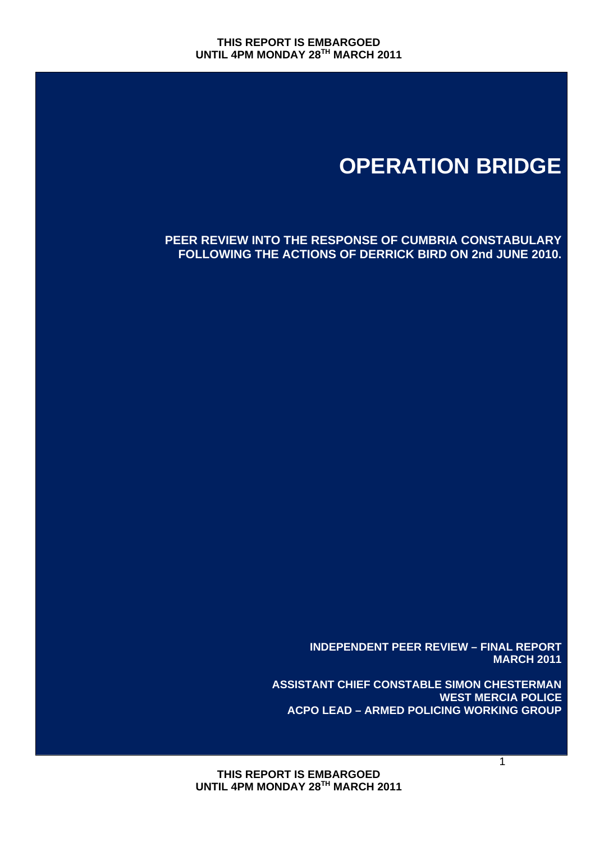# **OPERATION BRIDGE**

**PEER REVIEW INTO THE RESPONSE OF CUMBRIA CONSTABULARY FOLLOWING THE ACTIONS OF DERRICK BIRD ON 2nd JUNE 2010.**

> **INDEPENDENT PEER REVIEW – FINAL REPORT MARCH 2011**

**ASSISTANT CHIEF CONSTABLE SIMON CHESTERMAN WEST MERCIA POLICE ACPO LEAD – ARMED POLICING WORKING GROUP**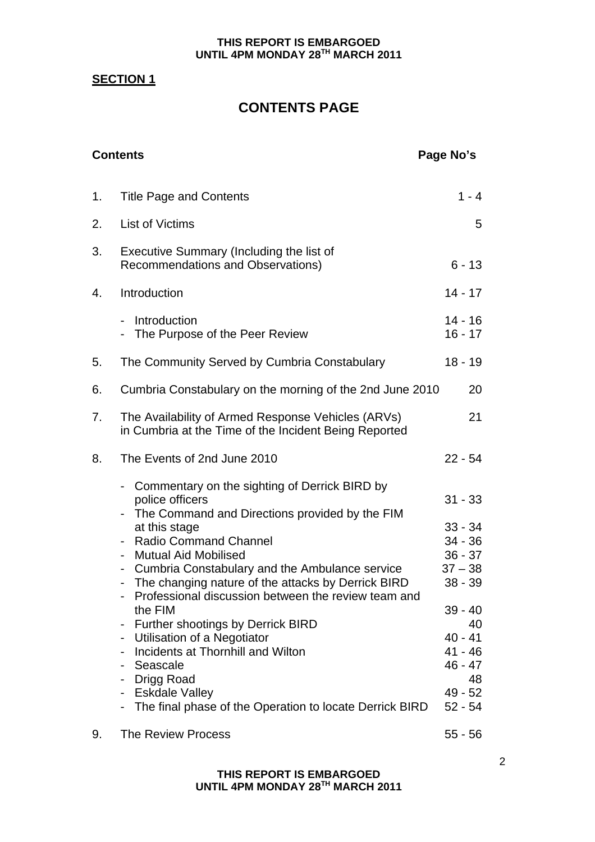## **SECTION 1**

# **CONTENTS PAGE**

|    | <b>Contents</b>                                                                                                                                                                                                                                                                                                                                                                                                                                                                                                                                       | Page No's                                                                                                                                |
|----|-------------------------------------------------------------------------------------------------------------------------------------------------------------------------------------------------------------------------------------------------------------------------------------------------------------------------------------------------------------------------------------------------------------------------------------------------------------------------------------------------------------------------------------------------------|------------------------------------------------------------------------------------------------------------------------------------------|
| 1. | <b>Title Page and Contents</b>                                                                                                                                                                                                                                                                                                                                                                                                                                                                                                                        | $1 - 4$                                                                                                                                  |
| 2. | <b>List of Victims</b>                                                                                                                                                                                                                                                                                                                                                                                                                                                                                                                                | 5                                                                                                                                        |
| 3. | Executive Summary (Including the list of<br>Recommendations and Observations)                                                                                                                                                                                                                                                                                                                                                                                                                                                                         | $6 - 13$                                                                                                                                 |
| 4. | Introduction                                                                                                                                                                                                                                                                                                                                                                                                                                                                                                                                          | $14 - 17$                                                                                                                                |
|    | Introduction<br>The Purpose of the Peer Review                                                                                                                                                                                                                                                                                                                                                                                                                                                                                                        | $14 - 16$<br>$16 - 17$                                                                                                                   |
| 5. | The Community Served by Cumbria Constabulary                                                                                                                                                                                                                                                                                                                                                                                                                                                                                                          | $18 - 19$                                                                                                                                |
| 6. | Cumbria Constabulary on the morning of the 2nd June 2010                                                                                                                                                                                                                                                                                                                                                                                                                                                                                              | 20                                                                                                                                       |
| 7. | The Availability of Armed Response Vehicles (ARVs)<br>in Cumbria at the Time of the Incident Being Reported                                                                                                                                                                                                                                                                                                                                                                                                                                           | 21                                                                                                                                       |
| 8. | The Events of 2nd June 2010                                                                                                                                                                                                                                                                                                                                                                                                                                                                                                                           | $22 - 54$                                                                                                                                |
|    | Commentary on the sighting of Derrick BIRD by<br>police officers<br>The Command and Directions provided by the FIM<br>at this stage<br><b>Radio Command Channel</b><br><b>Mutual Aid Mobilised</b><br>-<br>Cumbria Constabulary and the Ambulance service<br>$\overline{\phantom{a}}$<br>The changing nature of the attacks by Derrick BIRD<br>Professional discussion between the review team and<br>the FIM<br>Further shootings by Derrick BIRD<br>Utilisation of a Negotiator<br>Incidents at Thornhill and Wilton<br>Seascale<br>Drigg Road<br>- | $31 - 33$<br>$33 - 34$<br>$34 - 36$<br>$36 - 37$<br>$37 - 38$<br>$38 - 39$<br>$39 - 40$<br>40<br>$40 - 41$<br>41 - 46<br>$46 - 47$<br>48 |
|    | <b>Eskdale Valley</b><br>The final phase of the Operation to locate Derrick BIRD                                                                                                                                                                                                                                                                                                                                                                                                                                                                      | $49 - 52$<br>$52 - 54$                                                                                                                   |
| 9. | <b>The Review Process</b>                                                                                                                                                                                                                                                                                                                                                                                                                                                                                                                             | $55 - 56$                                                                                                                                |

## **THIS REPORT IS EMBARGOED UNTIL 4PM MONDAY 28TH MARCH 2011**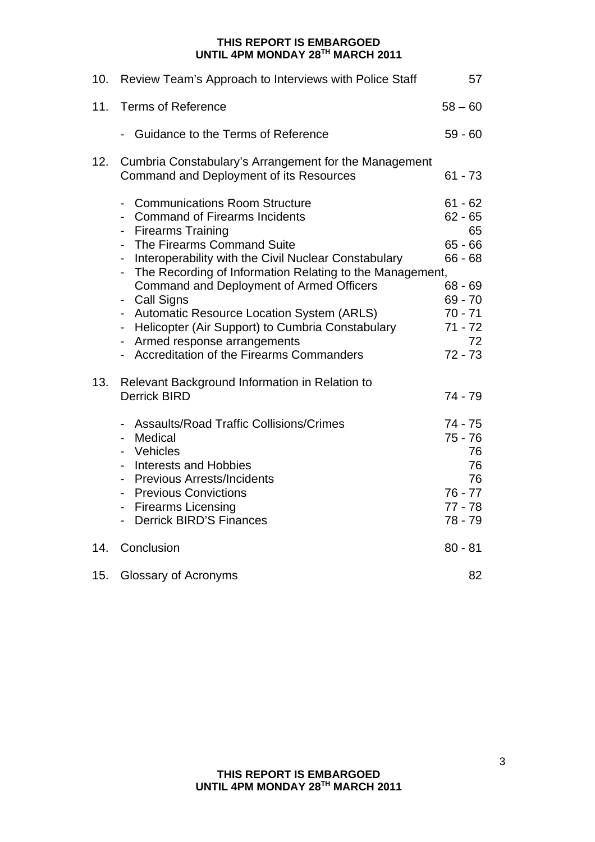| 10. | Review Team's Approach to Interviews with Police Staff                                                                                                                                                                                                                                                                                                                                                                                                                                                                                                                                                                                                                                                                                                                                                | 57                                                                                                                            |
|-----|-------------------------------------------------------------------------------------------------------------------------------------------------------------------------------------------------------------------------------------------------------------------------------------------------------------------------------------------------------------------------------------------------------------------------------------------------------------------------------------------------------------------------------------------------------------------------------------------------------------------------------------------------------------------------------------------------------------------------------------------------------------------------------------------------------|-------------------------------------------------------------------------------------------------------------------------------|
| 11. | <b>Terms of Reference</b>                                                                                                                                                                                                                                                                                                                                                                                                                                                                                                                                                                                                                                                                                                                                                                             | $58 - 60$                                                                                                                     |
|     | Guidance to the Terms of Reference                                                                                                                                                                                                                                                                                                                                                                                                                                                                                                                                                                                                                                                                                                                                                                    | $59 - 60$                                                                                                                     |
| 12. | Cumbria Constabulary's Arrangement for the Management<br>Command and Deployment of its Resources                                                                                                                                                                                                                                                                                                                                                                                                                                                                                                                                                                                                                                                                                                      | $61 - 73$                                                                                                                     |
|     | <b>Communications Room Structure</b><br><b>Command of Firearms Incidents</b><br>$\overline{\phantom{a}}$<br><b>Firearms Training</b><br>$\qquad \qquad \blacksquare$<br>The Firearms Command Suite<br>$\overline{\phantom{0}}$<br>Interoperability with the Civil Nuclear Constabulary<br>$\qquad \qquad \blacksquare$<br>The Recording of Information Relating to the Management,<br>$\qquad \qquad \blacksquare$<br>Command and Deployment of Armed Officers<br><b>Call Signs</b><br>$\qquad \qquad \blacksquare$<br>Automatic Resource Location System (ARLS)<br>$\qquad \qquad \blacksquare$<br>Helicopter (Air Support) to Cumbria Constabulary<br>$\qquad \qquad \blacksquare$<br>Armed response arrangements<br>$\overline{\phantom{a}}$<br>Accreditation of the Firearms Commanders<br>$\sim$ | $61 - 62$<br>$62 - 65$<br>65<br>$65 - 66$<br>$66 - 68$<br>$68 - 69$<br>$69 - 70$<br>$70 - 71$<br>$71 - 72$<br>72<br>$72 - 73$ |
| 13. | Relevant Background Information in Relation to<br><b>Derrick BIRD</b>                                                                                                                                                                                                                                                                                                                                                                                                                                                                                                                                                                                                                                                                                                                                 | 74 - 79                                                                                                                       |
|     | <b>Assaults/Road Traffic Collisions/Crimes</b><br>Medical<br>$\qquad \qquad \blacksquare$<br>Vehicles<br>$\qquad \qquad \blacksquare$<br><b>Interests and Hobbies</b><br>$\overline{\phantom{a}}$<br><b>Previous Arrests/Incidents</b><br>$\overline{\phantom{a}}$<br><b>Previous Convictions</b><br>$\overline{\phantom{a}}$<br><b>Firearms Licensing</b><br>$\qquad \qquad \blacksquare$                                                                                                                                                                                                                                                                                                                                                                                                            | 74 - 75<br>$75 - 76$<br>76<br>76<br>76<br>$76 - 77$<br>$77 - 78$                                                              |
|     | <b>Derrick BIRD'S Finances</b><br>$\overline{\phantom{a}}$                                                                                                                                                                                                                                                                                                                                                                                                                                                                                                                                                                                                                                                                                                                                            | 78 - 79                                                                                                                       |
| 14. | Conclusion                                                                                                                                                                                                                                                                                                                                                                                                                                                                                                                                                                                                                                                                                                                                                                                            | $80 - 81$                                                                                                                     |
| 15. | Glossary of Acronyms                                                                                                                                                                                                                                                                                                                                                                                                                                                                                                                                                                                                                                                                                                                                                                                  | 82                                                                                                                            |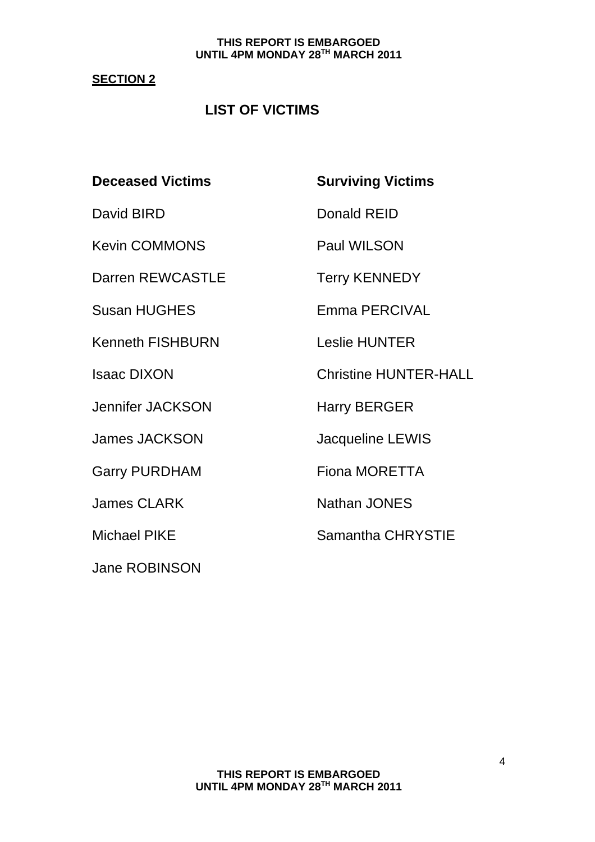## **SECTION 2**

# **LIST OF VICTIMS**

| <b>Deceased Victims</b> | <b>Surviving Victims</b>     |
|-------------------------|------------------------------|
| David BIRD              | <b>Donald REID</b>           |
| <b>Kevin COMMONS</b>    | Paul WILSON                  |
| Darren REWCASTLE        | <b>Terry KENNEDY</b>         |
| <b>Susan HUGHES</b>     | Emma PERCIVAL                |
| <b>Kenneth FISHBURN</b> | <b>Leslie HUNTER</b>         |
| <b>Isaac DIXON</b>      | <b>Christine HUNTER-HALL</b> |
| <b>Jennifer JACKSON</b> | <b>Harry BERGER</b>          |
| <b>James JACKSON</b>    | <b>Jacqueline LEWIS</b>      |
| <b>Garry PURDHAM</b>    | <b>Fiona MORETTA</b>         |
| <b>James CLARK</b>      | <b>Nathan JONES</b>          |
| <b>Michael PIKE</b>     | Samantha CHRYSTIE            |
| <b>Jane ROBINSON</b>    |                              |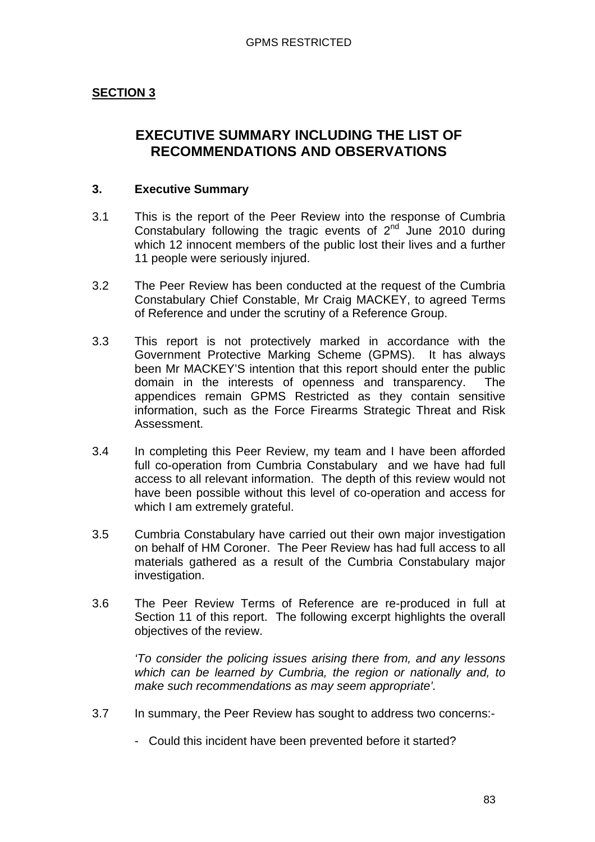# **EXECUTIVE SUMMARY INCLUDING THE LIST OF RECOMMENDATIONS AND OBSERVATIONS**

## **3. Executive Summary**

- 3.1 This is the report of the Peer Review into the response of Cumbria Constabulary following the tragic events of  $2^{nd}$  June 2010 during which 12 innocent members of the public lost their lives and a further 11 people were seriously injured.
- 3.2 The Peer Review has been conducted at the request of the Cumbria Constabulary Chief Constable, Mr Craig MACKEY, to agreed Terms of Reference and under the scrutiny of a Reference Group.
- 3.3 This report is not protectively marked in accordance with the Government Protective Marking Scheme (GPMS). It has always been Mr MACKEY'S intention that this report should enter the public domain in the interests of openness and transparency. The appendices remain GPMS Restricted as they contain sensitive information, such as the Force Firearms Strategic Threat and Risk Assessment.
- 3.4 In completing this Peer Review, my team and I have been afforded full co-operation from Cumbria Constabulary and we have had full access to all relevant information. The depth of this review would not have been possible without this level of co-operation and access for which I am extremely grateful.
- 3.5 Cumbria Constabulary have carried out their own major investigation on behalf of HM Coroner. The Peer Review has had full access to all materials gathered as a result of the Cumbria Constabulary major investigation.
- 3.6 The Peer Review Terms of Reference are re-produced in full at Section 11 of this report. The following excerpt highlights the overall objectives of the review.

 *'To consider the policing issues arising there from, and any lessons which can be learned by Cumbria, the region or nationally and, to make such recommendations as may seem appropriate'.* 

- 3.7 In summary, the Peer Review has sought to address two concerns:-
	- Could this incident have been prevented before it started?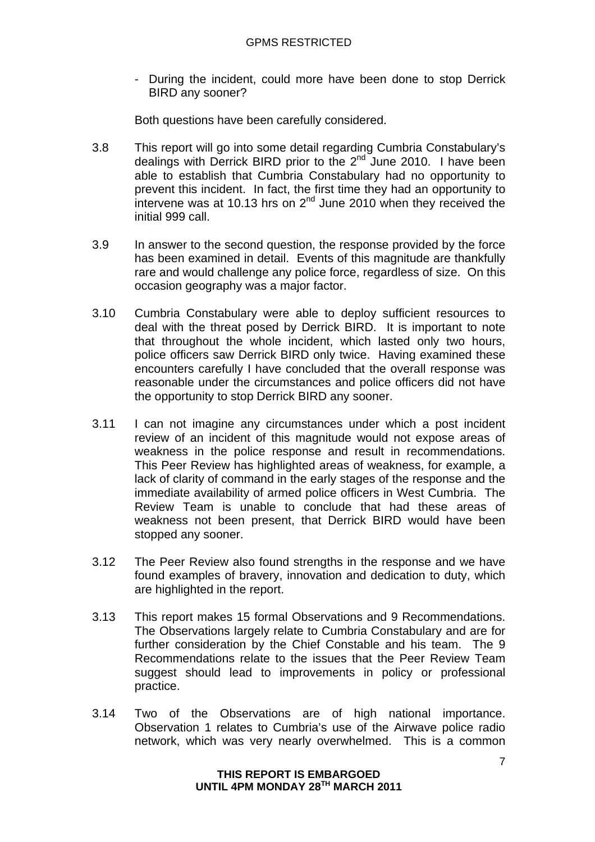#### GPMS RESTRICTED

- During the incident, could more have been done to stop Derrick BIRD any sooner?

Both questions have been carefully considered.

- 3.8 This report will go into some detail regarding Cumbria Constabulary's dealings with Derrick BIRD prior to the 2<sup>nd</sup> June 2010. I have been able to establish that Cumbria Constabulary had no opportunity to prevent this incident. In fact, the first time they had an opportunity to intervene was at 10.13 hrs on  $2<sup>nd</sup>$  June 2010 when they received the initial 999 call.
- 3.9 In answer to the second question, the response provided by the force has been examined in detail. Events of this magnitude are thankfully rare and would challenge any police force, regardless of size. On this occasion geography was a major factor.
- 3.10 Cumbria Constabulary were able to deploy sufficient resources to deal with the threat posed by Derrick BIRD. It is important to note that throughout the whole incident, which lasted only two hours, police officers saw Derrick BIRD only twice. Having examined these encounters carefully I have concluded that the overall response was reasonable under the circumstances and police officers did not have the opportunity to stop Derrick BIRD any sooner.
- 3.11 I can not imagine any circumstances under which a post incident review of an incident of this magnitude would not expose areas of weakness in the police response and result in recommendations. This Peer Review has highlighted areas of weakness, for example, a lack of clarity of command in the early stages of the response and the immediate availability of armed police officers in West Cumbria. The Review Team is unable to conclude that had these areas of weakness not been present, that Derrick BIRD would have been stopped any sooner.
- 3.12 The Peer Review also found strengths in the response and we have found examples of bravery, innovation and dedication to duty, which are highlighted in the report.
- 3.13 This report makes 15 formal Observations and 9 Recommendations. The Observations largely relate to Cumbria Constabulary and are for further consideration by the Chief Constable and his team. The 9 Recommendations relate to the issues that the Peer Review Team suggest should lead to improvements in policy or professional practice.
- 3.14 Two of the Observations are of high national importance. Observation 1 relates to Cumbria's use of the Airwave police radio network, which was very nearly overwhelmed. This is a common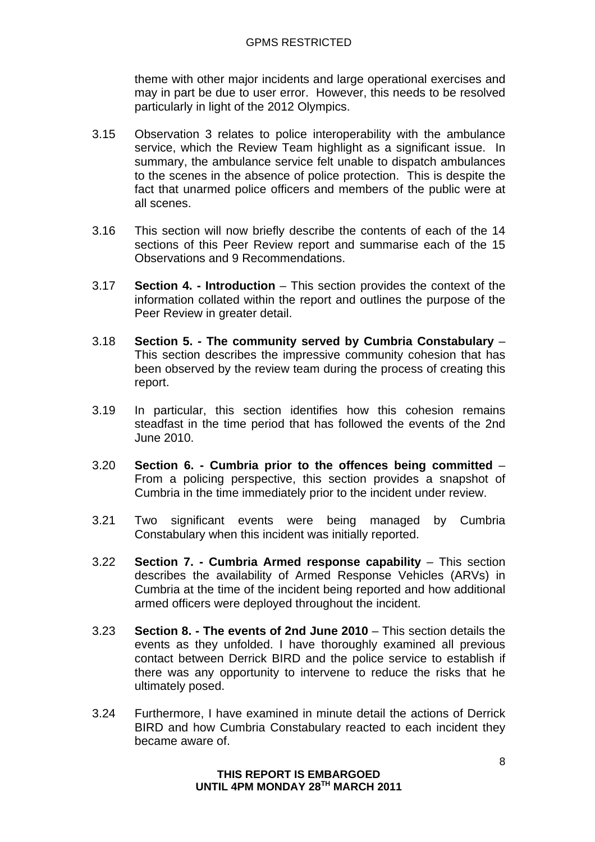theme with other major incidents and large operational exercises and may in part be due to user error. However, this needs to be resolved particularly in light of the 2012 Olympics.

- 3.15 Observation 3 relates to police interoperability with the ambulance service, which the Review Team highlight as a significant issue. In summary, the ambulance service felt unable to dispatch ambulances to the scenes in the absence of police protection. This is despite the fact that unarmed police officers and members of the public were at all scenes.
- 3.16 This section will now briefly describe the contents of each of the 14 sections of this Peer Review report and summarise each of the 15 Observations and 9 Recommendations.
- 3.17 **Section 4. Introduction** This section provides the context of the information collated within the report and outlines the purpose of the Peer Review in greater detail.
- 3.18 **Section 5. The community served by Cumbria Constabulary** This section describes the impressive community cohesion that has been observed by the review team during the process of creating this report.
- 3.19 In particular, this section identifies how this cohesion remains steadfast in the time period that has followed the events of the 2nd June 2010.
- 3.20 **Section 6. Cumbria prior to the offences being committed** From a policing perspective, this section provides a snapshot of Cumbria in the time immediately prior to the incident under review.
- 3.21 Two significant events were being managed by Cumbria Constabulary when this incident was initially reported.
- 3.22 **Section 7. Cumbria Armed response capability** This section describes the availability of Armed Response Vehicles (ARVs) in Cumbria at the time of the incident being reported and how additional armed officers were deployed throughout the incident.
- 3.23 **Section 8. The events of 2nd June 2010** This section details the events as they unfolded. I have thoroughly examined all previous contact between Derrick BIRD and the police service to establish if there was any opportunity to intervene to reduce the risks that he ultimately posed.
- 3.24 Furthermore, I have examined in minute detail the actions of Derrick BIRD and how Cumbria Constabulary reacted to each incident they became aware of.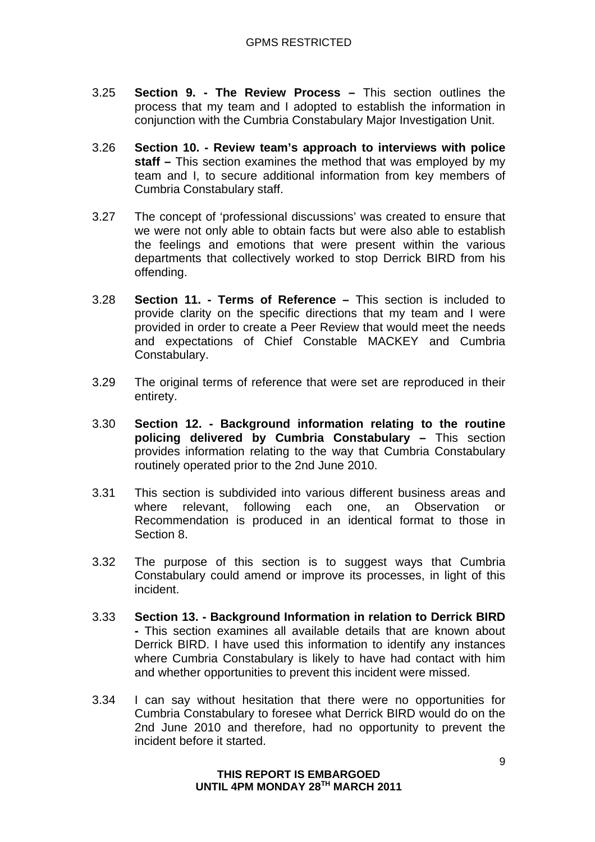- 3.25 **Section 9. The Review Process** This section outlines the process that my team and I adopted to establish the information in conjunction with the Cumbria Constabulary Major Investigation Unit.
- 3.26 **Section 10. Review team's approach to interviews with police staff –** This section examines the method that was employed by my team and I, to secure additional information from key members of Cumbria Constabulary staff.
- 3.27 The concept of 'professional discussions' was created to ensure that we were not only able to obtain facts but were also able to establish the feelings and emotions that were present within the various departments that collectively worked to stop Derrick BIRD from his offending.
- 3.28 **Section 11. Terms of Reference** This section is included to provide clarity on the specific directions that my team and I were provided in order to create a Peer Review that would meet the needs and expectations of Chief Constable MACKEY and Cumbria Constabulary.
- 3.29 The original terms of reference that were set are reproduced in their entirety.
- 3.30 **Section 12. Background information relating to the routine policing delivered by Cumbria Constabulary –** This section provides information relating to the way that Cumbria Constabulary routinely operated prior to the 2nd June 2010.
- 3.31 This section is subdivided into various different business areas and where relevant, following each one, an Observation or Recommendation is produced in an identical format to those in Section 8.
- 3.32 The purpose of this section is to suggest ways that Cumbria Constabulary could amend or improve its processes, in light of this incident.
- 3.33 **Section 13. Background Information in relation to Derrick BIRD -** This section examines all available details that are known about Derrick BIRD. I have used this information to identify any instances where Cumbria Constabulary is likely to have had contact with him and whether opportunities to prevent this incident were missed.
- 3.34 I can say without hesitation that there were no opportunities for Cumbria Constabulary to foresee what Derrick BIRD would do on the 2nd June 2010 and therefore, had no opportunity to prevent the incident before it started.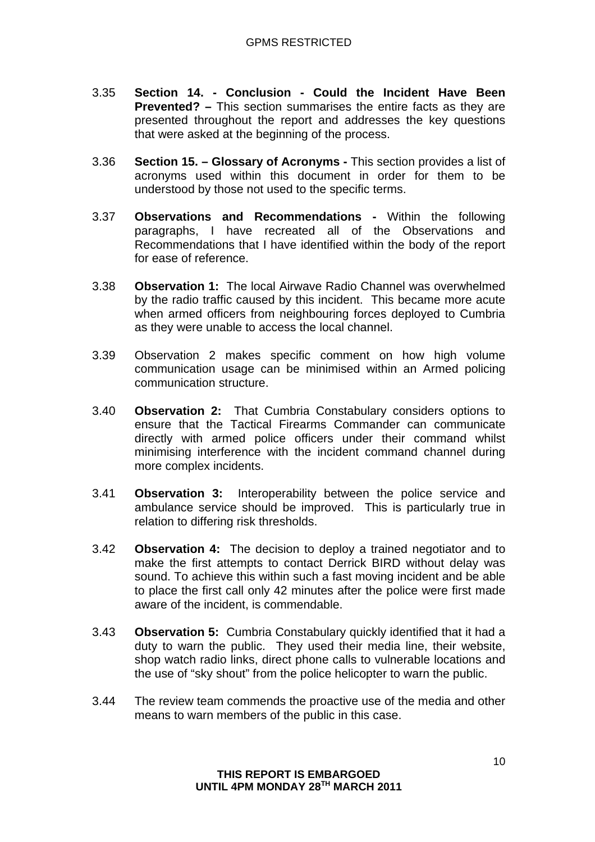- 3.35 **Section 14. Conclusion Could the Incident Have Been Prevented? –** This section summarises the entire facts as they are presented throughout the report and addresses the key questions that were asked at the beginning of the process.
- 3.36 **Section 15. Glossary of Acronyms** This section provides a list of acronyms used within this document in order for them to be understood by those not used to the specific terms.
- 3.37 **Observations and Recommendations** Within the following paragraphs, I have recreated all of the Observations and Recommendations that I have identified within the body of the report for ease of reference.
- 3.38 **Observation 1:** The local Airwave Radio Channel was overwhelmed by the radio traffic caused by this incident. This became more acute when armed officers from neighbouring forces deployed to Cumbria as they were unable to access the local channel.
- 3.39 Observation 2 makes specific comment on how high volume communication usage can be minimised within an Armed policing communication structure.
- 3.40 **Observation 2:** That Cumbria Constabulary considers options to ensure that the Tactical Firearms Commander can communicate directly with armed police officers under their command whilst minimising interference with the incident command channel during more complex incidents.
- 3.41 **Observation 3:** Interoperability between the police service and ambulance service should be improved. This is particularly true in relation to differing risk thresholds.
- 3.42 **Observation 4:** The decision to deploy a trained negotiator and to make the first attempts to contact Derrick BIRD without delay was sound. To achieve this within such a fast moving incident and be able to place the first call only 42 minutes after the police were first made aware of the incident, is commendable.
- 3.43 **Observation 5:** Cumbria Constabulary quickly identified that it had a duty to warn the public. They used their media line, their website, shop watch radio links, direct phone calls to vulnerable locations and the use of "sky shout" from the police helicopter to warn the public.
- 3.44 The review team commends the proactive use of the media and other means to warn members of the public in this case.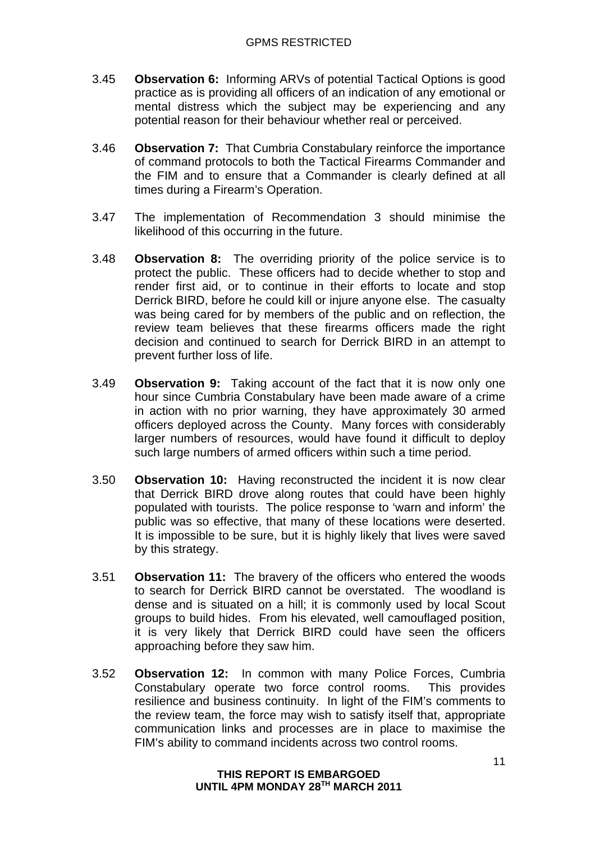- 3.45 **Observation 6:** Informing ARVs of potential Tactical Options is good practice as is providing all officers of an indication of any emotional or mental distress which the subject may be experiencing and any potential reason for their behaviour whether real or perceived.
- 3.46 **Observation 7:** That Cumbria Constabulary reinforce the importance of command protocols to both the Tactical Firearms Commander and the FIM and to ensure that a Commander is clearly defined at all times during a Firearm's Operation.
- 3.47 The implementation of Recommendation 3 should minimise the likelihood of this occurring in the future.
- 3.48 **Observation 8:** The overriding priority of the police service is to protect the public. These officers had to decide whether to stop and render first aid, or to continue in their efforts to locate and stop Derrick BIRD, before he could kill or injure anyone else. The casualty was being cared for by members of the public and on reflection, the review team believes that these firearms officers made the right decision and continued to search for Derrick BIRD in an attempt to prevent further loss of life.
- 3.49 **Observation 9:** Taking account of the fact that it is now only one hour since Cumbria Constabulary have been made aware of a crime in action with no prior warning, they have approximately 30 armed officers deployed across the County. Many forces with considerably larger numbers of resources, would have found it difficult to deploy such large numbers of armed officers within such a time period.
- 3.50 **Observation 10:** Having reconstructed the incident it is now clear that Derrick BIRD drove along routes that could have been highly populated with tourists. The police response to 'warn and inform' the public was so effective, that many of these locations were deserted. It is impossible to be sure, but it is highly likely that lives were saved by this strategy.
- 3.51 **Observation 11:** The bravery of the officers who entered the woods to search for Derrick BIRD cannot be overstated. The woodland is dense and is situated on a hill; it is commonly used by local Scout groups to build hides. From his elevated, well camouflaged position, it is very likely that Derrick BIRD could have seen the officers approaching before they saw him.
- 3.52 **Observation 12:** In common with many Police Forces, Cumbria Constabulary operate two force control rooms. This provides resilience and business continuity. In light of the FIM's comments to the review team, the force may wish to satisfy itself that, appropriate communication links and processes are in place to maximise the FIM's ability to command incidents across two control rooms.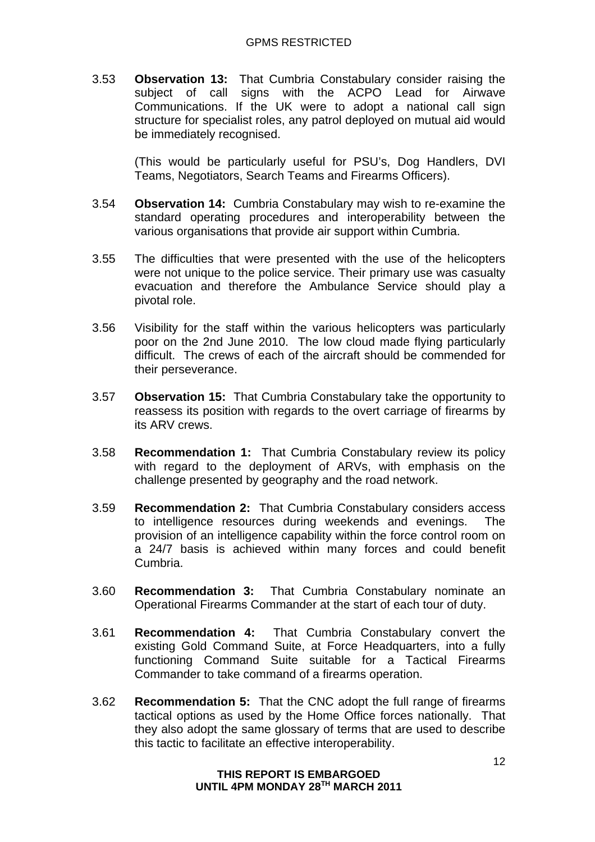3.53 **Observation 13:** That Cumbria Constabulary consider raising the subject of call signs with the ACPO Lead for Airwave Communications. If the UK were to adopt a national call sign structure for specialist roles, any patrol deployed on mutual aid would be immediately recognised.

> (This would be particularly useful for PSU's, Dog Handlers, DVI Teams, Negotiators, Search Teams and Firearms Officers).

- 3.54 **Observation 14:** Cumbria Constabulary may wish to re-examine the standard operating procedures and interoperability between the various organisations that provide air support within Cumbria.
- 3.55 The difficulties that were presented with the use of the helicopters were not unique to the police service. Their primary use was casualty evacuation and therefore the Ambulance Service should play a pivotal role.
- 3.56 Visibility for the staff within the various helicopters was particularly poor on the 2nd June 2010. The low cloud made flying particularly difficult. The crews of each of the aircraft should be commended for their perseverance.
- 3.57 **Observation 15:** That Cumbria Constabulary take the opportunity to reassess its position with regards to the overt carriage of firearms by its ARV crews.
- 3.58 **Recommendation 1:** That Cumbria Constabulary review its policy with regard to the deployment of ARVs, with emphasis on the challenge presented by geography and the road network.
- 3.59 **Recommendation 2:** That Cumbria Constabulary considers access to intelligence resources during weekends and evenings. The provision of an intelligence capability within the force control room on a 24/7 basis is achieved within many forces and could benefit Cumbria.
- 3.60 **Recommendation 3:** That Cumbria Constabulary nominate an Operational Firearms Commander at the start of each tour of duty.
- 3.61 **Recommendation 4:** That Cumbria Constabulary convert the existing Gold Command Suite, at Force Headquarters, into a fully functioning Command Suite suitable for a Tactical Firearms Commander to take command of a firearms operation.
- 3.62 **Recommendation 5:** That the CNC adopt the full range of firearms tactical options as used by the Home Office forces nationally. That they also adopt the same glossary of terms that are used to describe this tactic to facilitate an effective interoperability.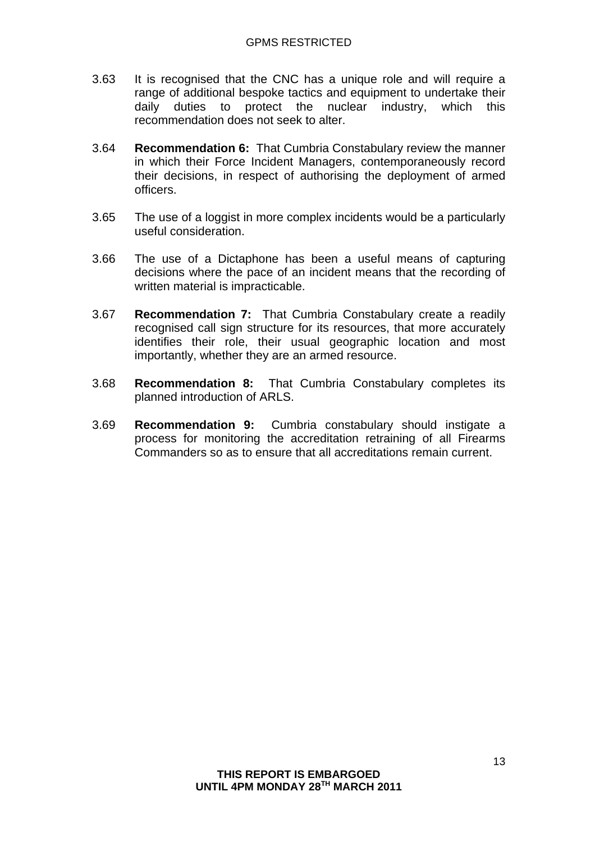- 3.63 It is recognised that the CNC has a unique role and will require a range of additional bespoke tactics and equipment to undertake their daily duties to protect the nuclear industry, which this recommendation does not seek to alter.
- 3.64 **Recommendation 6:** That Cumbria Constabulary review the manner in which their Force Incident Managers, contemporaneously record their decisions, in respect of authorising the deployment of armed officers.
- 3.65 The use of a loggist in more complex incidents would be a particularly useful consideration.
- 3.66 The use of a Dictaphone has been a useful means of capturing decisions where the pace of an incident means that the recording of written material is impracticable.
- 3.67 **Recommendation 7:** That Cumbria Constabulary create a readily recognised call sign structure for its resources, that more accurately identifies their role, their usual geographic location and most importantly, whether they are an armed resource.
- 3.68 **Recommendation 8:** That Cumbria Constabulary completes its planned introduction of ARLS.
- 3.69 **Recommendation 9:** Cumbria constabulary should instigate a process for monitoring the accreditation retraining of all Firearms Commanders so as to ensure that all accreditations remain current.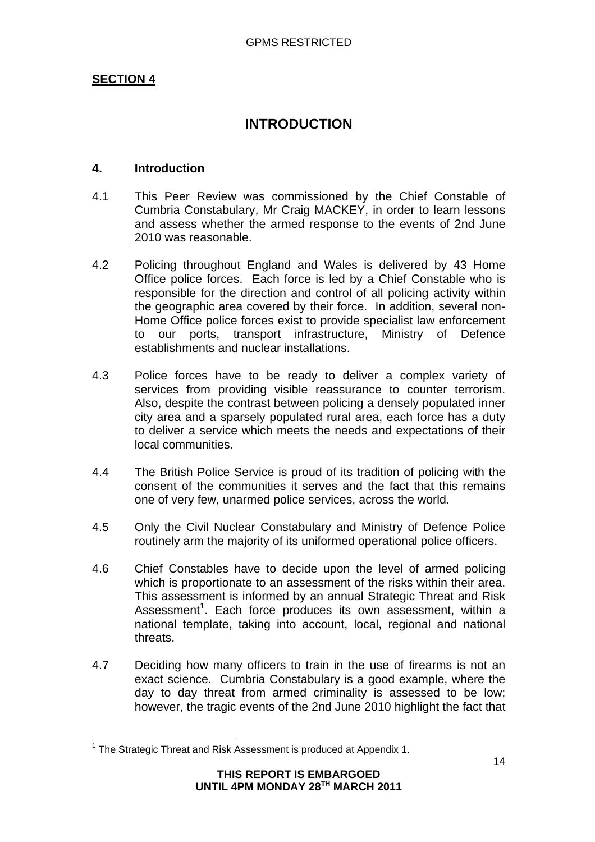# **INTRODUCTION**

## **4. Introduction**

- 4.1 This Peer Review was commissioned by the Chief Constable of Cumbria Constabulary, Mr Craig MACKEY, in order to learn lessons and assess whether the armed response to the events of 2nd June 2010 was reasonable.
- 4.2 Policing throughout England and Wales is delivered by 43 Home Office police forces. Each force is led by a Chief Constable who is responsible for the direction and control of all policing activity within the geographic area covered by their force. In addition, several non-Home Office police forces exist to provide specialist law enforcement to our ports, transport infrastructure, Ministry of Defence establishments and nuclear installations.
- 4.3 Police forces have to be ready to deliver a complex variety of services from providing visible reassurance to counter terrorism. Also, despite the contrast between policing a densely populated inner city area and a sparsely populated rural area, each force has a duty to deliver a service which meets the needs and expectations of their local communities.
- 4.4 The British Police Service is proud of its tradition of policing with the consent of the communities it serves and the fact that this remains one of very few, unarmed police services, across the world.
- 4.5 Only the Civil Nuclear Constabulary and Ministry of Defence Police routinely arm the majority of its uniformed operational police officers.
- 4.6 Chief Constables have to decide upon the level of armed policing which is proportionate to an assessment of the risks within their area. This assessment is informed by an annual Strategic Threat and Risk Assessment<sup>1</sup>. Each force produces its own assessment, within a national template, taking into account, local, regional and national threats.
- 4.7 Deciding how many officers to train in the use of firearms is not an exact science. Cumbria Constabulary is a good example, where the day to day threat from armed criminality is assessed to be low; however, the tragic events of the 2nd June 2010 highlight the fact that

 1 The Strategic Threat and Risk Assessment is produced at Appendix 1.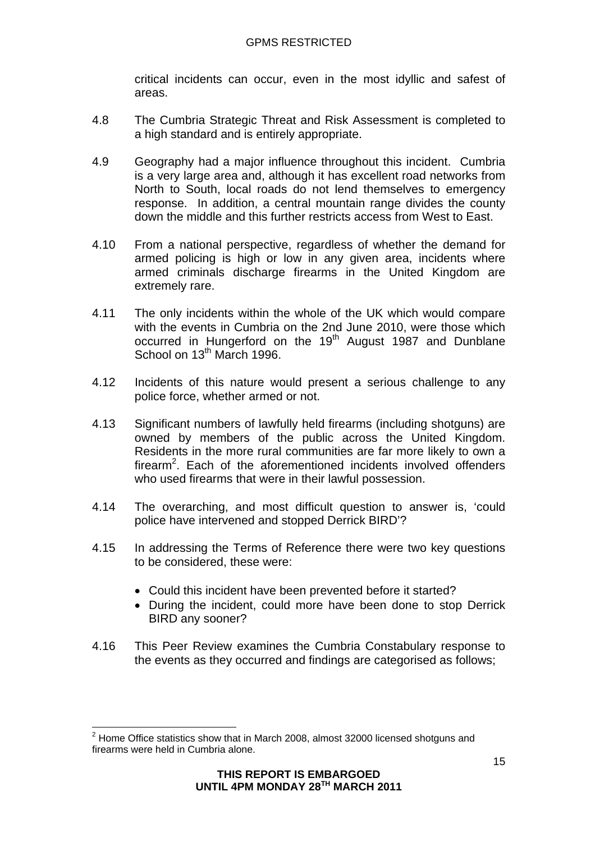critical incidents can occur, even in the most idyllic and safest of areas.

- 4.8 The Cumbria Strategic Threat and Risk Assessment is completed to a high standard and is entirely appropriate.
- 4.9 Geography had a major influence throughout this incident. Cumbria is a very large area and, although it has excellent road networks from North to South, local roads do not lend themselves to emergency response. In addition, a central mountain range divides the county down the middle and this further restricts access from West to East.
- 4.10 From a national perspective, regardless of whether the demand for armed policing is high or low in any given area, incidents where armed criminals discharge firearms in the United Kingdom are extremely rare.
- 4.11 The only incidents within the whole of the UK which would compare with the events in Cumbria on the 2nd June 2010, were those which occurred in Hungerford on the 19<sup>th</sup> August 1987 and Dunblane School on  $13<sup>th</sup>$  March 1996.
- 4.12 Incidents of this nature would present a serious challenge to any police force, whether armed or not.
- 4.13 Significant numbers of lawfully held firearms (including shotguns) are owned by members of the public across the United Kingdom. Residents in the more rural communities are far more likely to own a firearm<sup>2</sup>. Each of the aforementioned incidents involved offenders who used firearms that were in their lawful possession.
- 4.14 The overarching, and most difficult question to answer is, 'could police have intervened and stopped Derrick BIRD'?
- 4.15 In addressing the Terms of Reference there were two key questions to be considered, these were:
	- Could this incident have been prevented before it started?
	- During the incident, could more have been done to stop Derrick BIRD any sooner?
- 4.16 This Peer Review examines the Cumbria Constabulary response to the events as they occurred and findings are categorised as follows;

 2 Home Office statistics show that in March 2008, almost 32000 licensed shotguns and firearms were held in Cumbria alone.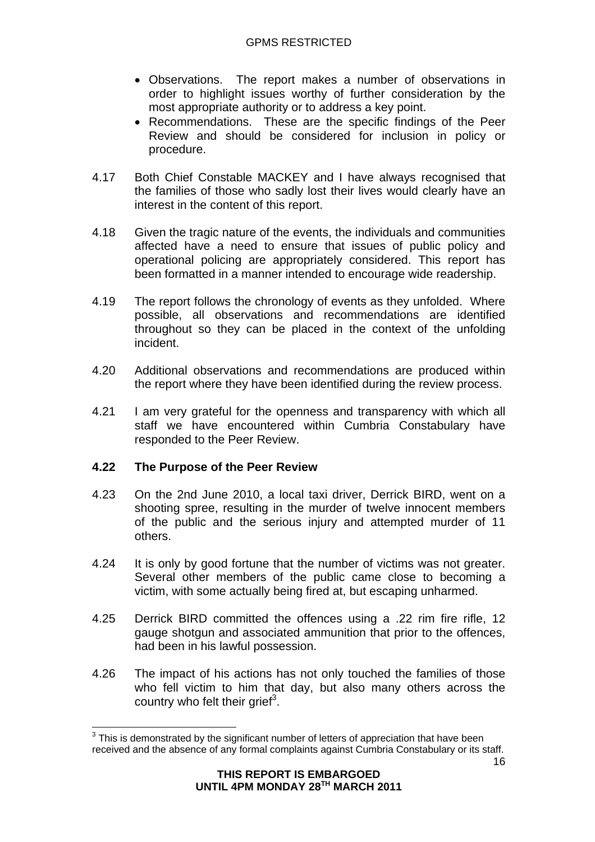## GPMS RESTRICTED

- Observations. The report makes a number of observations in order to highlight issues worthy of further consideration by the most appropriate authority or to address a key point.
- Recommendations. These are the specific findings of the Peer Review and should be considered for inclusion in policy or procedure.
- 4.17 Both Chief Constable MACKEY and I have always recognised that the families of those who sadly lost their lives would clearly have an interest in the content of this report.
- 4.18 Given the tragic nature of the events, the individuals and communities affected have a need to ensure that issues of public policy and operational policing are appropriately considered. This report has been formatted in a manner intended to encourage wide readership.
- 4.19 The report follows the chronology of events as they unfolded. Where possible, all observations and recommendations are identified throughout so they can be placed in the context of the unfolding incident.
- 4.20 Additional observations and recommendations are produced within the report where they have been identified during the review process.
- 4.21 I am very grateful for the openness and transparency with which all staff we have encountered within Cumbria Constabulary have responded to the Peer Review.

## **4.22 The Purpose of the Peer Review**

- 4.23 On the 2nd June 2010, a local taxi driver, Derrick BIRD, went on a shooting spree, resulting in the murder of twelve innocent members of the public and the serious injury and attempted murder of 11 others.
- 4.24 It is only by good fortune that the number of victims was not greater. Several other members of the public came close to becoming a victim, with some actually being fired at, but escaping unharmed.
- 4.25 Derrick BIRD committed the offences using a .22 rim fire rifle, 12 gauge shotgun and associated ammunition that prior to the offences, had been in his lawful possession.
- 4.26 The impact of his actions has not only touched the families of those who fell victim to him that day, but also many others across the country who felt their grief<sup>3</sup>.

  $3$  This is demonstrated by the significant number of letters of appreciation that have been received and the absence of any formal complaints against Cumbria Constabulary or its staff.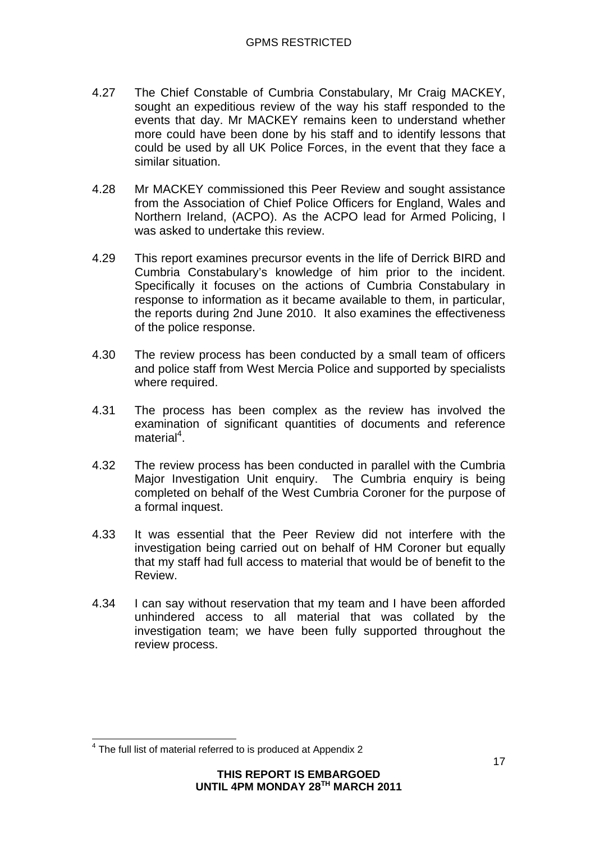- 4.27 The Chief Constable of Cumbria Constabulary, Mr Craig MACKEY, sought an expeditious review of the way his staff responded to the events that day. Mr MACKEY remains keen to understand whether more could have been done by his staff and to identify lessons that could be used by all UK Police Forces, in the event that they face a similar situation.
- 4.28 Mr MACKEY commissioned this Peer Review and sought assistance from the Association of Chief Police Officers for England, Wales and Northern Ireland, (ACPO). As the ACPO lead for Armed Policing, I was asked to undertake this review.
- 4.29 This report examines precursor events in the life of Derrick BIRD and Cumbria Constabulary's knowledge of him prior to the incident. Specifically it focuses on the actions of Cumbria Constabulary in response to information as it became available to them, in particular, the reports during 2nd June 2010. It also examines the effectiveness of the police response.
- 4.30 The review process has been conducted by a small team of officers and police staff from West Mercia Police and supported by specialists where required.
- 4.31 The process has been complex as the review has involved the examination of significant quantities of documents and reference material<sup>4</sup>.
- 4.32 The review process has been conducted in parallel with the Cumbria Major Investigation Unit enquiry. The Cumbria enquiry is being completed on behalf of the West Cumbria Coroner for the purpose of a formal inquest.
- 4.33 It was essential that the Peer Review did not interfere with the investigation being carried out on behalf of HM Coroner but equally that my staff had full access to material that would be of benefit to the Review.
- 4.34 I can say without reservation that my team and I have been afforded unhindered access to all material that was collated by the investigation team; we have been fully supported throughout the review process.

 4 The full list of material referred to is produced at Appendix 2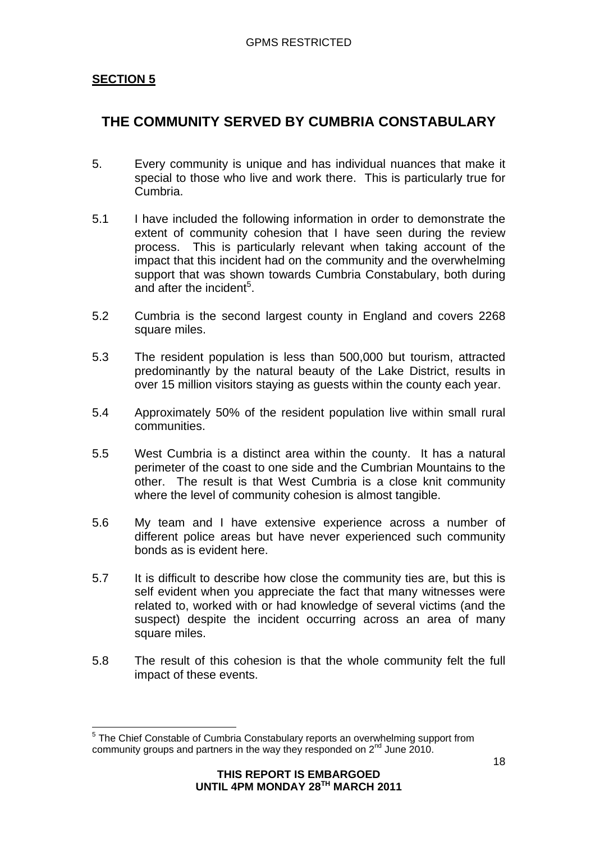# **THE COMMUNITY SERVED BY CUMBRIA CONSTABULARY**

- 5. Every community is unique and has individual nuances that make it special to those who live and work there. This is particularly true for Cumbria.
- 5.1 I have included the following information in order to demonstrate the extent of community cohesion that I have seen during the review process. This is particularly relevant when taking account of the impact that this incident had on the community and the overwhelming support that was shown towards Cumbria Constabulary, both during and after the incident<sup>5</sup>.
- 5.2 Cumbria is the second largest county in England and covers 2268 square miles.
- 5.3 The resident population is less than 500,000 but tourism, attracted predominantly by the natural beauty of the Lake District, results in over 15 million visitors staying as guests within the county each year.
- 5.4 Approximately 50% of the resident population live within small rural communities.
- 5.5 West Cumbria is a distinct area within the county. It has a natural perimeter of the coast to one side and the Cumbrian Mountains to the other. The result is that West Cumbria is a close knit community where the level of community cohesion is almost tangible.
- 5.6 My team and I have extensive experience across a number of different police areas but have never experienced such community bonds as is evident here.
- 5.7 It is difficult to describe how close the community ties are, but this is self evident when you appreciate the fact that many witnesses were related to, worked with or had knowledge of several victims (and the suspect) despite the incident occurring across an area of many square miles.
- 5.8 The result of this cohesion is that the whole community felt the full impact of these events.

 5 The Chief Constable of Cumbria Constabulary reports an overwhelming support from community groups and partners in the way they responded on 2<sup>nd</sup> June 2010.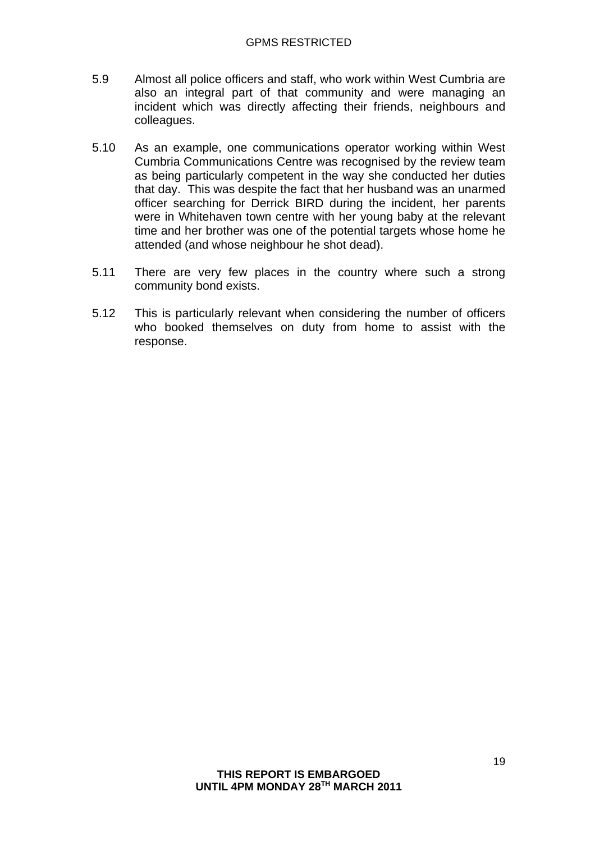- 5.9 Almost all police officers and staff, who work within West Cumbria are also an integral part of that community and were managing an incident which was directly affecting their friends, neighbours and colleagues.
- 5.10 As an example, one communications operator working within West Cumbria Communications Centre was recognised by the review team as being particularly competent in the way she conducted her duties that day. This was despite the fact that her husband was an unarmed officer searching for Derrick BIRD during the incident, her parents were in Whitehaven town centre with her young baby at the relevant time and her brother was one of the potential targets whose home he attended (and whose neighbour he shot dead).
- 5.11 There are very few places in the country where such a strong community bond exists.
- 5.12 This is particularly relevant when considering the number of officers who booked themselves on duty from home to assist with the response.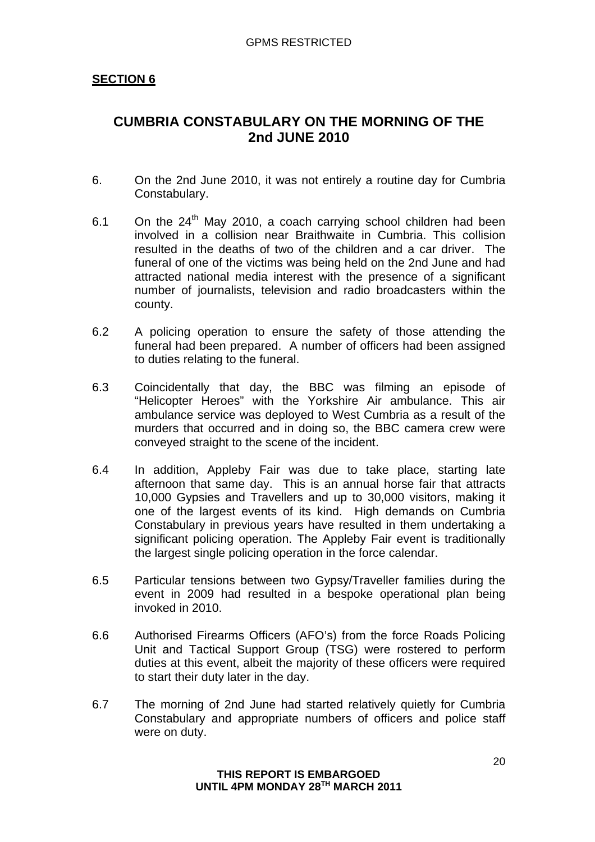# **CUMBRIA CONSTABULARY ON THE MORNING OF THE 2nd JUNE 2010**

- 6. On the 2nd June 2010, it was not entirely a routine day for Cumbria Constabulary.
- 6.1 On the  $24<sup>th</sup>$  May 2010, a coach carrying school children had been involved in a collision near Braithwaite in Cumbria. This collision resulted in the deaths of two of the children and a car driver. The funeral of one of the victims was being held on the 2nd June and had attracted national media interest with the presence of a significant number of journalists, television and radio broadcasters within the county.
- 6.2 A policing operation to ensure the safety of those attending the funeral had been prepared. A number of officers had been assigned to duties relating to the funeral.
- 6.3 Coincidentally that day, the BBC was filming an episode of "Helicopter Heroes" with the Yorkshire Air ambulance. This air ambulance service was deployed to West Cumbria as a result of the murders that occurred and in doing so, the BBC camera crew were conveyed straight to the scene of the incident.
- 6.4 In addition, Appleby Fair was due to take place, starting late afternoon that same day. This is an annual horse fair that attracts 10,000 Gypsies and Travellers and up to 30,000 visitors, making it one of the largest events of its kind. High demands on Cumbria Constabulary in previous years have resulted in them undertaking a significant policing operation. The Appleby Fair event is traditionally the largest single policing operation in the force calendar.
- 6.5 Particular tensions between two Gypsy/Traveller families during the event in 2009 had resulted in a bespoke operational plan being invoked in 2010.
- 6.6 Authorised Firearms Officers (AFO's) from the force Roads Policing Unit and Tactical Support Group (TSG) were rostered to perform duties at this event, albeit the majority of these officers were required to start their duty later in the day.
- 6.7 The morning of 2nd June had started relatively quietly for Cumbria Constabulary and appropriate numbers of officers and police staff were on duty.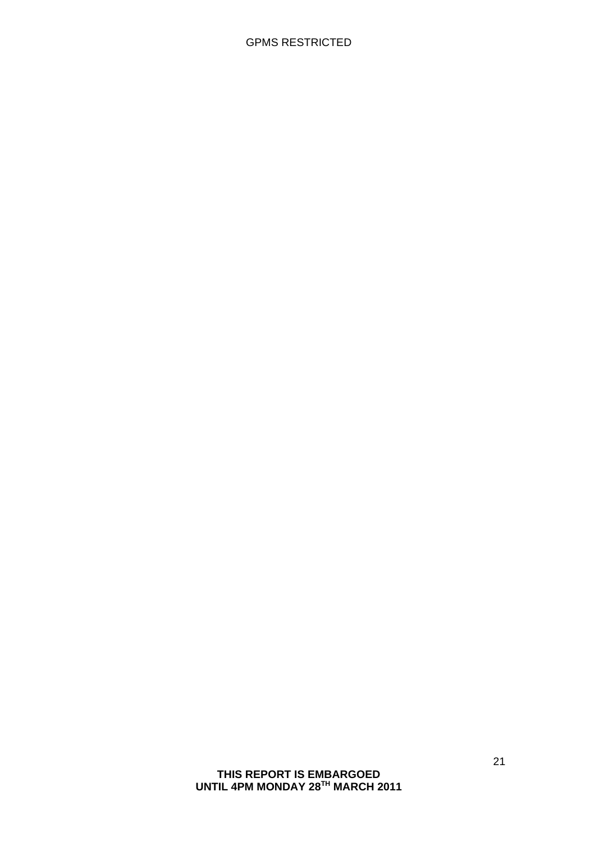## GPMS RESTRICTED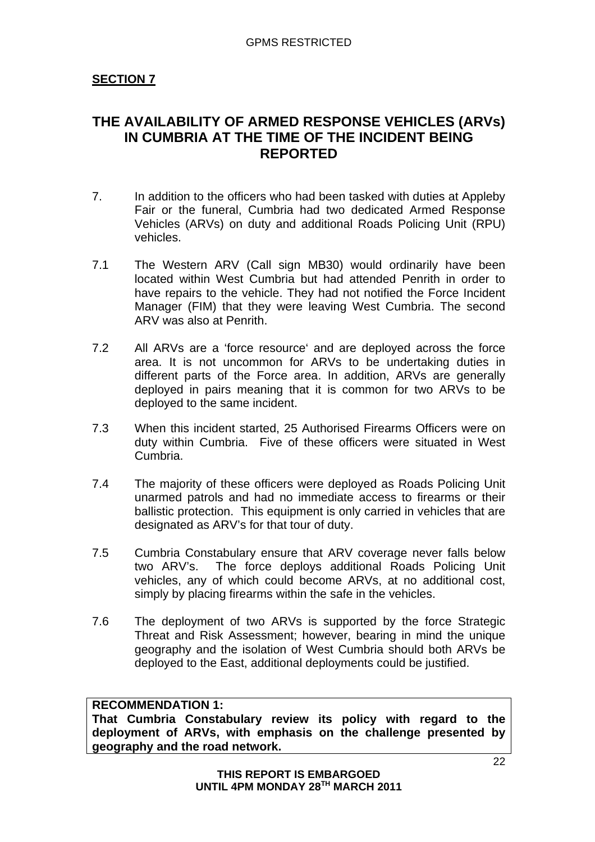# **THE AVAILABILITY OF ARMED RESPONSE VEHICLES (ARVs) IN CUMBRIA AT THE TIME OF THE INCIDENT BEING REPORTED**

- 7. In addition to the officers who had been tasked with duties at Appleby Fair or the funeral, Cumbria had two dedicated Armed Response Vehicles (ARVs) on duty and additional Roads Policing Unit (RPU) vehicles.
- 7.1 The Western ARV (Call sign MB30) would ordinarily have been located within West Cumbria but had attended Penrith in order to have repairs to the vehicle. They had not notified the Force Incident Manager (FIM) that they were leaving West Cumbria. The second ARV was also at Penrith.
- 7.2 All ARVs are a 'force resource' and are deployed across the force area. It is not uncommon for ARVs to be undertaking duties in different parts of the Force area. In addition, ARVs are generally deployed in pairs meaning that it is common for two ARVs to be deployed to the same incident.
- 7.3 When this incident started, 25 Authorised Firearms Officers were on duty within Cumbria. Five of these officers were situated in West Cumbria.
- 7.4 The majority of these officers were deployed as Roads Policing Unit unarmed patrols and had no immediate access to firearms or their ballistic protection. This equipment is only carried in vehicles that are designated as ARV's for that tour of duty.
- 7.5 Cumbria Constabulary ensure that ARV coverage never falls below two ARV's. The force deploys additional Roads Policing Unit vehicles, any of which could become ARVs, at no additional cost, simply by placing firearms within the safe in the vehicles.
- 7.6 The deployment of two ARVs is supported by the force Strategic Threat and Risk Assessment; however, bearing in mind the unique geography and the isolation of West Cumbria should both ARVs be deployed to the East, additional deployments could be justified.

## **RECOMMENDATION 1:**

**That Cumbria Constabulary review its policy with regard to the deployment of ARVs, with emphasis on the challenge presented by geography and the road network.**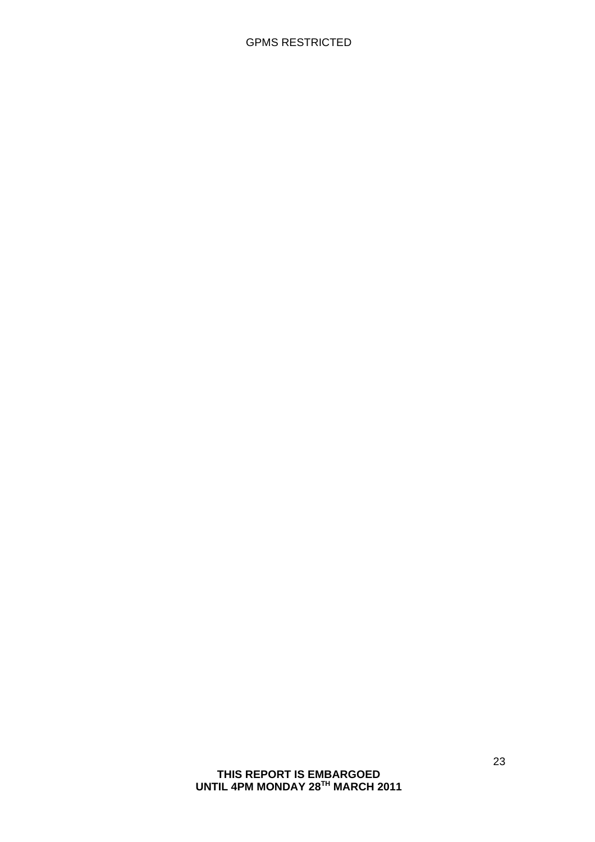## GPMS RESTRICTED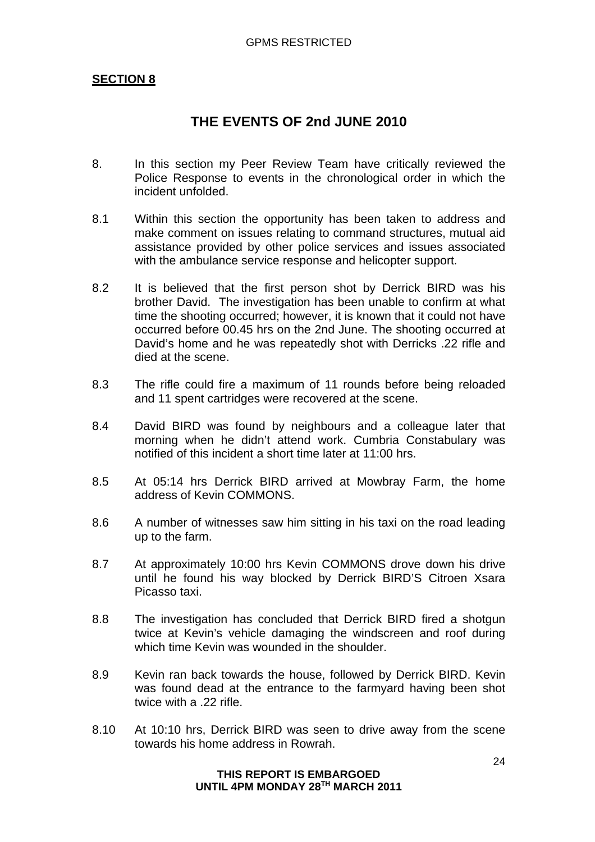# **THE EVENTS OF 2nd JUNE 2010**

- 8. In this section my Peer Review Team have critically reviewed the Police Response to events in the chronological order in which the incident unfolded.
- 8.1 Within this section the opportunity has been taken to address and make comment on issues relating to command structures, mutual aid assistance provided by other police services and issues associated with the ambulance service response and helicopter support*.*
- 8.2 It is believed that the first person shot by Derrick BIRD was his brother David. The investigation has been unable to confirm at what time the shooting occurred; however, it is known that it could not have occurred before 00.45 hrs on the 2nd June. The shooting occurred at David's home and he was repeatedly shot with Derricks .22 rifle and died at the scene.
- 8.3 The rifle could fire a maximum of 11 rounds before being reloaded and 11 spent cartridges were recovered at the scene.
- 8.4 David BIRD was found by neighbours and a colleague later that morning when he didn't attend work. Cumbria Constabulary was notified of this incident a short time later at 11:00 hrs.
- 8.5 At 05:14 hrs Derrick BIRD arrived at Mowbray Farm, the home address of Kevin COMMONS.
- 8.6 A number of witnesses saw him sitting in his taxi on the road leading up to the farm.
- 8.7 At approximately 10:00 hrs Kevin COMMONS drove down his drive until he found his way blocked by Derrick BIRD'S Citroen Xsara Picasso taxi.
- 8.8 The investigation has concluded that Derrick BIRD fired a shotgun twice at Kevin's vehicle damaging the windscreen and roof during which time Kevin was wounded in the shoulder
- 8.9 Kevin ran back towards the house, followed by Derrick BIRD. Kevin was found dead at the entrance to the farmyard having been shot twice with a .22 rifle.
- 8.10 At 10:10 hrs, Derrick BIRD was seen to drive away from the scene towards his home address in Rowrah.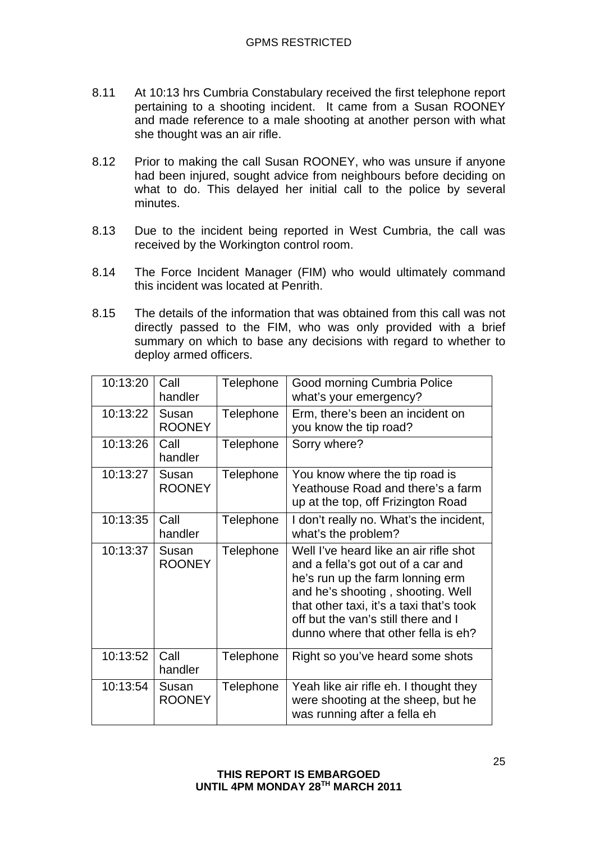- 8.11 At 10:13 hrs Cumbria Constabulary received the first telephone report pertaining to a shooting incident. It came from a Susan ROONEY and made reference to a male shooting at another person with what she thought was an air rifle.
- 8.12 Prior to making the call Susan ROONEY, who was unsure if anyone had been injured, sought advice from neighbours before deciding on what to do. This delayed her initial call to the police by several minutes.
- 8.13 Due to the incident being reported in West Cumbria, the call was received by the Workington control room.
- 8.14 The Force Incident Manager (FIM) who would ultimately command this incident was located at Penrith.
- 8.15 The details of the information that was obtained from this call was not directly passed to the FIM, who was only provided with a brief summary on which to base any decisions with regard to whether to deploy armed officers.

| 10:13:20 | Call<br>handler        | Telephone | Good morning Cumbria Police<br>what's your emergency?                                                                                                                                                                                                                           |
|----------|------------------------|-----------|---------------------------------------------------------------------------------------------------------------------------------------------------------------------------------------------------------------------------------------------------------------------------------|
| 10:13:22 | Susan<br><b>ROONEY</b> | Telephone | Erm, there's been an incident on<br>you know the tip road?                                                                                                                                                                                                                      |
| 10:13:26 | Call<br>handler        | Telephone | Sorry where?                                                                                                                                                                                                                                                                    |
| 10:13:27 | Susan<br><b>ROONEY</b> | Telephone | You know where the tip road is<br>Yeathouse Road and there's a farm<br>up at the top, off Frizington Road                                                                                                                                                                       |
| 10:13:35 | Call<br>handler        | Telephone | I don't really no. What's the incident,<br>what's the problem?                                                                                                                                                                                                                  |
| 10:13:37 | Susan<br><b>ROONEY</b> | Telephone | Well I've heard like an air rifle shot<br>and a fella's got out of a car and<br>he's run up the farm lonning erm<br>and he's shooting, shooting. Well<br>that other taxi, it's a taxi that's took<br>off but the van's still there and I<br>dunno where that other fella is eh? |
| 10:13:52 | Call<br>handler        | Telephone | Right so you've heard some shots                                                                                                                                                                                                                                                |
| 10:13:54 | Susan<br><b>ROONEY</b> | Telephone | Yeah like air rifle eh. I thought they<br>were shooting at the sheep, but he<br>was running after a fella eh                                                                                                                                                                    |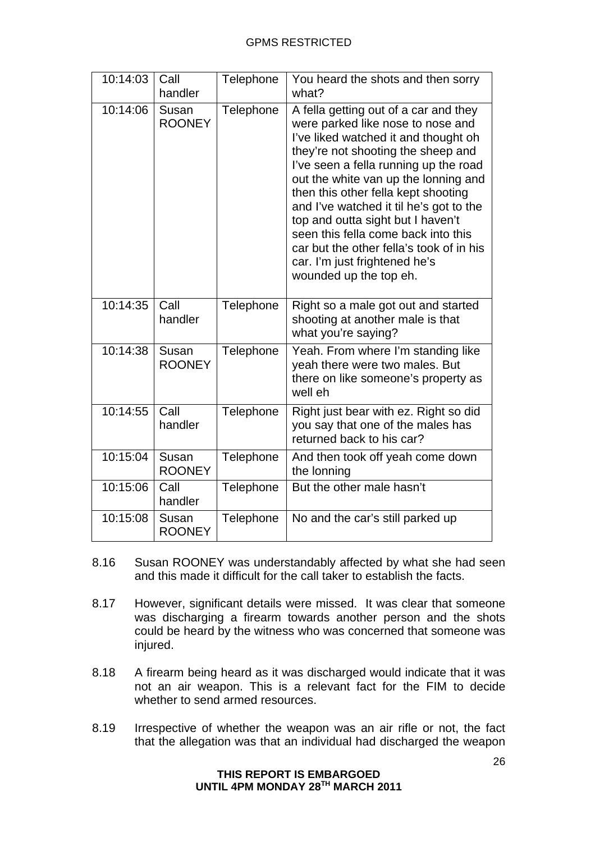| 10:14:03 | Call<br>handler        | Telephone | You heard the shots and then sorry<br>what?                                                                                                                                                                                                                                                                                                                                                                                                                                                                    |
|----------|------------------------|-----------|----------------------------------------------------------------------------------------------------------------------------------------------------------------------------------------------------------------------------------------------------------------------------------------------------------------------------------------------------------------------------------------------------------------------------------------------------------------------------------------------------------------|
| 10:14:06 | Susan<br><b>ROONEY</b> | Telephone | A fella getting out of a car and they<br>were parked like nose to nose and<br>I've liked watched it and thought oh<br>they're not shooting the sheep and<br>I've seen a fella running up the road<br>out the white van up the lonning and<br>then this other fella kept shooting<br>and I've watched it til he's got to the<br>top and outta sight but I haven't<br>seen this fella come back into this<br>car but the other fella's took of in his<br>car. I'm just frightened he's<br>wounded up the top eh. |
| 10:14:35 | Call<br>handler        | Telephone | Right so a male got out and started<br>shooting at another male is that<br>what you're saying?                                                                                                                                                                                                                                                                                                                                                                                                                 |
| 10:14:38 | Susan<br><b>ROONEY</b> | Telephone | Yeah. From where I'm standing like<br>yeah there were two males. But<br>there on like someone's property as<br>well eh                                                                                                                                                                                                                                                                                                                                                                                         |
| 10:14:55 | Call<br>handler        | Telephone | Right just bear with ez. Right so did<br>you say that one of the males has<br>returned back to his car?                                                                                                                                                                                                                                                                                                                                                                                                        |
| 10:15:04 | Susan<br><b>ROONEY</b> | Telephone | And then took off yeah come down<br>the lonning                                                                                                                                                                                                                                                                                                                                                                                                                                                                |
| 10:15:06 | Call<br>handler        | Telephone | But the other male hasn't                                                                                                                                                                                                                                                                                                                                                                                                                                                                                      |
| 10:15:08 | Susan<br><b>ROONEY</b> | Telephone | No and the car's still parked up                                                                                                                                                                                                                                                                                                                                                                                                                                                                               |

- 8.16 Susan ROONEY was understandably affected by what she had seen and this made it difficult for the call taker to establish the facts.
- 8.17 However, significant details were missed. It was clear that someone was discharging a firearm towards another person and the shots could be heard by the witness who was concerned that someone was injured.
- 8.18 A firearm being heard as it was discharged would indicate that it was not an air weapon. This is a relevant fact for the FIM to decide whether to send armed resources.
- 8.19 Irrespective of whether the weapon was an air rifle or not, the fact that the allegation was that an individual had discharged the weapon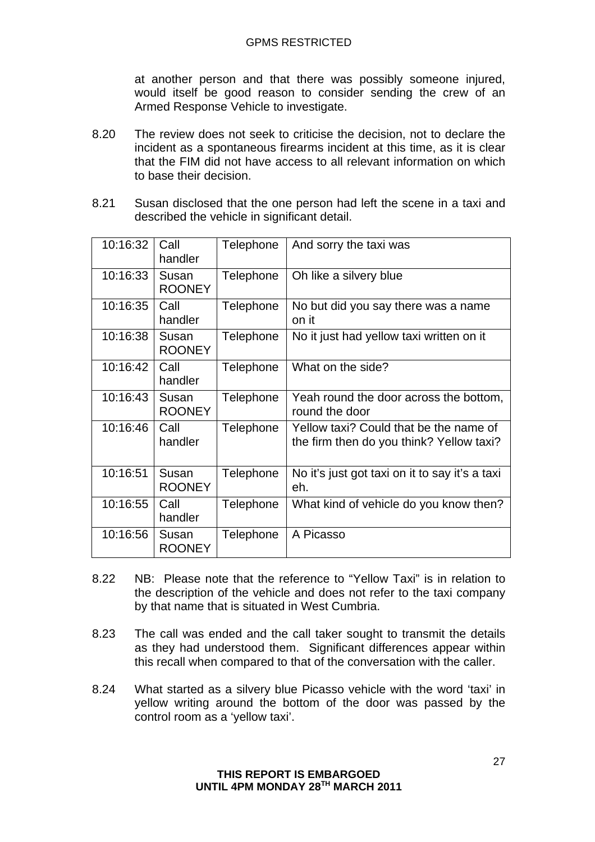at another person and that there was possibly someone injured, would itself be good reason to consider sending the crew of an Armed Response Vehicle to investigate.

- 8.20 The review does not seek to criticise the decision, not to declare the incident as a spontaneous firearms incident at this time, as it is clear that the FIM did not have access to all relevant information on which to base their decision.
- 8.21 Susan disclosed that the one person had left the scene in a taxi and described the vehicle in significant detail.

| 10:16:32 | Call<br>handler        | Telephone        | And sorry the taxi was                                                             |
|----------|------------------------|------------------|------------------------------------------------------------------------------------|
| 10:16:33 | Susan<br><b>ROONEY</b> | Telephone        | Oh like a silvery blue                                                             |
| 10:16:35 | Call<br>handler        | <b>Telephone</b> | No but did you say there was a name<br>on it                                       |
| 10:16:38 | Susan<br><b>ROONEY</b> | Telephone        | No it just had yellow taxi written on it                                           |
| 10:16:42 | Call<br>handler        | <b>Telephone</b> | What on the side?                                                                  |
| 10:16:43 | Susan<br><b>ROONEY</b> | Telephone        | Yeah round the door across the bottom,<br>round the door                           |
| 10:16:46 | Call<br>handler        | Telephone        | Yellow taxi? Could that be the name of<br>the firm then do you think? Yellow taxi? |
| 10:16:51 | Susan<br><b>ROONEY</b> | Telephone        | No it's just got taxi on it to say it's a taxi<br>eh.                              |
| 10:16:55 | Call<br>handler        | <b>Telephone</b> | What kind of vehicle do you know then?                                             |
| 10:16:56 | Susan<br><b>ROONEY</b> | Telephone        | A Picasso                                                                          |

- 8.22 NB: Please note that the reference to "Yellow Taxi" is in relation to the description of the vehicle and does not refer to the taxi company by that name that is situated in West Cumbria.
- 8.23 The call was ended and the call taker sought to transmit the details as they had understood them. Significant differences appear within this recall when compared to that of the conversation with the caller.
- 8.24 What started as a silvery blue Picasso vehicle with the word 'taxi' in yellow writing around the bottom of the door was passed by the control room as a 'yellow taxi'.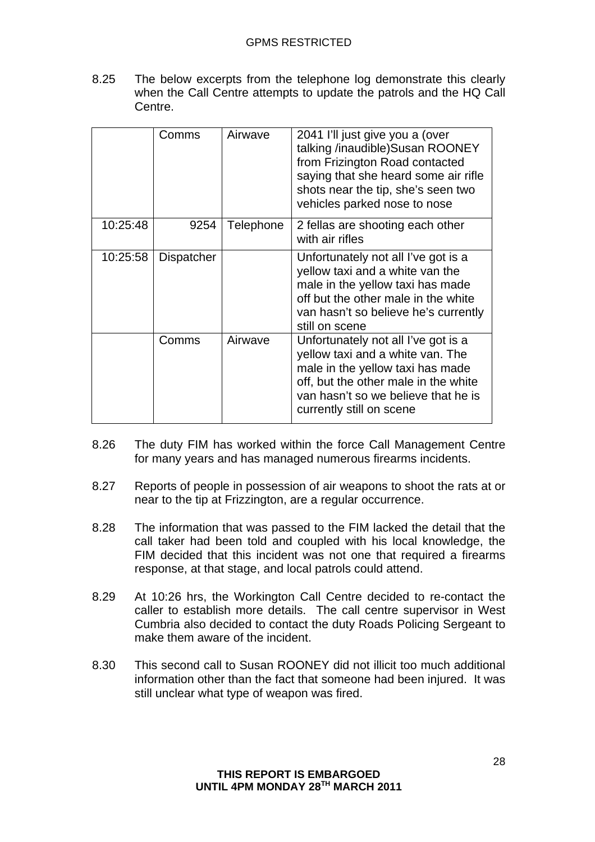8.25 The below excerpts from the telephone log demonstrate this clearly when the Call Centre attempts to update the patrols and the HQ Call Centre.

|          | Comms             | Airwave   | 2041 l'Il just give you a (over<br>talking /inaudible)Susan ROONEY<br>from Frizington Road contacted<br>saying that she heard some air rifle<br>shots near the tip, she's seen two<br>vehicles parked nose to nose     |
|----------|-------------------|-----------|------------------------------------------------------------------------------------------------------------------------------------------------------------------------------------------------------------------------|
| 10:25:48 | 9254              | Telephone | 2 fellas are shooting each other<br>with air rifles                                                                                                                                                                    |
| 10:25:58 | <b>Dispatcher</b> |           | Unfortunately not all I've got is a<br>yellow taxi and a white van the<br>male in the yellow taxi has made<br>off but the other male in the white<br>van hasn't so believe he's currently<br>still on scene            |
|          | Comms             | Airwave   | Unfortunately not all I've got is a<br>yellow taxi and a white van. The<br>male in the yellow taxi has made<br>off, but the other male in the white<br>van hasn't so we believe that he is<br>currently still on scene |

- 8.26 The duty FIM has worked within the force Call Management Centre for many years and has managed numerous firearms incidents.
- 8.27 Reports of people in possession of air weapons to shoot the rats at or near to the tip at Frizzington, are a regular occurrence.
- 8.28 The information that was passed to the FIM lacked the detail that the call taker had been told and coupled with his local knowledge, the FIM decided that this incident was not one that required a firearms response, at that stage, and local patrols could attend.
- 8.29 At 10:26 hrs, the Workington Call Centre decided to re-contact the caller to establish more details. The call centre supervisor in West Cumbria also decided to contact the duty Roads Policing Sergeant to make them aware of the incident.
- 8.30 This second call to Susan ROONEY did not illicit too much additional information other than the fact that someone had been injured. It was still unclear what type of weapon was fired.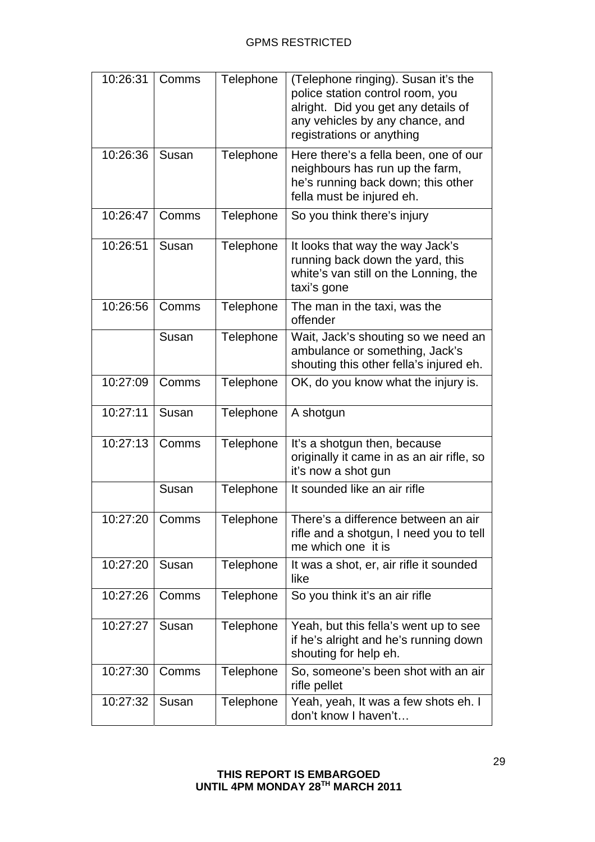| 10:26:31         | Comms | Telephone | (Telephone ringing). Susan it's the<br>police station control room, you<br>alright. Did you get any details of<br>any vehicles by any chance, and<br>registrations or anything |
|------------------|-------|-----------|--------------------------------------------------------------------------------------------------------------------------------------------------------------------------------|
| 10:26:36         | Susan | Telephone | Here there's a fella been, one of our<br>neighbours has run up the farm,<br>he's running back down; this other<br>fella must be injured eh.                                    |
| 10:26:47         | Comms | Telephone | So you think there's injury                                                                                                                                                    |
| 10:26:51         | Susan | Telephone | It looks that way the way Jack's<br>running back down the yard, this<br>white's van still on the Lonning, the<br>taxi's gone                                                   |
| 10:26:56         | Comms | Telephone | The man in the taxi, was the<br>offender                                                                                                                                       |
|                  | Susan | Telephone | Wait, Jack's shouting so we need an<br>ambulance or something, Jack's<br>shouting this other fella's injured eh.                                                               |
| 10:27:09         | Comms | Telephone | OK, do you know what the injury is.                                                                                                                                            |
| 10:27:11         | Susan | Telephone | A shotgun                                                                                                                                                                      |
| 10:27:13         | Comms | Telephone | It's a shotgun then, because<br>originally it came in as an air rifle, so<br>it's now a shot gun                                                                               |
|                  | Susan | Telephone | It sounded like an air rifle                                                                                                                                                   |
| 10:27:20   Comms |       | Telephone | There's a difference between an air<br>rifle and a shotgun, I need you to tell<br>me which one it is                                                                           |
| 10:27:20         | Susan | Telephone | It was a shot, er, air rifle it sounded<br>like                                                                                                                                |
| 10:27:26         | Comms | Telephone | So you think it's an air rifle                                                                                                                                                 |
| 10:27:27         | Susan | Telephone | Yeah, but this fella's went up to see<br>if he's alright and he's running down<br>shouting for help eh.                                                                        |
| 10:27:30         | Comms | Telephone | So, someone's been shot with an air<br>rifle pellet                                                                                                                            |
| 10:27:32         | Susan | Telephone | Yeah, yeah, It was a few shots eh. I<br>don't know I haven't                                                                                                                   |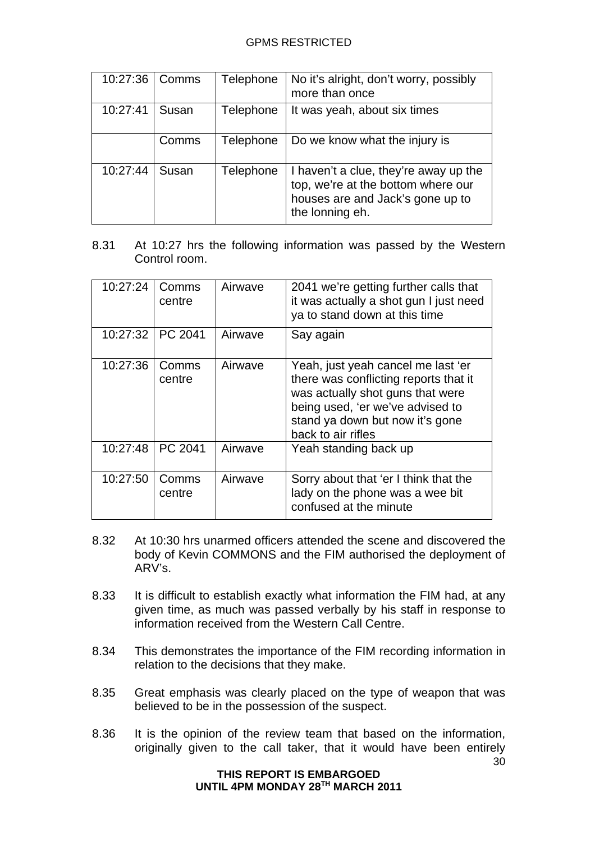## GPMS RESTRICTED

| 10:27:36 | Comms | Telephone | No it's alright, don't worry, possibly<br>more than once                                                                           |
|----------|-------|-----------|------------------------------------------------------------------------------------------------------------------------------------|
| 10:27:41 | Susan | Telephone | It was yeah, about six times                                                                                                       |
|          | Comms | Telephone | Do we know what the injury is                                                                                                      |
| 10:27:44 | Susan | Telephone | I haven't a clue, they're away up the<br>top, we're at the bottom where our<br>houses are and Jack's gone up to<br>the lonning eh. |

8.31 At 10:27 hrs the following information was passed by the Western Control room.

| 10:27:24 | Comms<br>centre  | Airwave | 2041 we're getting further calls that<br>it was actually a shot gun I just need<br>ya to stand down at this time                                                                                             |
|----------|------------------|---------|--------------------------------------------------------------------------------------------------------------------------------------------------------------------------------------------------------------|
|          | 10:27:32 PC 2041 | Airwave | Say again                                                                                                                                                                                                    |
| 10:27:36 | Comms<br>centre  | Airwave | Yeah, just yeah cancel me last 'er<br>there was conflicting reports that it<br>was actually shot guns that were<br>being used, 'er we've advised to<br>stand ya down but now it's gone<br>back to air rifles |
| 10:27:48 | PC 2041          | Airwave | Yeah standing back up                                                                                                                                                                                        |
| 10:27:50 | Comms<br>centre  | Airwave | Sorry about that 'er I think that the<br>lady on the phone was a wee bit<br>confused at the minute                                                                                                           |

- 8.32 At 10:30 hrs unarmed officers attended the scene and discovered the body of Kevin COMMONS and the FIM authorised the deployment of ARV's.
- 8.33 It is difficult to establish exactly what information the FIM had, at any given time, as much was passed verbally by his staff in response to information received from the Western Call Centre.
- 8.34 This demonstrates the importance of the FIM recording information in relation to the decisions that they make.
- 8.35 Great emphasis was clearly placed on the type of weapon that was believed to be in the possession of the suspect.
- 8.36 It is the opinion of the review team that based on the information, originally given to the call taker, that it would have been entirely

## **THIS REPORT IS EMBARGOED UNTIL 4PM MONDAY 28TH MARCH 2011**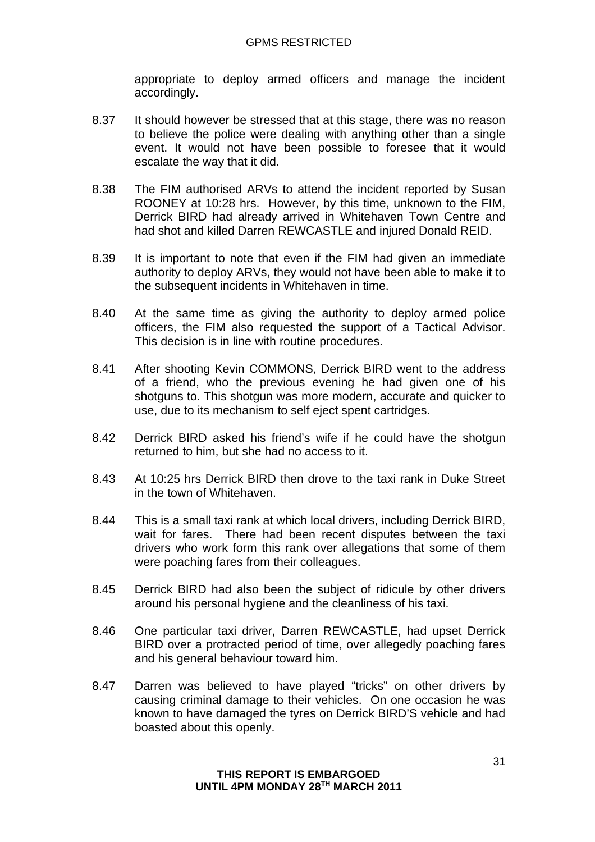appropriate to deploy armed officers and manage the incident accordingly.

- 8.37 It should however be stressed that at this stage, there was no reason to believe the police were dealing with anything other than a single event. It would not have been possible to foresee that it would escalate the way that it did.
- 8.38 The FIM authorised ARVs to attend the incident reported by Susan ROONEY at 10:28 hrs. However, by this time, unknown to the FIM, Derrick BIRD had already arrived in Whitehaven Town Centre and had shot and killed Darren REWCASTLE and injured Donald REID.
- 8.39 It is important to note that even if the FIM had given an immediate authority to deploy ARVs, they would not have been able to make it to the subsequent incidents in Whitehaven in time.
- 8.40 At the same time as giving the authority to deploy armed police officers, the FIM also requested the support of a Tactical Advisor. This decision is in line with routine procedures.
- 8.41 After shooting Kevin COMMONS, Derrick BIRD went to the address of a friend, who the previous evening he had given one of his shotguns to. This shotgun was more modern, accurate and quicker to use, due to its mechanism to self eject spent cartridges.
- 8.42 Derrick BIRD asked his friend's wife if he could have the shotgun returned to him, but she had no access to it.
- 8.43 At 10:25 hrs Derrick BIRD then drove to the taxi rank in Duke Street in the town of Whitehaven.
- 8.44 This is a small taxi rank at which local drivers, including Derrick BIRD, wait for fares. There had been recent disputes between the taxi drivers who work form this rank over allegations that some of them were poaching fares from their colleagues.
- 8.45 Derrick BIRD had also been the subject of ridicule by other drivers around his personal hygiene and the cleanliness of his taxi.
- 8.46 One particular taxi driver, Darren REWCASTLE, had upset Derrick BIRD over a protracted period of time, over allegedly poaching fares and his general behaviour toward him.
- 8.47 Darren was believed to have played "tricks" on other drivers by causing criminal damage to their vehicles. On one occasion he was known to have damaged the tyres on Derrick BIRD'S vehicle and had boasted about this openly.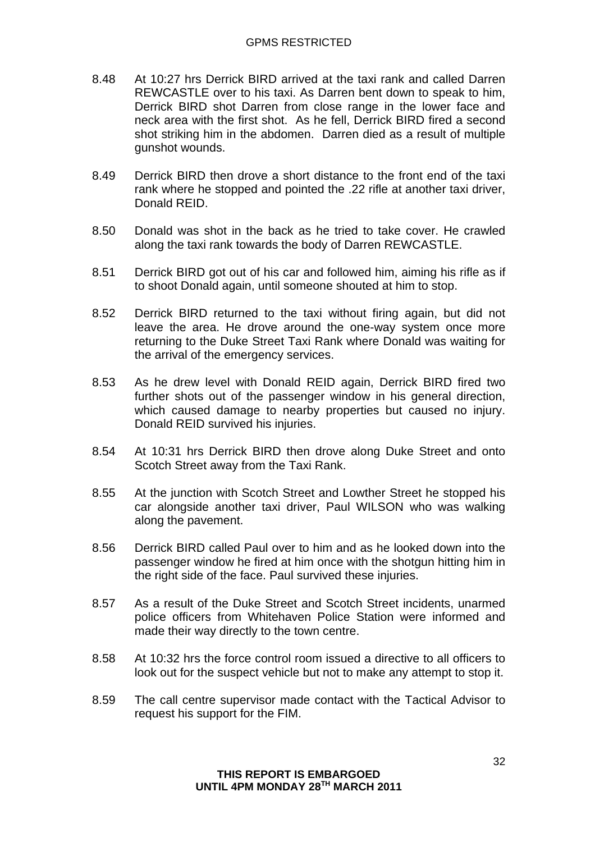- 8.48 At 10:27 hrs Derrick BIRD arrived at the taxi rank and called Darren REWCASTLE over to his taxi. As Darren bent down to speak to him, Derrick BIRD shot Darren from close range in the lower face and neck area with the first shot. As he fell, Derrick BIRD fired a second shot striking him in the abdomen. Darren died as a result of multiple gunshot wounds.
- 8.49 Derrick BIRD then drove a short distance to the front end of the taxi rank where he stopped and pointed the .22 rifle at another taxi driver, Donald REID.
- 8.50 Donald was shot in the back as he tried to take cover. He crawled along the taxi rank towards the body of Darren REWCASTLE.
- 8.51 Derrick BIRD got out of his car and followed him, aiming his rifle as if to shoot Donald again, until someone shouted at him to stop.
- 8.52 Derrick BIRD returned to the taxi without firing again, but did not leave the area. He drove around the one-way system once more returning to the Duke Street Taxi Rank where Donald was waiting for the arrival of the emergency services.
- 8.53 As he drew level with Donald REID again, Derrick BIRD fired two further shots out of the passenger window in his general direction, which caused damage to nearby properties but caused no injury. Donald REID survived his injuries.
- 8.54 At 10:31 hrs Derrick BIRD then drove along Duke Street and onto Scotch Street away from the Taxi Rank.
- 8.55 At the junction with Scotch Street and Lowther Street he stopped his car alongside another taxi driver, Paul WILSON who was walking along the pavement.
- 8.56 Derrick BIRD called Paul over to him and as he looked down into the passenger window he fired at him once with the shotgun hitting him in the right side of the face. Paul survived these injuries.
- 8.57 As a result of the Duke Street and Scotch Street incidents, unarmed police officers from Whitehaven Police Station were informed and made their way directly to the town centre.
- 8.58 At 10:32 hrs the force control room issued a directive to all officers to look out for the suspect vehicle but not to make any attempt to stop it.
- 8.59 The call centre supervisor made contact with the Tactical Advisor to request his support for the FIM.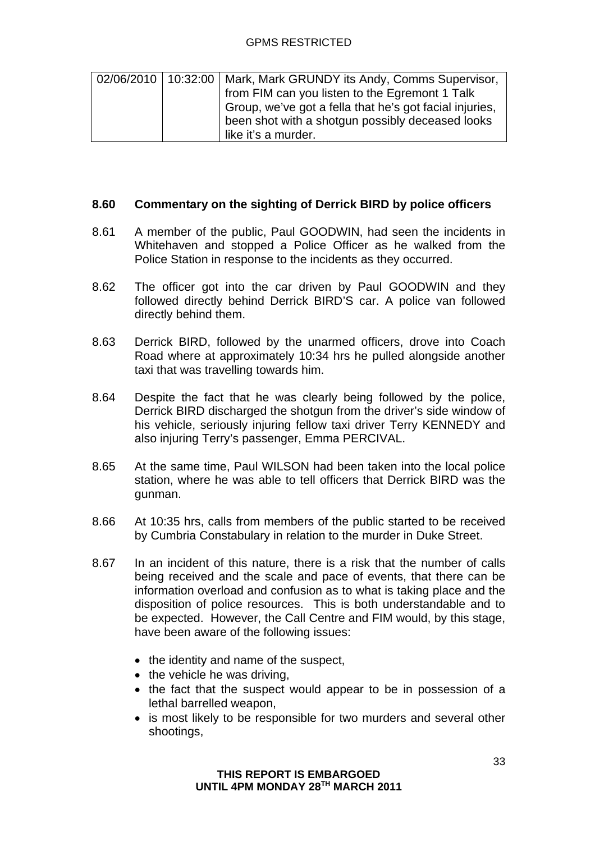|  | 02/06/2010   10:32:00   Mark, Mark GRUNDY its Andy, Comms Supervisor, |
|--|-----------------------------------------------------------------------|
|  | from FIM can you listen to the Egremont 1 Talk                        |
|  | Group, we've got a fella that he's got facial injuries,               |
|  | been shot with a shotgun possibly deceased looks                      |
|  | like it's a murder.                                                   |

## **8.60 Commentary on the sighting of Derrick BIRD by police officers**

- 8.61 A member of the public, Paul GOODWIN, had seen the incidents in Whitehaven and stopped a Police Officer as he walked from the Police Station in response to the incidents as they occurred.
- 8.62 The officer got into the car driven by Paul GOODWIN and they followed directly behind Derrick BIRD'S car. A police van followed directly behind them.
- 8.63 Derrick BIRD, followed by the unarmed officers, drove into Coach Road where at approximately 10:34 hrs he pulled alongside another taxi that was travelling towards him.
- 8.64 Despite the fact that he was clearly being followed by the police, Derrick BIRD discharged the shotgun from the driver's side window of his vehicle, seriously injuring fellow taxi driver Terry KENNEDY and also injuring Terry's passenger, Emma PERCIVAL.
- 8.65 At the same time, Paul WILSON had been taken into the local police station, where he was able to tell officers that Derrick BIRD was the gunman.
- 8.66 At 10:35 hrs, calls from members of the public started to be received by Cumbria Constabulary in relation to the murder in Duke Street.
- 8.67 In an incident of this nature, there is a risk that the number of calls being received and the scale and pace of events, that there can be information overload and confusion as to what is taking place and the disposition of police resources. This is both understandable and to be expected. However, the Call Centre and FIM would, by this stage, have been aware of the following issues:
	- the identity and name of the suspect,
	- the vehicle he was driving,
	- the fact that the suspect would appear to be in possession of a lethal barrelled weapon,
	- is most likely to be responsible for two murders and several other shootings,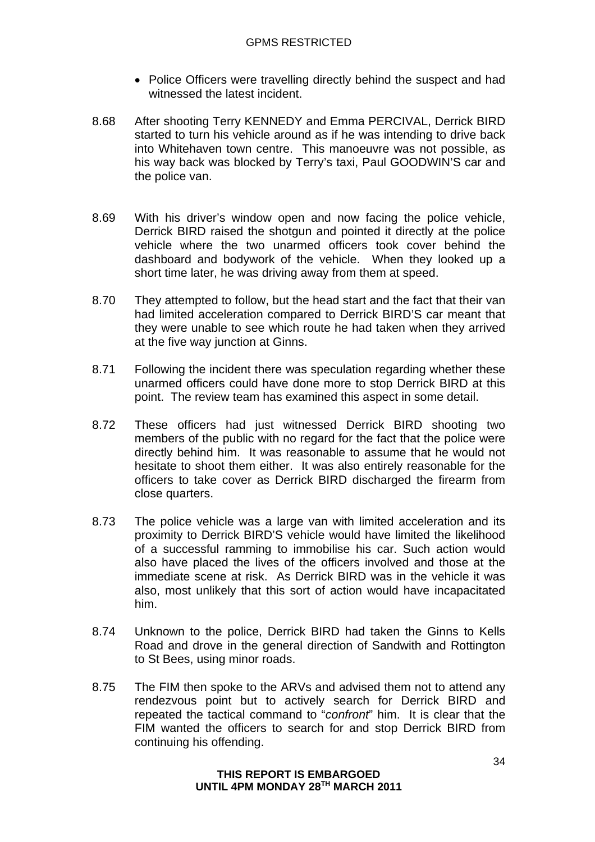- Police Officers were travelling directly behind the suspect and had witnessed the latest incident.
- 8.68 After shooting Terry KENNEDY and Emma PERCIVAL, Derrick BIRD started to turn his vehicle around as if he was intending to drive back into Whitehaven town centre. This manoeuvre was not possible, as his way back was blocked by Terry's taxi, Paul GOODWIN'S car and the police van.
- 8.69 With his driver's window open and now facing the police vehicle, Derrick BIRD raised the shotgun and pointed it directly at the police vehicle where the two unarmed officers took cover behind the dashboard and bodywork of the vehicle. When they looked up a short time later, he was driving away from them at speed.
- 8.70 They attempted to follow, but the head start and the fact that their van had limited acceleration compared to Derrick BIRD'S car meant that they were unable to see which route he had taken when they arrived at the five way junction at Ginns.
- 8.71 Following the incident there was speculation regarding whether these unarmed officers could have done more to stop Derrick BIRD at this point. The review team has examined this aspect in some detail.
- 8.72 These officers had just witnessed Derrick BIRD shooting two members of the public with no regard for the fact that the police were directly behind him. It was reasonable to assume that he would not hesitate to shoot them either. It was also entirely reasonable for the officers to take cover as Derrick BIRD discharged the firearm from close quarters.
- 8.73 The police vehicle was a large van with limited acceleration and its proximity to Derrick BIRD'S vehicle would have limited the likelihood of a successful ramming to immobilise his car. Such action would also have placed the lives of the officers involved and those at the immediate scene at risk. As Derrick BIRD was in the vehicle it was also, most unlikely that this sort of action would have incapacitated him.
- 8.74 Unknown to the police, Derrick BIRD had taken the Ginns to Kells Road and drove in the general direction of Sandwith and Rottington to St Bees, using minor roads.
- 8.75 The FIM then spoke to the ARVs and advised them not to attend any rendezvous point but to actively search for Derrick BIRD and repeated the tactical command to "*confront*" him. It is clear that the FIM wanted the officers to search for and stop Derrick BIRD from continuing his offending.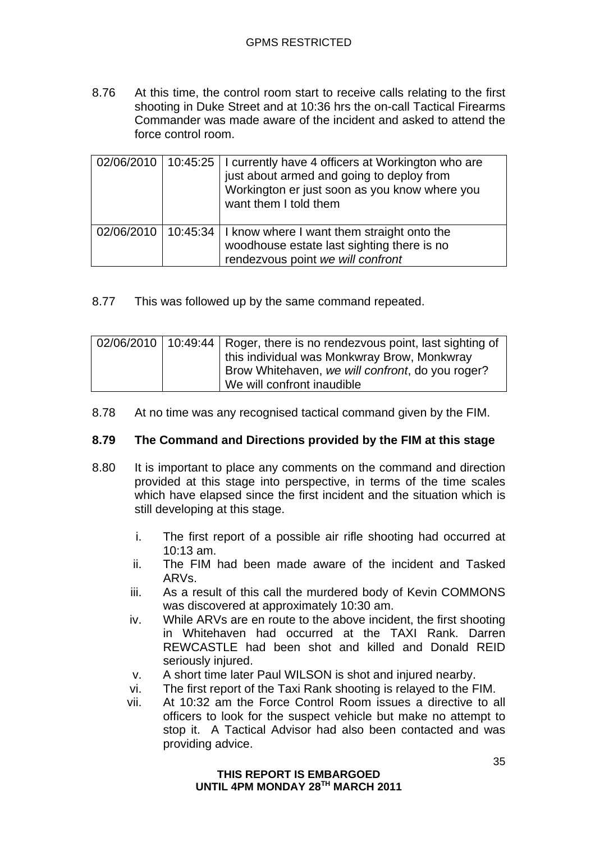8.76 At this time, the control room start to receive calls relating to the first shooting in Duke Street and at 10:36 hrs the on-call Tactical Firearms Commander was made aware of the incident and asked to attend the force control room.

|  | 02/06/2010   10:45:25   I currently have 4 officers at Workington who are<br>just about armed and going to deploy from<br>Workington er just soon as you know where you<br>want them I told them |  |
|--|--------------------------------------------------------------------------------------------------------------------------------------------------------------------------------------------------|--|
|  | 02/06/2010   10:45:34   I know where I want them straight onto the<br>woodhouse estate last sighting there is no<br>rendezvous point we will confront                                            |  |

8.77 This was followed up by the same command repeated.

|  | 02/06/2010   10:49:44   Roger, there is no rendezvous point, last sighting of |
|--|-------------------------------------------------------------------------------|
|  | this individual was Monkwray Brow, Monkwray                                   |
|  | Brow Whitehaven, we will confront, do you roger?                              |
|  | We will confront inaudible                                                    |

8.78 At no time was any recognised tactical command given by the FIM.

## **8.79 The Command and Directions provided by the FIM at this stage**

- 8.80 It is important to place any comments on the command and direction provided at this stage into perspective, in terms of the time scales which have elapsed since the first incident and the situation which is still developing at this stage.
	- i. The first report of a possible air rifle shooting had occurred at 10:13 am.
	- ii. The FIM had been made aware of the incident and Tasked ARVs.
	- iii. As a result of this call the murdered body of Kevin COMMONS was discovered at approximately 10:30 am.
	- iv. While ARVs are en route to the above incident, the first shooting in Whitehaven had occurred at the TAXI Rank. Darren REWCASTLE had been shot and killed and Donald REID seriously injured.
	- v. A short time later Paul WILSON is shot and injured nearby.
	- vi. The first report of the Taxi Rank shooting is relayed to the FIM.
	- vii. At 10:32 am the Force Control Room issues a directive to all officers to look for the suspect vehicle but make no attempt to stop it. A Tactical Advisor had also been contacted and was providing advice.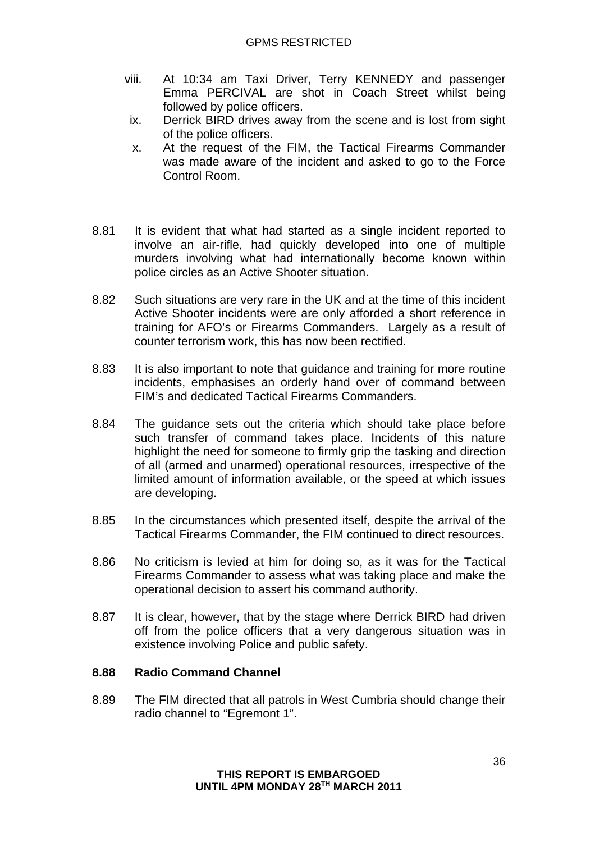- viii. At 10:34 am Taxi Driver, Terry KENNEDY and passenger Emma PERCIVAL are shot in Coach Street whilst being followed by police officers.
- ix. Derrick BIRD drives away from the scene and is lost from sight of the police officers.
- x. At the request of the FIM, the Tactical Firearms Commander was made aware of the incident and asked to go to the Force Control Room.
- 8.81 It is evident that what had started as a single incident reported to involve an air-rifle, had quickly developed into one of multiple murders involving what had internationally become known within police circles as an Active Shooter situation.
- 8.82 Such situations are very rare in the UK and at the time of this incident Active Shooter incidents were are only afforded a short reference in training for AFO's or Firearms Commanders. Largely as a result of counter terrorism work, this has now been rectified.
- 8.83 It is also important to note that guidance and training for more routine incidents, emphasises an orderly hand over of command between FIM's and dedicated Tactical Firearms Commanders.
- 8.84 The guidance sets out the criteria which should take place before such transfer of command takes place. Incidents of this nature highlight the need for someone to firmly grip the tasking and direction of all (armed and unarmed) operational resources, irrespective of the limited amount of information available, or the speed at which issues are developing.
- 8.85 In the circumstances which presented itself, despite the arrival of the Tactical Firearms Commander, the FIM continued to direct resources.
- 8.86 No criticism is levied at him for doing so, as it was for the Tactical Firearms Commander to assess what was taking place and make the operational decision to assert his command authority.
- 8.87 It is clear, however, that by the stage where Derrick BIRD had driven off from the police officers that a very dangerous situation was in existence involving Police and public safety.

#### **8.88 Radio Command Channel**

8.89 The FIM directed that all patrols in West Cumbria should change their radio channel to "Egremont 1".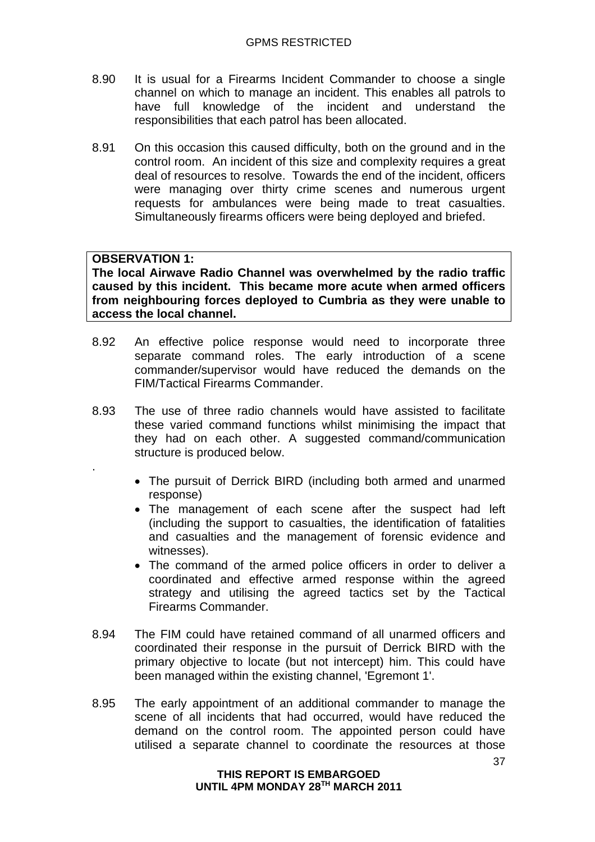- 8.90 It is usual for a Firearms Incident Commander to choose a single channel on which to manage an incident. This enables all patrols to have full knowledge of the incident and understand the responsibilities that each patrol has been allocated.
- 8.91 On this occasion this caused difficulty, both on the ground and in the control room. An incident of this size and complexity requires a great deal of resources to resolve. Towards the end of the incident, officers were managing over thirty crime scenes and numerous urgent requests for ambulances were being made to treat casualties. Simultaneously firearms officers were being deployed and briefed.

## **OBSERVATION 1:**

.

**The local Airwave Radio Channel was overwhelmed by the radio traffic caused by this incident. This became more acute when armed officers from neighbouring forces deployed to Cumbria as they were unable to access the local channel.** 

- 8.92 An effective police response would need to incorporate three separate command roles. The early introduction of a scene commander/supervisor would have reduced the demands on the FIM/Tactical Firearms Commander.
- 8.93 The use of three radio channels would have assisted to facilitate these varied command functions whilst minimising the impact that they had on each other. A suggested command/communication structure is produced below.
	- The pursuit of Derrick BIRD (including both armed and unarmed response)
	- The management of each scene after the suspect had left (including the support to casualties, the identification of fatalities and casualties and the management of forensic evidence and witnesses).
	- The command of the armed police officers in order to deliver a coordinated and effective armed response within the agreed strategy and utilising the agreed tactics set by the Tactical Firearms Commander.
- 8.94 The FIM could have retained command of all unarmed officers and coordinated their response in the pursuit of Derrick BIRD with the primary objective to locate (but not intercept) him. This could have been managed within the existing channel, 'Egremont 1'.
- 8.95 The early appointment of an additional commander to manage the scene of all incidents that had occurred, would have reduced the demand on the control room. The appointed person could have utilised a separate channel to coordinate the resources at those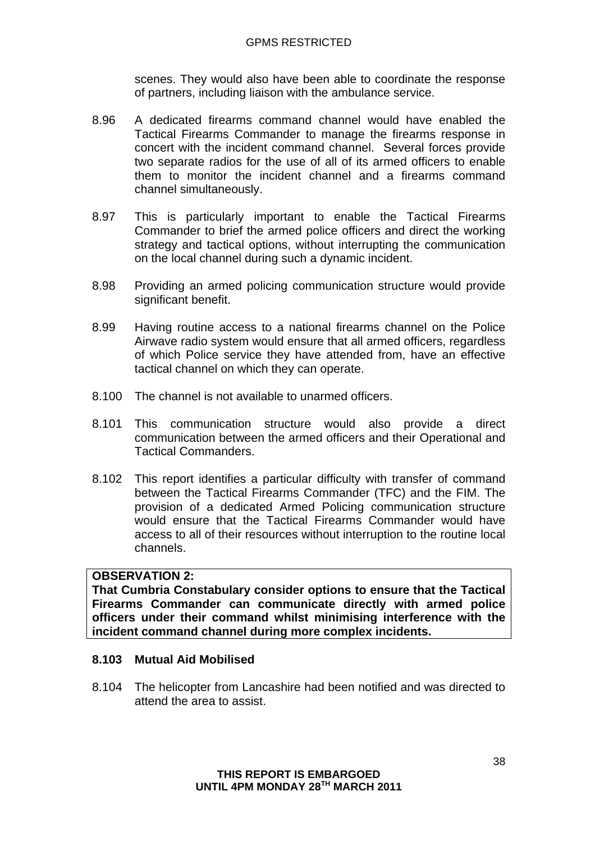scenes. They would also have been able to coordinate the response of partners, including liaison with the ambulance service.

- 8.96 A dedicated firearms command channel would have enabled the Tactical Firearms Commander to manage the firearms response in concert with the incident command channel. Several forces provide two separate radios for the use of all of its armed officers to enable them to monitor the incident channel and a firearms command channel simultaneously.
- 8.97 This is particularly important to enable the Tactical Firearms Commander to brief the armed police officers and direct the working strategy and tactical options, without interrupting the communication on the local channel during such a dynamic incident.
- 8.98 Providing an armed policing communication structure would provide significant benefit.
- 8.99 Having routine access to a national firearms channel on the Police Airwave radio system would ensure that all armed officers, regardless of which Police service they have attended from, have an effective tactical channel on which they can operate.
- 8.100 The channel is not available to unarmed officers.
- 8.101 This communication structure would also provide a direct communication between the armed officers and their Operational and Tactical Commanders.
- 8.102 This report identifies a particular difficulty with transfer of command between the Tactical Firearms Commander (TFC) and the FIM. The provision of a dedicated Armed Policing communication structure would ensure that the Tactical Firearms Commander would have access to all of their resources without interruption to the routine local channels.

## **OBSERVATION 2:**

**That Cumbria Constabulary consider options to ensure that the Tactical Firearms Commander can communicate directly with armed police officers under their command whilst minimising interference with the incident command channel during more complex incidents.** 

## **8.103 Mutual Aid Mobilised**

8.104 The helicopter from Lancashire had been notified and was directed to attend the area to assist.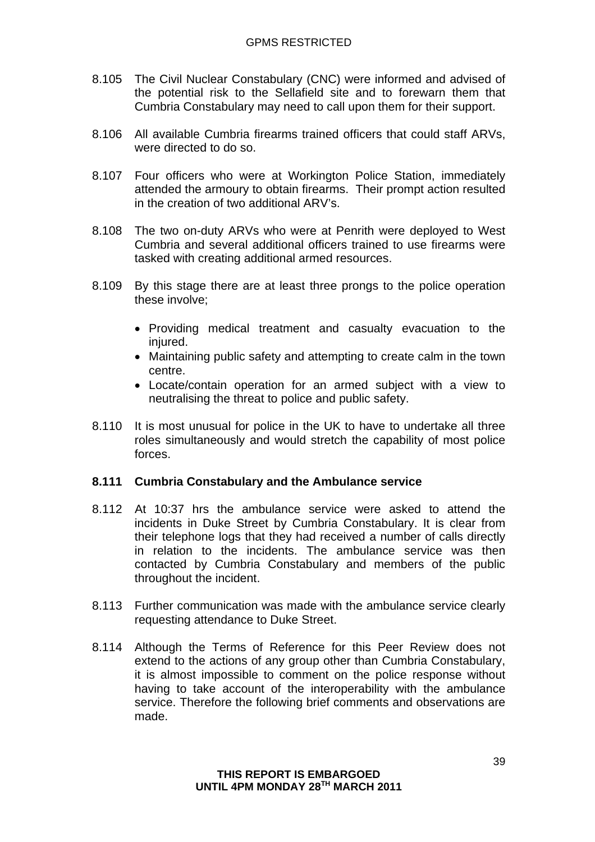- 8.105 The Civil Nuclear Constabulary (CNC) were informed and advised of the potential risk to the Sellafield site and to forewarn them that Cumbria Constabulary may need to call upon them for their support.
- 8.106 All available Cumbria firearms trained officers that could staff ARVs, were directed to do so.
- 8.107 Four officers who were at Workington Police Station, immediately attended the armoury to obtain firearms. Their prompt action resulted in the creation of two additional ARV's.
- 8.108 The two on-duty ARVs who were at Penrith were deployed to West Cumbria and several additional officers trained to use firearms were tasked with creating additional armed resources.
- 8.109 By this stage there are at least three prongs to the police operation these involve;
	- Providing medical treatment and casualty evacuation to the injured.
	- Maintaining public safety and attempting to create calm in the town centre.
	- Locate/contain operation for an armed subject with a view to neutralising the threat to police and public safety.
- 8.110 It is most unusual for police in the UK to have to undertake all three roles simultaneously and would stretch the capability of most police forces.

## **8.111 Cumbria Constabulary and the Ambulance service**

- 8.112 At 10:37 hrs the ambulance service were asked to attend the incidents in Duke Street by Cumbria Constabulary. It is clear from their telephone logs that they had received a number of calls directly in relation to the incidents. The ambulance service was then contacted by Cumbria Constabulary and members of the public throughout the incident.
- 8.113 Further communication was made with the ambulance service clearly requesting attendance to Duke Street.
- 8.114 Although the Terms of Reference for this Peer Review does not extend to the actions of any group other than Cumbria Constabulary, it is almost impossible to comment on the police response without having to take account of the interoperability with the ambulance service. Therefore the following brief comments and observations are made.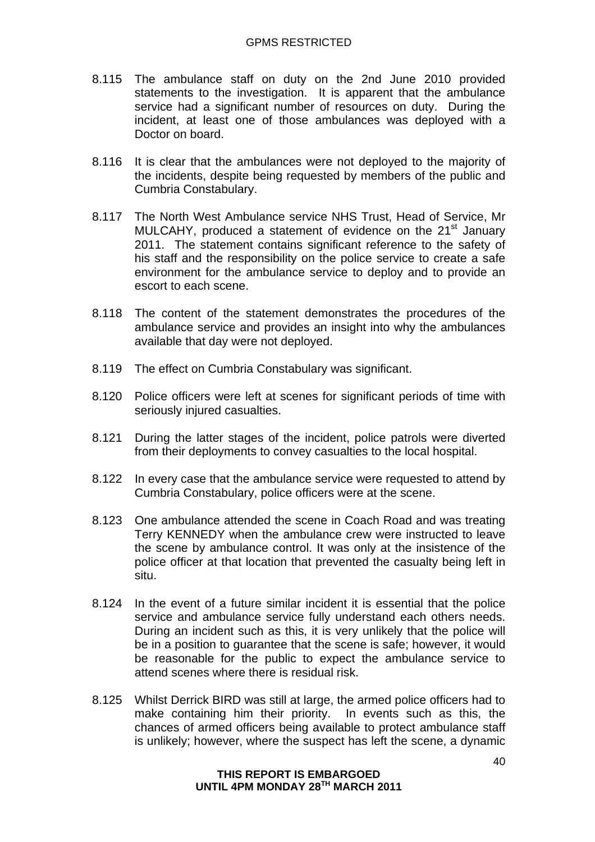- 8.115 The ambulance staff on duty on the 2nd June 2010 provided statements to the investigation. It is apparent that the ambulance service had a significant number of resources on duty. During the incident, at least one of those ambulances was deployed with a Doctor on board.
- 8.116 It is clear that the ambulances were not deployed to the majority of the incidents, despite being requested by members of the public and Cumbria Constabulary.
- 8.117 The North West Ambulance service NHS Trust, Head of Service, Mr MULCAHY, produced a statement of evidence on the 21<sup>st</sup> January 2011. The statement contains significant reference to the safety of his staff and the responsibility on the police service to create a safe environment for the ambulance service to deploy and to provide an escort to each scene.
- 8.118 The content of the statement demonstrates the procedures of the ambulance service and provides an insight into why the ambulances available that day were not deployed.
- 8.119 The effect on Cumbria Constabulary was significant.
- 8.120 Police officers were left at scenes for significant periods of time with seriously injured casualties.
- 8.121 During the latter stages of the incident, police patrols were diverted from their deployments to convey casualties to the local hospital.
- 8.122 In every case that the ambulance service were requested to attend by Cumbria Constabulary, police officers were at the scene.
- 8.123 One ambulance attended the scene in Coach Road and was treating Terry KENNEDY when the ambulance crew were instructed to leave the scene by ambulance control. It was only at the insistence of the police officer at that location that prevented the casualty being left in situ.
- 8.124 In the event of a future similar incident it is essential that the police service and ambulance service fully understand each others needs. During an incident such as this, it is very unlikely that the police will be in a position to guarantee that the scene is safe; however, it would be reasonable for the public to expect the ambulance service to attend scenes where there is residual risk.
- 8.125 Whilst Derrick BIRD was still at large, the armed police officers had to make containing him their priority. In events such as this, the chances of armed officers being available to protect ambulance staff is unlikely; however, where the suspect has left the scene, a dynamic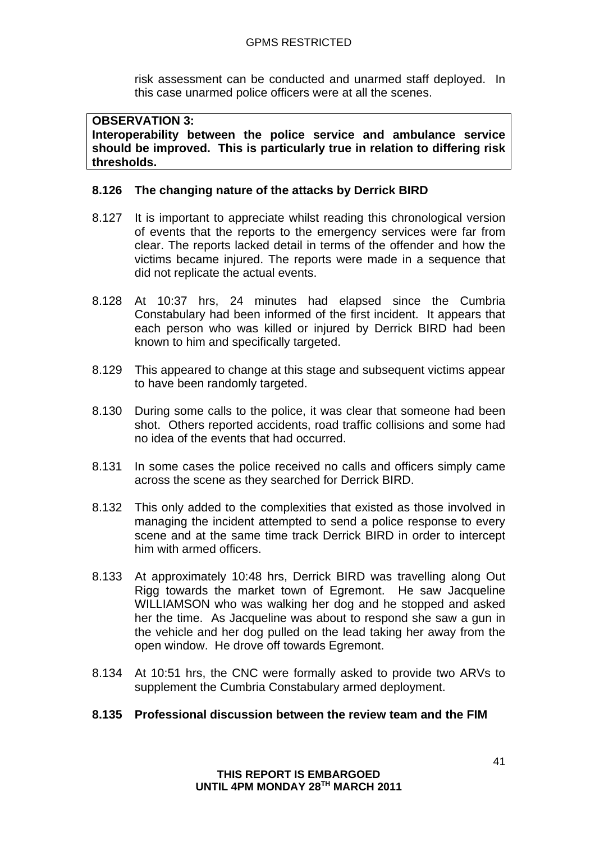### GPMS RESTRICTED

risk assessment can be conducted and unarmed staff deployed. In this case unarmed police officers were at all the scenes.

# **OBSERVATION 3:**

**Interoperability between the police service and ambulance service should be improved. This is particularly true in relation to differing risk thresholds.** 

### **8.126 The changing nature of the attacks by Derrick BIRD**

- 8.127 It is important to appreciate whilst reading this chronological version of events that the reports to the emergency services were far from clear. The reports lacked detail in terms of the offender and how the victims became injured. The reports were made in a sequence that did not replicate the actual events.
- 8.128 At 10:37 hrs, 24 minutes had elapsed since the Cumbria Constabulary had been informed of the first incident. It appears that each person who was killed or injured by Derrick BIRD had been known to him and specifically targeted.
- 8.129 This appeared to change at this stage and subsequent victims appear to have been randomly targeted.
- 8.130 During some calls to the police, it was clear that someone had been shot. Others reported accidents, road traffic collisions and some had no idea of the events that had occurred.
- 8.131 In some cases the police received no calls and officers simply came across the scene as they searched for Derrick BIRD.
- 8.132 This only added to the complexities that existed as those involved in managing the incident attempted to send a police response to every scene and at the same time track Derrick BIRD in order to intercept him with armed officers.
- 8.133 At approximately 10:48 hrs, Derrick BIRD was travelling along Out Rigg towards the market town of Egremont. He saw Jacqueline WILLIAMSON who was walking her dog and he stopped and asked her the time. As Jacqueline was about to respond she saw a gun in the vehicle and her dog pulled on the lead taking her away from the open window. He drove off towards Egremont.
- 8.134 At 10:51 hrs, the CNC were formally asked to provide two ARVs to supplement the Cumbria Constabulary armed deployment.

## **8.135 Professional discussion between the review team and the FIM**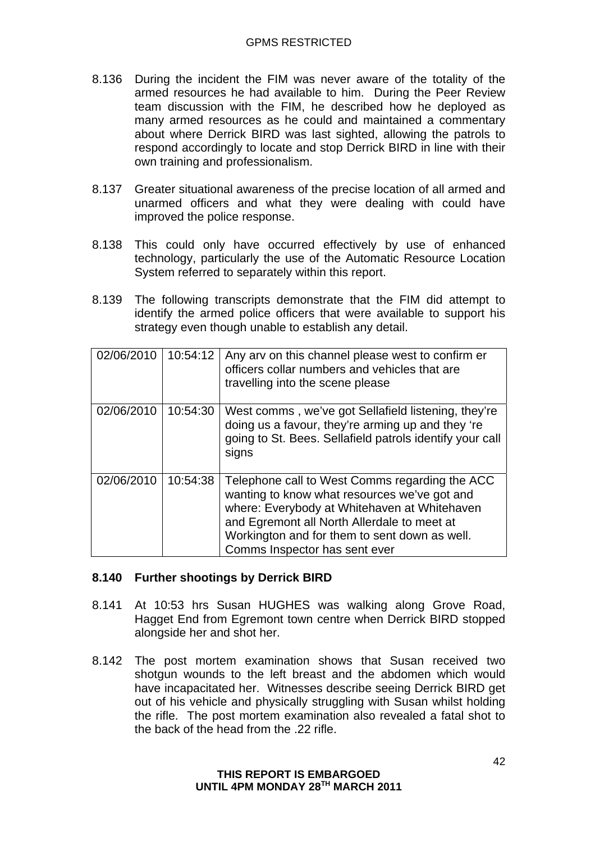- 8.136 During the incident the FIM was never aware of the totality of the armed resources he had available to him. During the Peer Review team discussion with the FIM, he described how he deployed as many armed resources as he could and maintained a commentary about where Derrick BIRD was last sighted, allowing the patrols to respond accordingly to locate and stop Derrick BIRD in line with their own training and professionalism.
- 8.137 Greater situational awareness of the precise location of all armed and unarmed officers and what they were dealing with could have improved the police response.
- 8.138 This could only have occurred effectively by use of enhanced technology, particularly the use of the Automatic Resource Location System referred to separately within this report.
- 8.139 The following transcripts demonstrate that the FIM did attempt to identify the armed police officers that were available to support his strategy even though unable to establish any detail.

| 02/06/2010 | 10:54:12 | Any arv on this channel please west to confirm er<br>officers collar numbers and vehicles that are<br>travelling into the scene please                                                                                                                                          |
|------------|----------|---------------------------------------------------------------------------------------------------------------------------------------------------------------------------------------------------------------------------------------------------------------------------------|
| 02/06/2010 | 10:54:30 | West comms, we've got Sellafield listening, they're<br>doing us a favour, they're arming up and they 're<br>going to St. Bees. Sellafield patrols identify your call<br>signs                                                                                                   |
| 02/06/2010 | 10:54:38 | Telephone call to West Comms regarding the ACC<br>wanting to know what resources we've got and<br>where: Everybody at Whitehaven at Whitehaven<br>and Egremont all North Allerdale to meet at<br>Workington and for them to sent down as well.<br>Comms Inspector has sent ever |

## **8.140 Further shootings by Derrick BIRD**

- 8.141 At 10:53 hrs Susan HUGHES was walking along Grove Road, Hagget End from Egremont town centre when Derrick BIRD stopped alongside her and shot her.
- 8.142 The post mortem examination shows that Susan received two shotgun wounds to the left breast and the abdomen which would have incapacitated her. Witnesses describe seeing Derrick BIRD get out of his vehicle and physically struggling with Susan whilst holding the rifle. The post mortem examination also revealed a fatal shot to the back of the head from the  $.22$  rifle.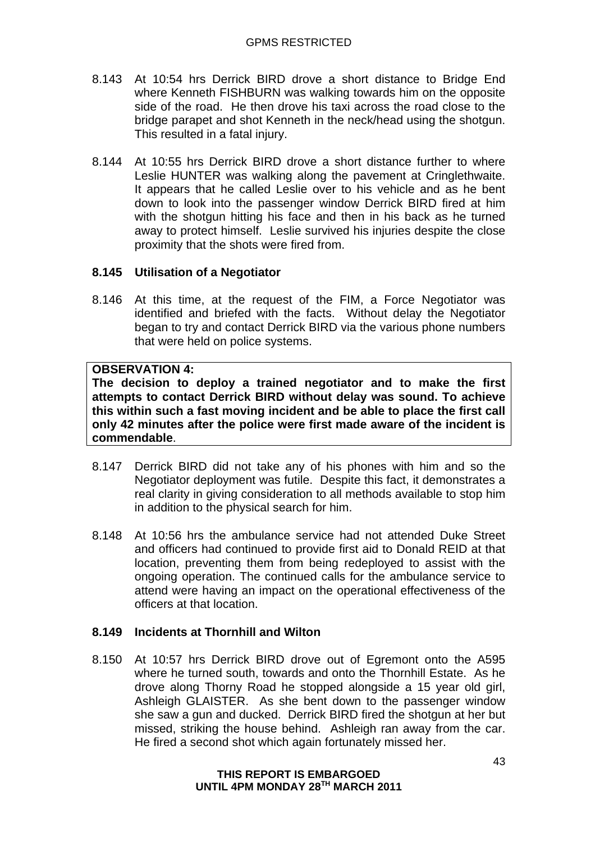- 8.143 At 10:54 hrs Derrick BIRD drove a short distance to Bridge End where Kenneth FISHBURN was walking towards him on the opposite side of the road. He then drove his taxi across the road close to the bridge parapet and shot Kenneth in the neck/head using the shotgun. This resulted in a fatal injury.
- 8.144 At 10:55 hrs Derrick BIRD drove a short distance further to where Leslie HUNTER was walking along the pavement at Cringlethwaite. It appears that he called Leslie over to his vehicle and as he bent down to look into the passenger window Derrick BIRD fired at him with the shotgun hitting his face and then in his back as he turned away to protect himself. Leslie survived his injuries despite the close proximity that the shots were fired from.

### **8.145 Utilisation of a Negotiator**

8.146 At this time, at the request of the FIM, a Force Negotiator was identified and briefed with the facts. Without delay the Negotiator began to try and contact Derrick BIRD via the various phone numbers that were held on police systems.

### **OBSERVATION 4:**

**The decision to deploy a trained negotiator and to make the first attempts to contact Derrick BIRD without delay was sound. To achieve this within such a fast moving incident and be able to place the first call only 42 minutes after the police were first made aware of the incident is commendable**.

- 8.147 Derrick BIRD did not take any of his phones with him and so the Negotiator deployment was futile. Despite this fact, it demonstrates a real clarity in giving consideration to all methods available to stop him in addition to the physical search for him.
- 8.148 At 10:56 hrs the ambulance service had not attended Duke Street and officers had continued to provide first aid to Donald REID at that location, preventing them from being redeployed to assist with the ongoing operation. The continued calls for the ambulance service to attend were having an impact on the operational effectiveness of the officers at that location.

## **8.149 Incidents at Thornhill and Wilton**

8.150 At 10:57 hrs Derrick BIRD drove out of Egremont onto the A595 where he turned south, towards and onto the Thornhill Estate. As he drove along Thorny Road he stopped alongside a 15 year old girl, Ashleigh GLAISTER. As she bent down to the passenger window she saw a gun and ducked. Derrick BIRD fired the shotgun at her but missed, striking the house behind. Ashleigh ran away from the car. He fired a second shot which again fortunately missed her.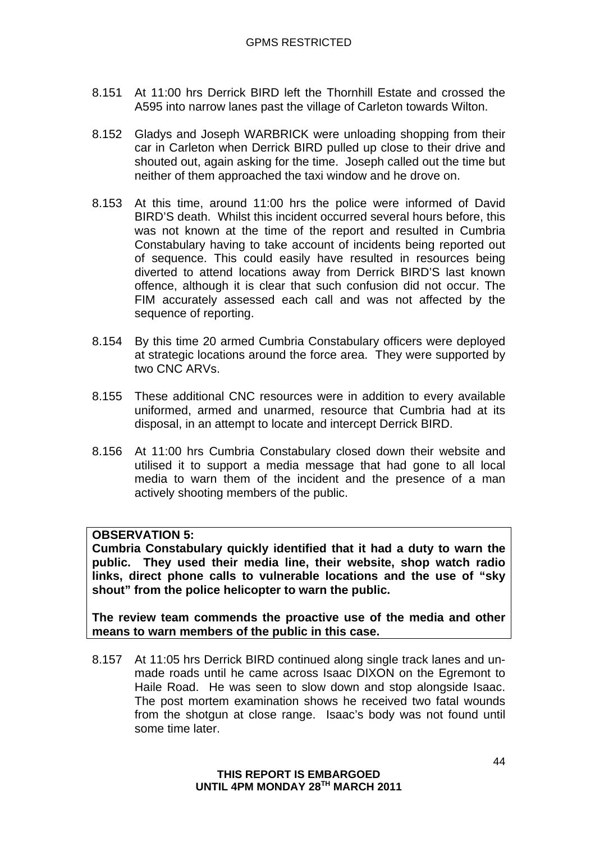- 8.151 At 11:00 hrs Derrick BIRD left the Thornhill Estate and crossed the A595 into narrow lanes past the village of Carleton towards Wilton.
- 8.152 Gladys and Joseph WARBRICK were unloading shopping from their car in Carleton when Derrick BIRD pulled up close to their drive and shouted out, again asking for the time. Joseph called out the time but neither of them approached the taxi window and he drove on.
- 8.153 At this time, around 11:00 hrs the police were informed of David BIRD'S death. Whilst this incident occurred several hours before, this was not known at the time of the report and resulted in Cumbria Constabulary having to take account of incidents being reported out of sequence. This could easily have resulted in resources being diverted to attend locations away from Derrick BIRD'S last known offence, although it is clear that such confusion did not occur. The FIM accurately assessed each call and was not affected by the sequence of reporting.
- 8.154 By this time 20 armed Cumbria Constabulary officers were deployed at strategic locations around the force area. They were supported by two CNC ARVs.
- 8.155 These additional CNC resources were in addition to every available uniformed, armed and unarmed, resource that Cumbria had at its disposal, in an attempt to locate and intercept Derrick BIRD.
- 8.156 At 11:00 hrs Cumbria Constabulary closed down their website and utilised it to support a media message that had gone to all local media to warn them of the incident and the presence of a man actively shooting members of the public.

## **OBSERVATION 5:**

**Cumbria Constabulary quickly identified that it had a duty to warn the public. They used their media line, their website, shop watch radio links, direct phone calls to vulnerable locations and the use of "sky shout" from the police helicopter to warn the public.** 

**The review team commends the proactive use of the media and other means to warn members of the public in this case.** 

8.157 At 11:05 hrs Derrick BIRD continued along single track lanes and unmade roads until he came across Isaac DIXON on the Egremont to Haile Road. He was seen to slow down and stop alongside Isaac. The post mortem examination shows he received two fatal wounds from the shotgun at close range. Isaac's body was not found until some time later.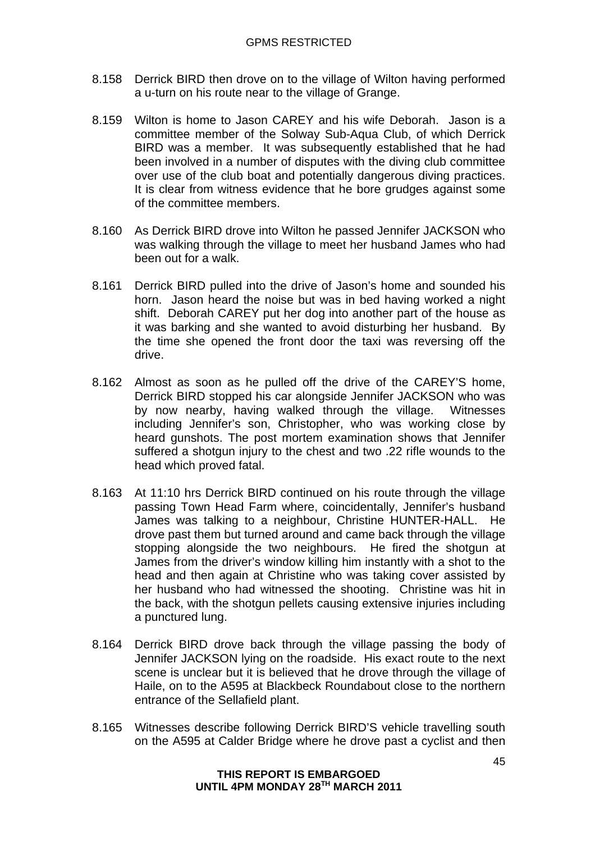- 8.158 Derrick BIRD then drove on to the village of Wilton having performed a u-turn on his route near to the village of Grange.
- 8.159 Wilton is home to Jason CAREY and his wife Deborah. Jason is a committee member of the Solway Sub-Aqua Club, of which Derrick BIRD was a member. It was subsequently established that he had been involved in a number of disputes with the diving club committee over use of the club boat and potentially dangerous diving practices. It is clear from witness evidence that he bore grudges against some of the committee members.
- 8.160 As Derrick BIRD drove into Wilton he passed Jennifer JACKSON who was walking through the village to meet her husband James who had been out for a walk.
- 8.161 Derrick BIRD pulled into the drive of Jason's home and sounded his horn. Jason heard the noise but was in bed having worked a night shift. Deborah CAREY put her dog into another part of the house as it was barking and she wanted to avoid disturbing her husband. By the time she opened the front door the taxi was reversing off the drive.
- 8.162 Almost as soon as he pulled off the drive of the CAREY'S home, Derrick BIRD stopped his car alongside Jennifer JACKSON who was by now nearby, having walked through the village. Witnesses including Jennifer's son, Christopher, who was working close by heard gunshots. The post mortem examination shows that Jennifer suffered a shotgun injury to the chest and two .22 rifle wounds to the head which proved fatal.
- 8.163 At 11:10 hrs Derrick BIRD continued on his route through the village passing Town Head Farm where, coincidentally, Jennifer's husband James was talking to a neighbour, Christine HUNTER-HALL. He drove past them but turned around and came back through the village stopping alongside the two neighbours. He fired the shotgun at James from the driver's window killing him instantly with a shot to the head and then again at Christine who was taking cover assisted by her husband who had witnessed the shooting. Christine was hit in the back, with the shotgun pellets causing extensive injuries including a punctured lung.
- 8.164 Derrick BIRD drove back through the village passing the body of Jennifer JACKSON lying on the roadside. His exact route to the next scene is unclear but it is believed that he drove through the village of Haile, on to the A595 at Blackbeck Roundabout close to the northern entrance of the Sellafield plant.
- 8.165 Witnesses describe following Derrick BIRD'S vehicle travelling south on the A595 at Calder Bridge where he drove past a cyclist and then

#### **THIS REPORT IS EMBARGOED UNTIL 4PM MONDAY 28TH MARCH 2011**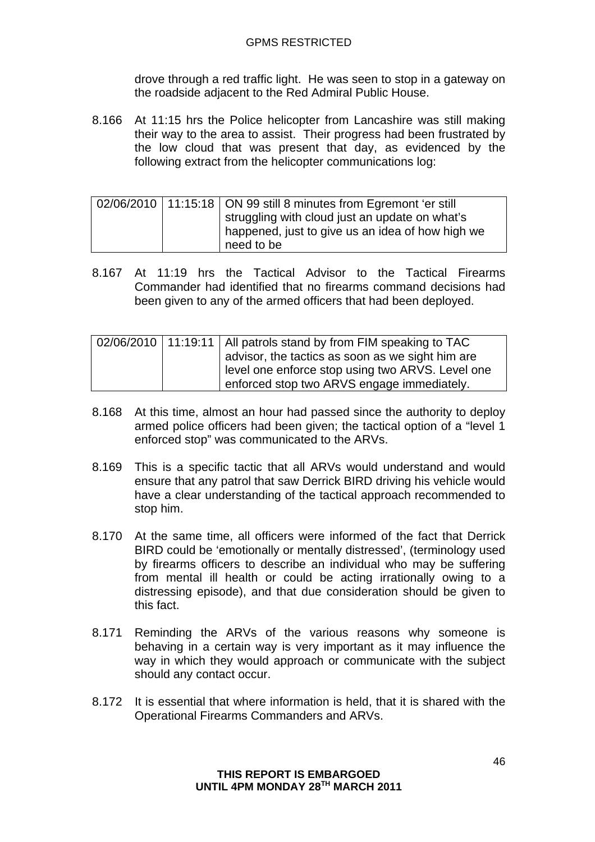### GPMS RESTRICTED

drove through a red traffic light. He was seen to stop in a gateway on the roadside adjacent to the Red Admiral Public House.

8.166 At 11:15 hrs the Police helicopter from Lancashire was still making their way to the area to assist. Their progress had been frustrated by the low cloud that was present that day, as evidenced by the following extract from the helicopter communications log:

|  | 02/06/2010   11:15:18   ON 99 still 8 minutes from Egremont 'er still |
|--|-----------------------------------------------------------------------|
|  | struggling with cloud just an update on what's                        |
|  | happened, just to give us an idea of how high we                      |
|  | need to be                                                            |

8.167 At 11:19 hrs the Tactical Advisor to the Tactical Firearms Commander had identified that no firearms command decisions had been given to any of the armed officers that had been deployed.

|  | $\vert$ 02/06/2010 $\vert$ 11:19:11 $\vert$ All patrols stand by from FIM speaking to TAC |
|--|-------------------------------------------------------------------------------------------|
|  | advisor, the tactics as soon as we sight him are                                          |
|  | level one enforce stop using two ARVS. Level one                                          |
|  | enforced stop two ARVS engage immediately.                                                |

- 8.168 At this time, almost an hour had passed since the authority to deploy armed police officers had been given; the tactical option of a "level 1 enforced stop" was communicated to the ARVs.
- 8.169 This is a specific tactic that all ARVs would understand and would ensure that any patrol that saw Derrick BIRD driving his vehicle would have a clear understanding of the tactical approach recommended to stop him.
- 8.170 At the same time, all officers were informed of the fact that Derrick BIRD could be 'emotionally or mentally distressed', (terminology used by firearms officers to describe an individual who may be suffering from mental ill health or could be acting irrationally owing to a distressing episode), and that due consideration should be given to this fact.
- 8.171 Reminding the ARVs of the various reasons why someone is behaving in a certain way is very important as it may influence the way in which they would approach or communicate with the subject should any contact occur.
- 8.172 It is essential that where information is held, that it is shared with the Operational Firearms Commanders and ARVs.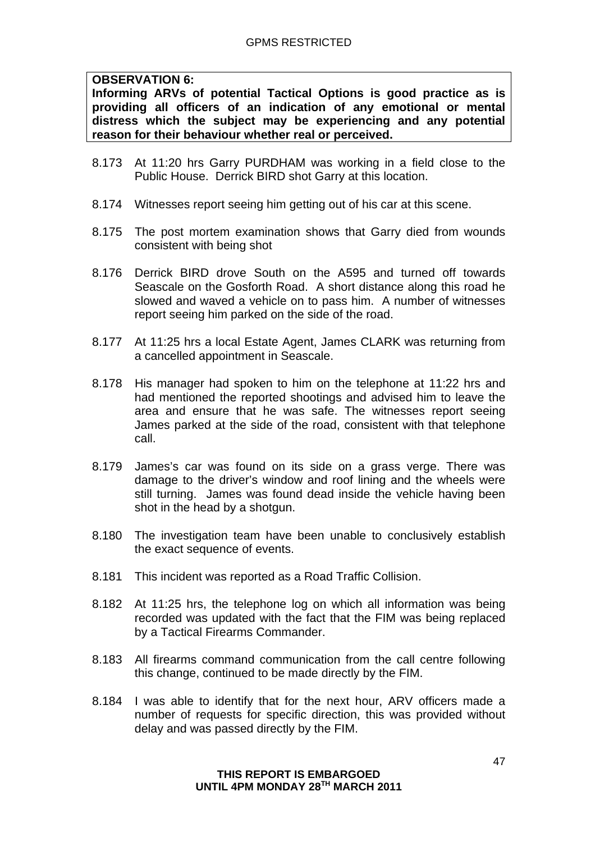## **OBSERVATION 6:**

**Informing ARVs of potential Tactical Options is good practice as is providing all officers of an indication of any emotional or mental distress which the subject may be experiencing and any potential reason for their behaviour whether real or perceived.**

- 8.173 At 11:20 hrs Garry PURDHAM was working in a field close to the Public House. Derrick BIRD shot Garry at this location.
- 8.174 Witnesses report seeing him getting out of his car at this scene.
- 8.175 The post mortem examination shows that Garry died from wounds consistent with being shot
- 8.176 Derrick BIRD drove South on the A595 and turned off towards Seascale on the Gosforth Road. A short distance along this road he slowed and waved a vehicle on to pass him. A number of witnesses report seeing him parked on the side of the road.
- 8.177 At 11:25 hrs a local Estate Agent, James CLARK was returning from a cancelled appointment in Seascale.
- 8.178 His manager had spoken to him on the telephone at 11:22 hrs and had mentioned the reported shootings and advised him to leave the area and ensure that he was safe. The witnesses report seeing James parked at the side of the road, consistent with that telephone call.
- 8.179 James's car was found on its side on a grass verge. There was damage to the driver's window and roof lining and the wheels were still turning. James was found dead inside the vehicle having been shot in the head by a shotgun.
- 8.180 The investigation team have been unable to conclusively establish the exact sequence of events.
- 8.181 This incident was reported as a Road Traffic Collision.
- 8.182 At 11:25 hrs, the telephone log on which all information was being recorded was updated with the fact that the FIM was being replaced by a Tactical Firearms Commander.
- 8.183 All firearms command communication from the call centre following this change, continued to be made directly by the FIM.
- 8.184 I was able to identify that for the next hour, ARV officers made a number of requests for specific direction, this was provided without delay and was passed directly by the FIM.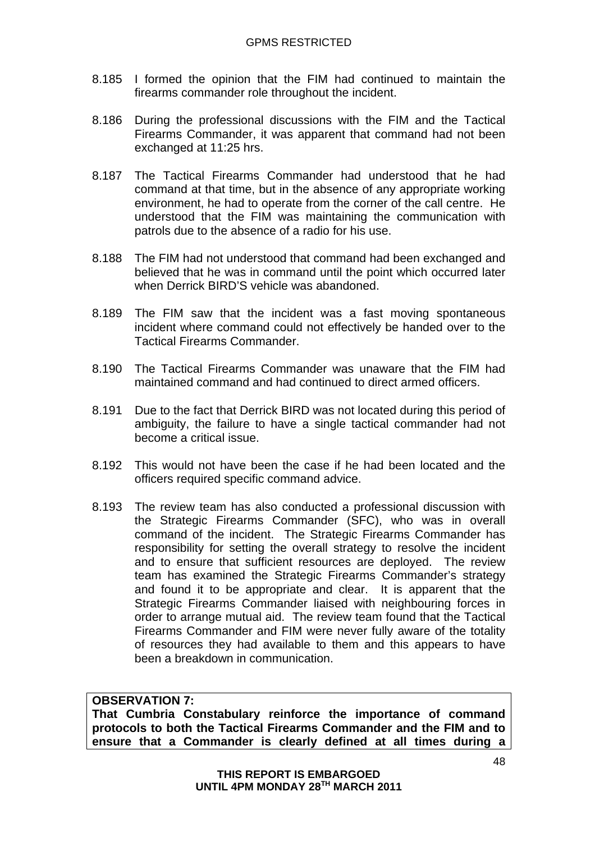- 8.185 I formed the opinion that the FIM had continued to maintain the firearms commander role throughout the incident.
- 8.186 During the professional discussions with the FIM and the Tactical Firearms Commander, it was apparent that command had not been exchanged at 11:25 hrs.
- 8.187 The Tactical Firearms Commander had understood that he had command at that time, but in the absence of any appropriate working environment, he had to operate from the corner of the call centre. He understood that the FIM was maintaining the communication with patrols due to the absence of a radio for his use.
- 8.188 The FIM had not understood that command had been exchanged and believed that he was in command until the point which occurred later when Derrick BIRD'S vehicle was abandoned.
- 8.189 The FIM saw that the incident was a fast moving spontaneous incident where command could not effectively be handed over to the Tactical Firearms Commander.
- 8.190 The Tactical Firearms Commander was unaware that the FIM had maintained command and had continued to direct armed officers.
- 8.191 Due to the fact that Derrick BIRD was not located during this period of ambiguity, the failure to have a single tactical commander had not become a critical issue.
- 8.192 This would not have been the case if he had been located and the officers required specific command advice.
- 8.193 The review team has also conducted a professional discussion with the Strategic Firearms Commander (SFC), who was in overall command of the incident. The Strategic Firearms Commander has responsibility for setting the overall strategy to resolve the incident and to ensure that sufficient resources are deployed. The review team has examined the Strategic Firearms Commander's strategy and found it to be appropriate and clear. It is apparent that the Strategic Firearms Commander liaised with neighbouring forces in order to arrange mutual aid. The review team found that the Tactical Firearms Commander and FIM were never fully aware of the totality of resources they had available to them and this appears to have been a breakdown in communication.

## **OBSERVATION 7:**

**That Cumbria Constabulary reinforce the importance of command protocols to both the Tactical Firearms Commander and the FIM and to ensure that a Commander is clearly defined at all times during a**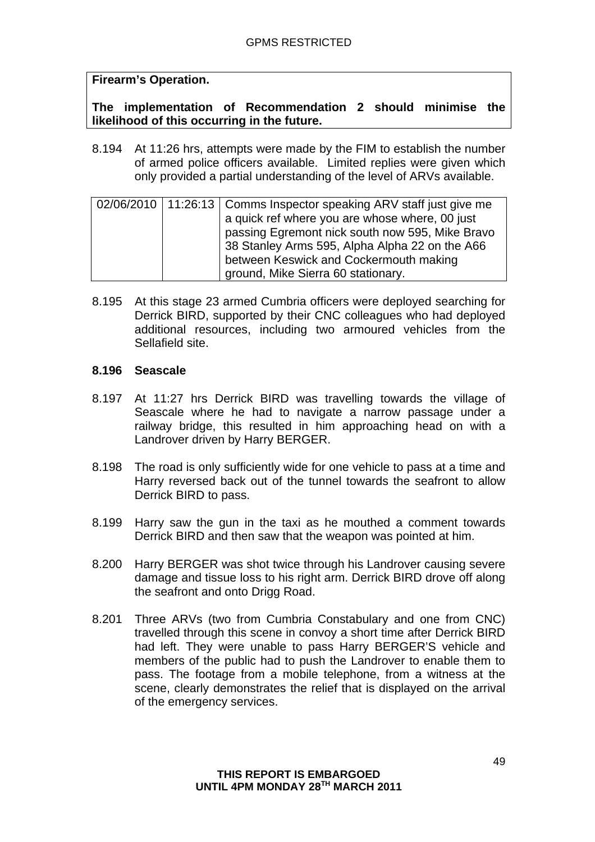## **Firearm's Operation.**

## **The implementation of Recommendation 2 should minimise the likelihood of this occurring in the future.**

8.194 At 11:26 hrs, attempts were made by the FIM to establish the number of armed police officers available. Limited replies were given which only provided a partial understanding of the level of ARVs available.

|  | 02/06/2010   11:26:13   Comms Inspector speaking ARV staff just give me |
|--|-------------------------------------------------------------------------|
|  | a quick ref where you are whose where, 00 just                          |
|  | passing Egremont nick south now 595, Mike Bravo                         |
|  | 38 Stanley Arms 595, Alpha Alpha 22 on the A66                          |
|  | between Keswick and Cockermouth making                                  |
|  | ground, Mike Sierra 60 stationary.                                      |

8.195 At this stage 23 armed Cumbria officers were deployed searching for Derrick BIRD, supported by their CNC colleagues who had deployed additional resources, including two armoured vehicles from the Sellafield site.

#### **8.196 Seascale**

- 8.197 At 11:27 hrs Derrick BIRD was travelling towards the village of Seascale where he had to navigate a narrow passage under a railway bridge, this resulted in him approaching head on with a Landrover driven by Harry BERGER.
- 8.198 The road is only sufficiently wide for one vehicle to pass at a time and Harry reversed back out of the tunnel towards the seafront to allow Derrick BIRD to pass.
- 8.199 Harry saw the gun in the taxi as he mouthed a comment towards Derrick BIRD and then saw that the weapon was pointed at him.
- 8.200 Harry BERGER was shot twice through his Landrover causing severe damage and tissue loss to his right arm. Derrick BIRD drove off along the seafront and onto Drigg Road.
- 8.201 Three ARVs (two from Cumbria Constabulary and one from CNC) travelled through this scene in convoy a short time after Derrick BIRD had left. They were unable to pass Harry BERGER'S vehicle and members of the public had to push the Landrover to enable them to pass. The footage from a mobile telephone, from a witness at the scene, clearly demonstrates the relief that is displayed on the arrival of the emergency services.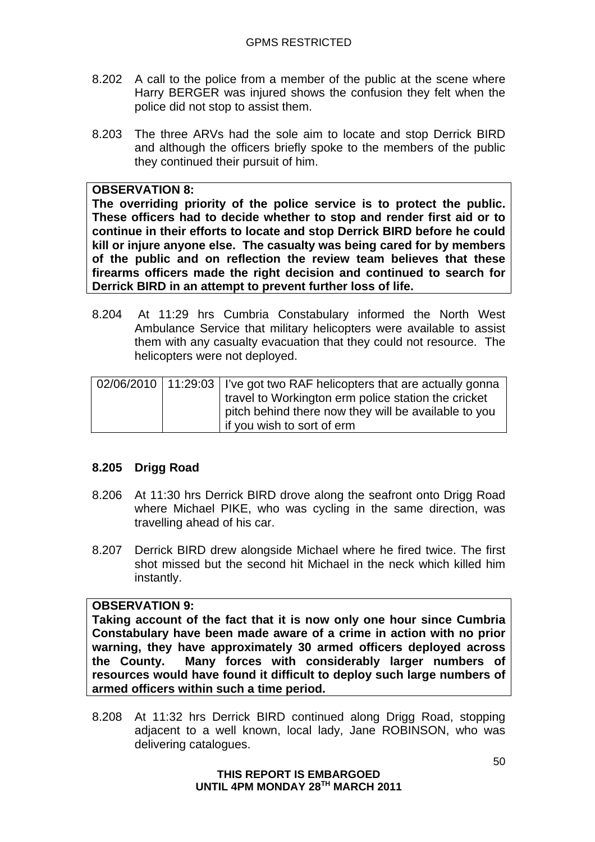- 8.202 A call to the police from a member of the public at the scene where Harry BERGER was injured shows the confusion they felt when the police did not stop to assist them.
- 8.203 The three ARVs had the sole aim to locate and stop Derrick BIRD and although the officers briefly spoke to the members of the public they continued their pursuit of him.

### **OBSERVATION 8:**

**The overriding priority of the police service is to protect the public. These officers had to decide whether to stop and render first aid or to continue in their efforts to locate and stop Derrick BIRD before he could kill or injure anyone else. The casualty was being cared for by members of the public and on reflection the review team believes that these firearms officers made the right decision and continued to search for Derrick BIRD in an attempt to prevent further loss of life.** 

8.204 At 11:29 hrs Cumbria Constabulary informed the North West Ambulance Service that military helicopters were available to assist them with any casualty evacuation that they could not resource. The helicopters were not deployed.

|  | 02/06/2010   11:29:03   I've got two RAF helicopters that are actually gonna |
|--|------------------------------------------------------------------------------|
|  | travel to Workington erm police station the cricket                          |
|  | pitch behind there now they will be available to you                         |
|  | I if you wish to sort of erm                                                 |

## **8.205 Drigg Road**

- 8.206 At 11:30 hrs Derrick BIRD drove along the seafront onto Drigg Road where Michael PIKE, who was cycling in the same direction, was travelling ahead of his car.
- 8.207 Derrick BIRD drew alongside Michael where he fired twice. The first shot missed but the second hit Michael in the neck which killed him instantly.

# **OBSERVATION 9:**

**Taking account of the fact that it is now only one hour since Cumbria Constabulary have been made aware of a crime in action with no prior warning, they have approximately 30 armed officers deployed across the County. Many forces with considerably larger numbers of resources would have found it difficult to deploy such large numbers of armed officers within such a time period.** 

8.208 At 11:32 hrs Derrick BIRD continued along Drigg Road, stopping adjacent to a well known, local lady, Jane ROBINSON, who was delivering catalogues.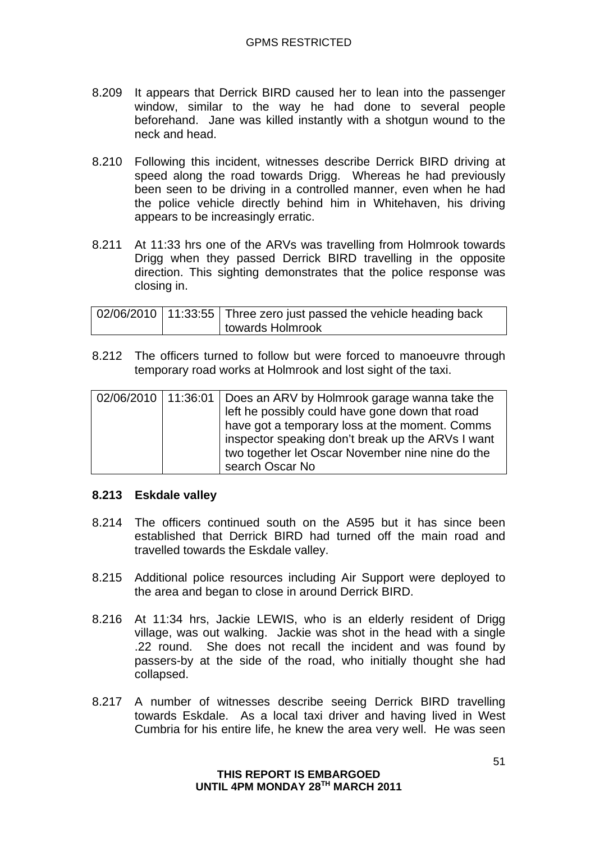- 8.209 It appears that Derrick BIRD caused her to lean into the passenger window, similar to the way he had done to several people beforehand. Jane was killed instantly with a shotgun wound to the neck and head.
- 8.210 Following this incident, witnesses describe Derrick BIRD driving at speed along the road towards Drigg. Whereas he had previously been seen to be driving in a controlled manner, even when he had the police vehicle directly behind him in Whitehaven, his driving appears to be increasingly erratic.
- 8.211 At 11:33 hrs one of the ARVs was travelling from Holmrook towards Drigg when they passed Derrick BIRD travelling in the opposite direction. This sighting demonstrates that the police response was closing in.

|  | $\vert$ 02/06/2010 $\vert$ 11:33:55 $\vert$ Three zero just passed the vehicle heading back |
|--|---------------------------------------------------------------------------------------------|
|  | towards Holmrook                                                                            |

8.212 The officers turned to follow but were forced to manoeuvre through temporary road works at Holmrook and lost sight of the taxi.

|  | 02/06/2010   11:36:01   Does an ARV by Holmrook garage wanna take the |
|--|-----------------------------------------------------------------------|
|  | left he possibly could have gone down that road                       |
|  | have got a temporary loss at the moment. Comms                        |
|  | inspector speaking don't break up the ARVs I want                     |
|  | two together let Oscar November nine nine do the                      |
|  | search Oscar No                                                       |

## **8.213 Eskdale valley**

- 8.214 The officers continued south on the A595 but it has since been established that Derrick BIRD had turned off the main road and travelled towards the Eskdale valley.
- 8.215 Additional police resources including Air Support were deployed to the area and began to close in around Derrick BIRD.
- 8.216 At 11:34 hrs, Jackie LEWIS, who is an elderly resident of Drigg village, was out walking. Jackie was shot in the head with a single .22 round. She does not recall the incident and was found by passers-by at the side of the road, who initially thought she had collapsed.
- 8.217 A number of witnesses describe seeing Derrick BIRD travelling towards Eskdale. As a local taxi driver and having lived in West Cumbria for his entire life, he knew the area very well. He was seen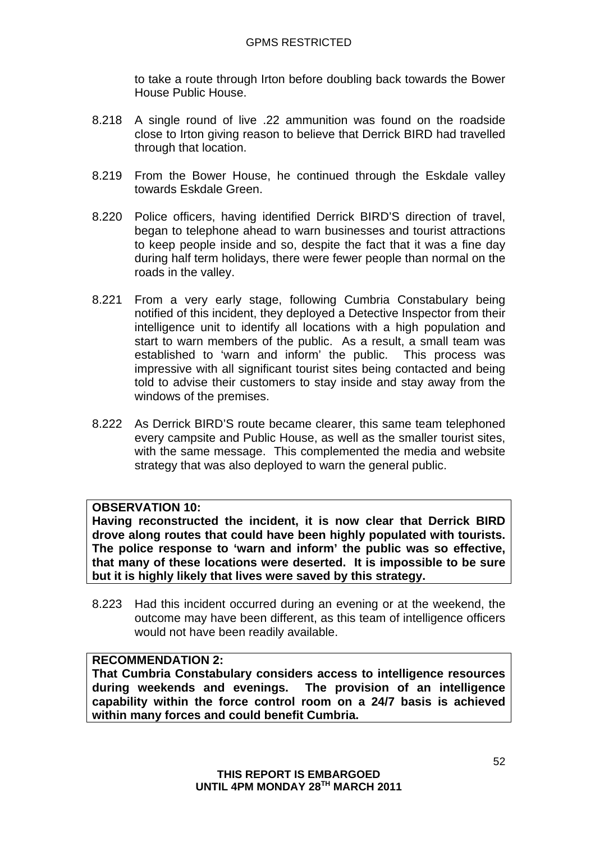to take a route through Irton before doubling back towards the Bower House Public House.

- 8.218 A single round of live .22 ammunition was found on the roadside close to Irton giving reason to believe that Derrick BIRD had travelled through that location.
- 8.219 From the Bower House, he continued through the Eskdale valley towards Eskdale Green.
- 8.220 Police officers, having identified Derrick BIRD'S direction of travel, began to telephone ahead to warn businesses and tourist attractions to keep people inside and so, despite the fact that it was a fine day during half term holidays, there were fewer people than normal on the roads in the valley.
- 8.221 From a very early stage, following Cumbria Constabulary being notified of this incident, they deployed a Detective Inspector from their intelligence unit to identify all locations with a high population and start to warn members of the public. As a result, a small team was established to 'warn and inform' the public. This process was impressive with all significant tourist sites being contacted and being told to advise their customers to stay inside and stay away from the windows of the premises.
- 8.222 As Derrick BIRD'S route became clearer, this same team telephoned every campsite and Public House, as well as the smaller tourist sites, with the same message. This complemented the media and website strategy that was also deployed to warn the general public.

## **OBSERVATION 10:**

**Having reconstructed the incident, it is now clear that Derrick BIRD drove along routes that could have been highly populated with tourists. The police response to 'warn and inform' the public was so effective, that many of these locations were deserted. It is impossible to be sure but it is highly likely that lives were saved by this strategy.**

8.223 Had this incident occurred during an evening or at the weekend, the outcome may have been different, as this team of intelligence officers would not have been readily available.

## **RECOMMENDATION 2:**

**That Cumbria Constabulary considers access to intelligence resources during weekends and evenings. The provision of an intelligence capability within the force control room on a 24/7 basis is achieved within many forces and could benefit Cumbria.**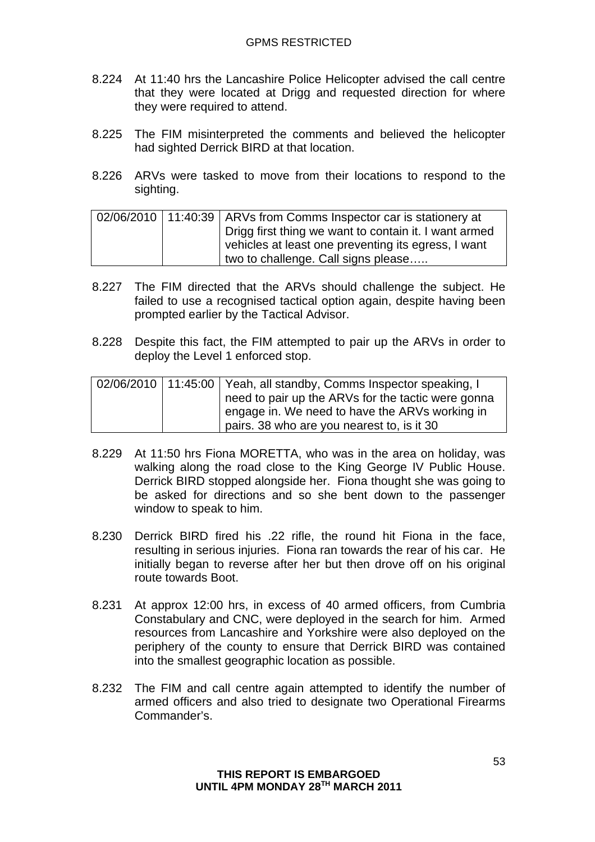- 8.224 At 11:40 hrs the Lancashire Police Helicopter advised the call centre that they were located at Drigg and requested direction for where they were required to attend.
- 8.225 The FIM misinterpreted the comments and believed the helicopter had sighted Derrick BIRD at that location.
- 8.226 ARVs were tasked to move from their locations to respond to the sighting.

|  | 02/06/2010   11:40:39   ARVs from Comms Inspector car is stationery at |
|--|------------------------------------------------------------------------|
|  | Drigg first thing we want to contain it. I want armed                  |
|  | vehicles at least one preventing its egress, I want                    |
|  | two to challenge. Call signs please                                    |

- 8.227 The FIM directed that the ARVs should challenge the subject. He failed to use a recognised tactical option again, despite having been prompted earlier by the Tactical Advisor.
- 8.228 Despite this fact, the FIM attempted to pair up the ARVs in order to deploy the Level 1 enforced stop.

|  | 02/06/2010   11:45:00   Yeah, all standby, Comms Inspector speaking, I<br>need to pair up the ARVs for the tactic were gonna |
|--|------------------------------------------------------------------------------------------------------------------------------|
|  | engage in. We need to have the ARVs working in<br>pairs. 38 who are you nearest to, is it 30                                 |

- 8.229 At 11:50 hrs Fiona MORETTA, who was in the area on holiday, was walking along the road close to the King George IV Public House. Derrick BIRD stopped alongside her. Fiona thought she was going to be asked for directions and so she bent down to the passenger window to speak to him.
- 8.230 Derrick BIRD fired his .22 rifle, the round hit Fiona in the face, resulting in serious injuries. Fiona ran towards the rear of his car. He initially began to reverse after her but then drove off on his original route towards Boot.
- 8.231 At approx 12:00 hrs, in excess of 40 armed officers, from Cumbria Constabulary and CNC, were deployed in the search for him. Armed resources from Lancashire and Yorkshire were also deployed on the periphery of the county to ensure that Derrick BIRD was contained into the smallest geographic location as possible.
- 8.232 The FIM and call centre again attempted to identify the number of armed officers and also tried to designate two Operational Firearms Commander's.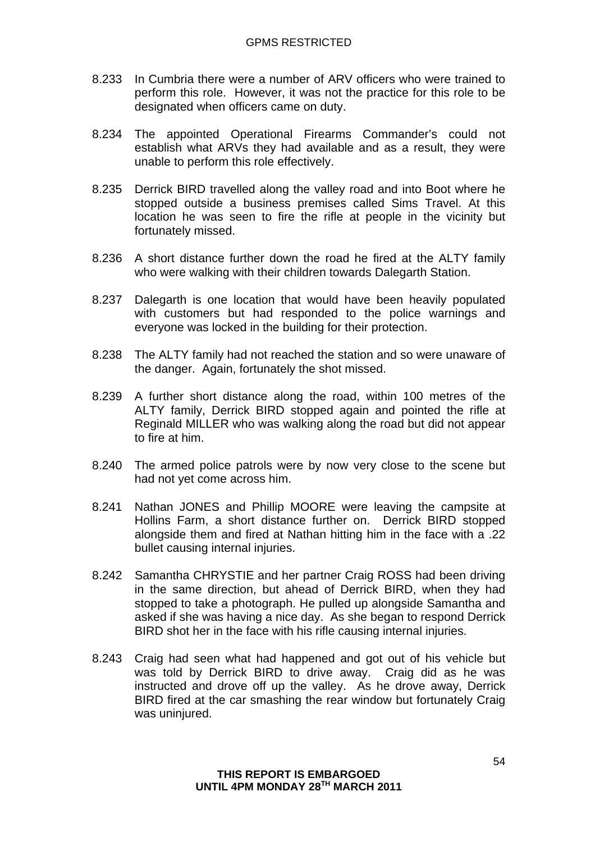- 8.233 In Cumbria there were a number of ARV officers who were trained to perform this role. However, it was not the practice for this role to be designated when officers came on duty.
- 8.234 The appointed Operational Firearms Commander's could not establish what ARVs they had available and as a result, they were unable to perform this role effectively.
- 8.235 Derrick BIRD travelled along the valley road and into Boot where he stopped outside a business premises called Sims Travel. At this location he was seen to fire the rifle at people in the vicinity but fortunately missed.
- 8.236 A short distance further down the road he fired at the ALTY family who were walking with their children towards Dalegarth Station.
- 8.237 Dalegarth is one location that would have been heavily populated with customers but had responded to the police warnings and everyone was locked in the building for their protection.
- 8.238 The ALTY family had not reached the station and so were unaware of the danger. Again, fortunately the shot missed.
- 8.239 A further short distance along the road, within 100 metres of the ALTY family, Derrick BIRD stopped again and pointed the rifle at Reginald MILLER who was walking along the road but did not appear to fire at him.
- 8.240 The armed police patrols were by now very close to the scene but had not yet come across him.
- 8.241 Nathan JONES and Phillip MOORE were leaving the campsite at Hollins Farm, a short distance further on. Derrick BIRD stopped alongside them and fired at Nathan hitting him in the face with a .22 bullet causing internal injuries.
- 8.242 Samantha CHRYSTIE and her partner Craig ROSS had been driving in the same direction, but ahead of Derrick BIRD, when they had stopped to take a photograph. He pulled up alongside Samantha and asked if she was having a nice day. As she began to respond Derrick BIRD shot her in the face with his rifle causing internal injuries.
- 8.243 Craig had seen what had happened and got out of his vehicle but was told by Derrick BIRD to drive away. Craig did as he was instructed and drove off up the valley. As he drove away, Derrick BIRD fired at the car smashing the rear window but fortunately Craig was uninjured.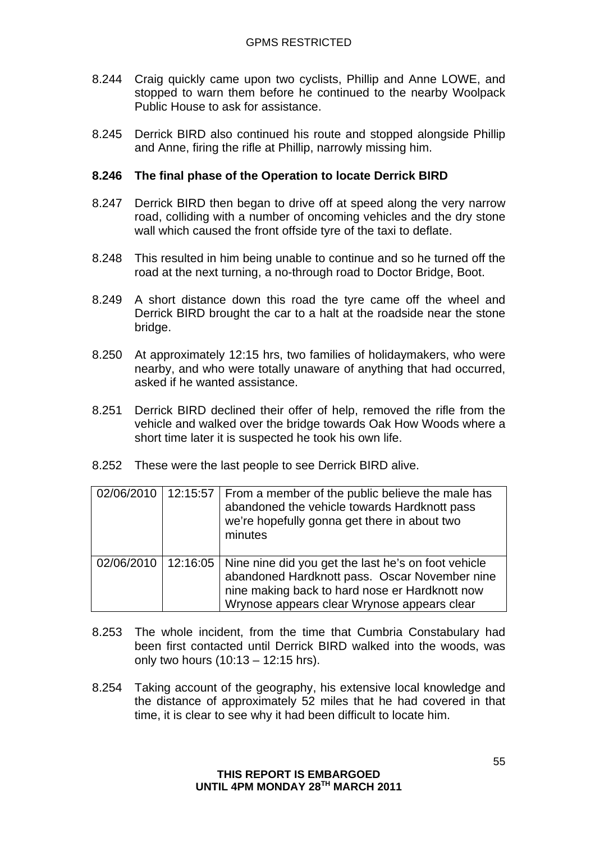- 8.244 Craig quickly came upon two cyclists, Phillip and Anne LOWE, and stopped to warn them before he continued to the nearby Woolpack Public House to ask for assistance.
- 8.245 Derrick BIRD also continued his route and stopped alongside Phillip and Anne, firing the rifle at Phillip, narrowly missing him.

## **8.246 The final phase of the Operation to locate Derrick BIRD**

- 8.247 Derrick BIRD then began to drive off at speed along the very narrow road, colliding with a number of oncoming vehicles and the dry stone wall which caused the front offside tyre of the taxi to deflate.
- 8.248 This resulted in him being unable to continue and so he turned off the road at the next turning, a no-through road to Doctor Bridge, Boot.
- 8.249 A short distance down this road the tyre came off the wheel and Derrick BIRD brought the car to a halt at the roadside near the stone bridge.
- 8.250 At approximately 12:15 hrs, two families of holidaymakers, who were nearby, and who were totally unaware of anything that had occurred, asked if he wanted assistance.
- 8.251 Derrick BIRD declined their offer of help, removed the rifle from the vehicle and walked over the bridge towards Oak How Woods where a short time later it is suspected he took his own life.
- 8.252 These were the last people to see Derrick BIRD alive.

|  | 02/06/2010   12:15:57   From a member of the public believe the male has<br>abandoned the vehicle towards Hardknott pass<br>we're hopefully gonna get there in about two<br>minutes                                           |
|--|-------------------------------------------------------------------------------------------------------------------------------------------------------------------------------------------------------------------------------|
|  | 02/06/2010   12:16:05   Nine nine did you get the last he's on foot vehicle<br>abandoned Hardknott pass. Oscar November nine<br>nine making back to hard nose er Hardknott now<br>Wrynose appears clear Wrynose appears clear |

- 8.253 The whole incident, from the time that Cumbria Constabulary had been first contacted until Derrick BIRD walked into the woods, was only two hours (10:13 – 12:15 hrs).
- 8.254 Taking account of the geography, his extensive local knowledge and the distance of approximately 52 miles that he had covered in that time, it is clear to see why it had been difficult to locate him.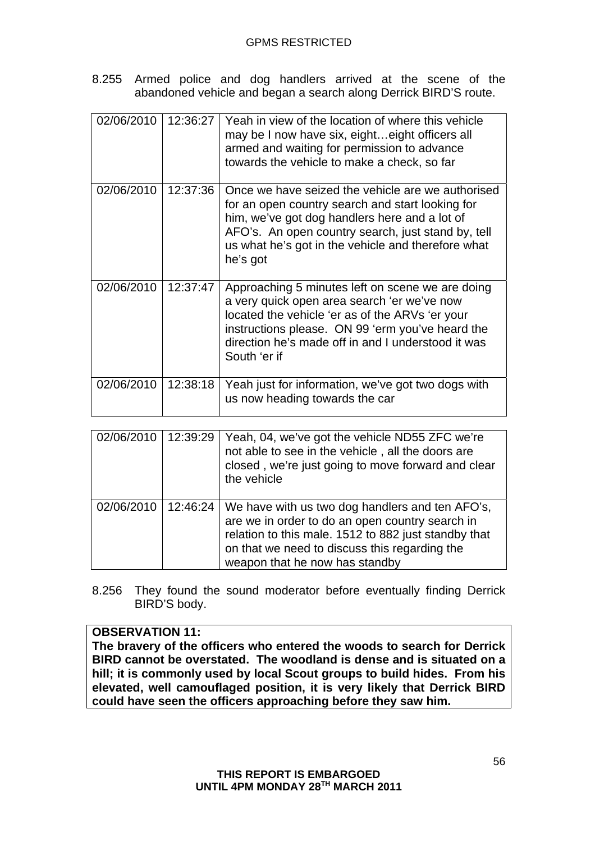8.255 Armed police and dog handlers arrived at the scene of the abandoned vehicle and began a search along Derrick BIRD'S route.

| 02/06/2010 | 12:36:27 | Yeah in view of the location of where this vehicle<br>may be I now have six, eight eight officers all<br>armed and waiting for permission to advance<br>towards the vehicle to make a check, so far                                                                            |
|------------|----------|--------------------------------------------------------------------------------------------------------------------------------------------------------------------------------------------------------------------------------------------------------------------------------|
| 02/06/2010 | 12:37:36 | Once we have seized the vehicle are we authorised<br>for an open country search and start looking for<br>him, we've got dog handlers here and a lot of<br>AFO's. An open country search, just stand by, tell<br>us what he's got in the vehicle and therefore what<br>he's got |
| 02/06/2010 | 12:37:47 | Approaching 5 minutes left on scene we are doing<br>a very quick open area search 'er we've now<br>located the vehicle 'er as of the ARVs 'er your<br>instructions please. ON 99 'erm you've heard the<br>direction he's made off in and I understood it was<br>South 'er if   |
| 02/06/2010 | 12:38:18 | Yeah just for information, we've got two dogs with<br>us now heading towards the car                                                                                                                                                                                           |

| 02/06/2010 | 12:39:29 | Yeah, 04, we've got the vehicle ND55 ZFC we're<br>not able to see in the vehicle, all the doors are<br>closed, we're just going to move forward and clear<br>the vehicle                                                                      |
|------------|----------|-----------------------------------------------------------------------------------------------------------------------------------------------------------------------------------------------------------------------------------------------|
| 02/06/2010 | 12:46:24 | We have with us two dog handlers and ten AFO's,<br>are we in order to do an open country search in<br>relation to this male. 1512 to 882 just standby that<br>on that we need to discuss this regarding the<br>weapon that he now has standby |

8.256 They found the sound moderator before eventually finding Derrick BIRD'S body.

# **OBSERVATION 11:**

**The bravery of the officers who entered the woods to search for Derrick BIRD cannot be overstated. The woodland is dense and is situated on a hill; it is commonly used by local Scout groups to build hides. From his elevated, well camouflaged position, it is very likely that Derrick BIRD could have seen the officers approaching before they saw him.**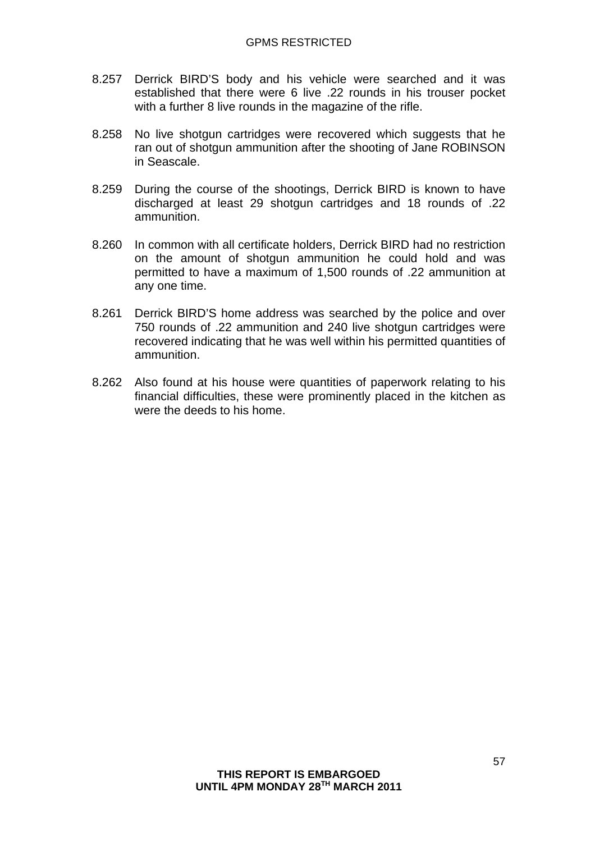- 8.257 Derrick BIRD'S body and his vehicle were searched and it was established that there were 6 live .22 rounds in his trouser pocket with a further 8 live rounds in the magazine of the rifle.
- 8.258 No live shotgun cartridges were recovered which suggests that he ran out of shotgun ammunition after the shooting of Jane ROBINSON in Seascale.
- 8.259 During the course of the shootings, Derrick BIRD is known to have discharged at least 29 shotgun cartridges and 18 rounds of .22 ammunition.
- 8.260 In common with all certificate holders, Derrick BIRD had no restriction on the amount of shotgun ammunition he could hold and was permitted to have a maximum of 1,500 rounds of .22 ammunition at any one time.
- 8.261 Derrick BIRD'S home address was searched by the police and over 750 rounds of .22 ammunition and 240 live shotgun cartridges were recovered indicating that he was well within his permitted quantities of ammunition.
- 8.262 Also found at his house were quantities of paperwork relating to his financial difficulties, these were prominently placed in the kitchen as were the deeds to his home.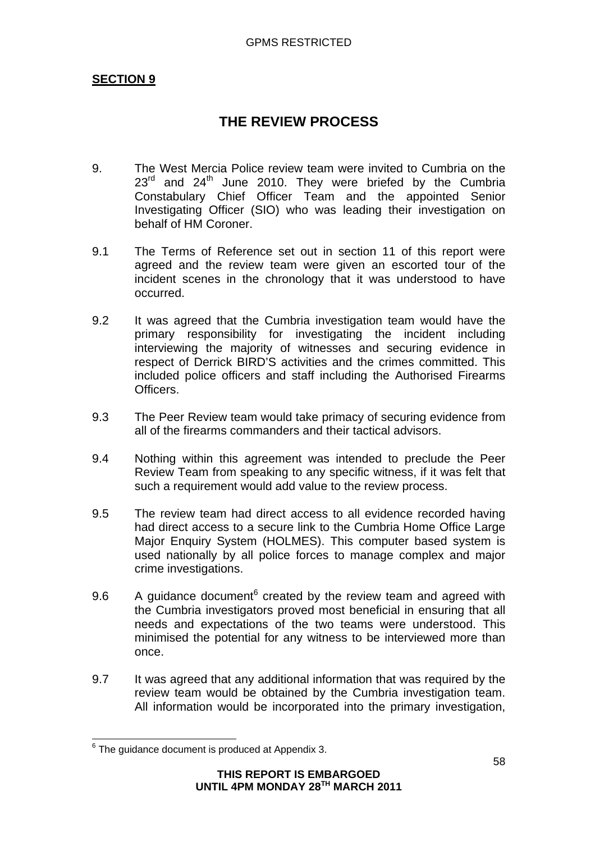# **SECTION 9**

# **THE REVIEW PROCESS**

- 9. The West Mercia Police review team were invited to Cumbria on the  $23^{\text{rd}}$  and  $24^{\text{th}}$  June 2010. They were briefed by the Cumbria Constabulary Chief Officer Team and the appointed Senior Investigating Officer (SIO) who was leading their investigation on behalf of HM Coroner.
- 9.1 The Terms of Reference set out in section 11 of this report were agreed and the review team were given an escorted tour of the incident scenes in the chronology that it was understood to have occurred.
- 9.2 It was agreed that the Cumbria investigation team would have the primary responsibility for investigating the incident including interviewing the majority of witnesses and securing evidence in respect of Derrick BIRD'S activities and the crimes committed. This included police officers and staff including the Authorised Firearms Officers.
- 9.3 The Peer Review team would take primacy of securing evidence from all of the firearms commanders and their tactical advisors.
- 9.4 Nothing within this agreement was intended to preclude the Peer Review Team from speaking to any specific witness, if it was felt that such a requirement would add value to the review process.
- 9.5 The review team had direct access to all evidence recorded having had direct access to a secure link to the Cumbria Home Office Large Major Enquiry System (HOLMES). This computer based system is used nationally by all police forces to manage complex and major crime investigations.
- 9.6  $\;\;$  A guidance document<sup>6</sup> created by the review team and agreed with the Cumbria investigators proved most beneficial in ensuring that all needs and expectations of the two teams were understood. This minimised the potential for any witness to be interviewed more than once.
- 9.7 It was agreed that any additional information that was required by the review team would be obtained by the Cumbria investigation team. All information would be incorporated into the primary investigation,

<sup>&</sup>lt;u>Endone and the mandal controller the guidance document is produced</u> at Appendix 3.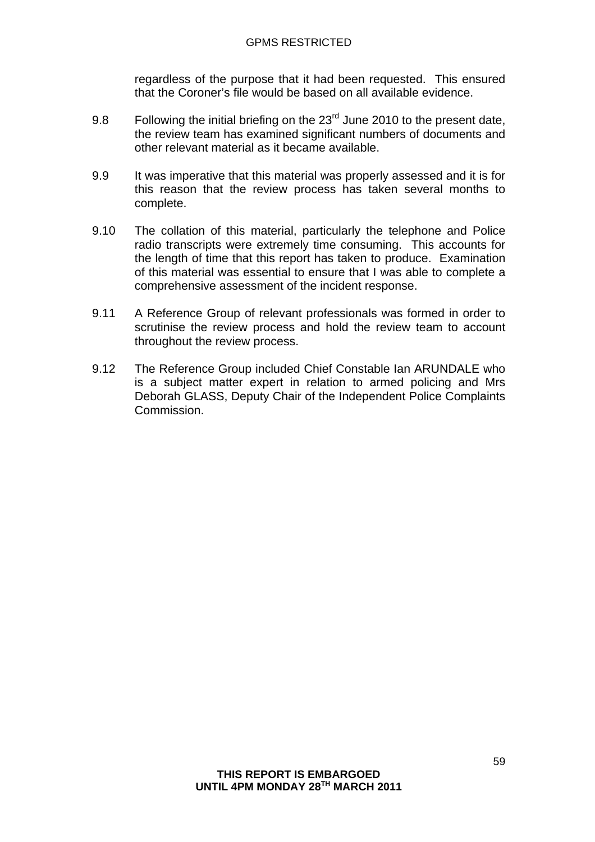regardless of the purpose that it had been requested. This ensured that the Coroner's file would be based on all available evidence.

- 9.8 Following the initial briefing on the  $23<sup>rd</sup>$  June 2010 to the present date, the review team has examined significant numbers of documents and other relevant material as it became available.
- 9.9 It was imperative that this material was properly assessed and it is for this reason that the review process has taken several months to complete.
- 9.10 The collation of this material, particularly the telephone and Police radio transcripts were extremely time consuming. This accounts for the length of time that this report has taken to produce. Examination of this material was essential to ensure that I was able to complete a comprehensive assessment of the incident response.
- 9.11 A Reference Group of relevant professionals was formed in order to scrutinise the review process and hold the review team to account throughout the review process.
- 9.12 The Reference Group included Chief Constable Ian ARUNDALE who is a subject matter expert in relation to armed policing and Mrs Deborah GLASS, Deputy Chair of the Independent Police Complaints Commission.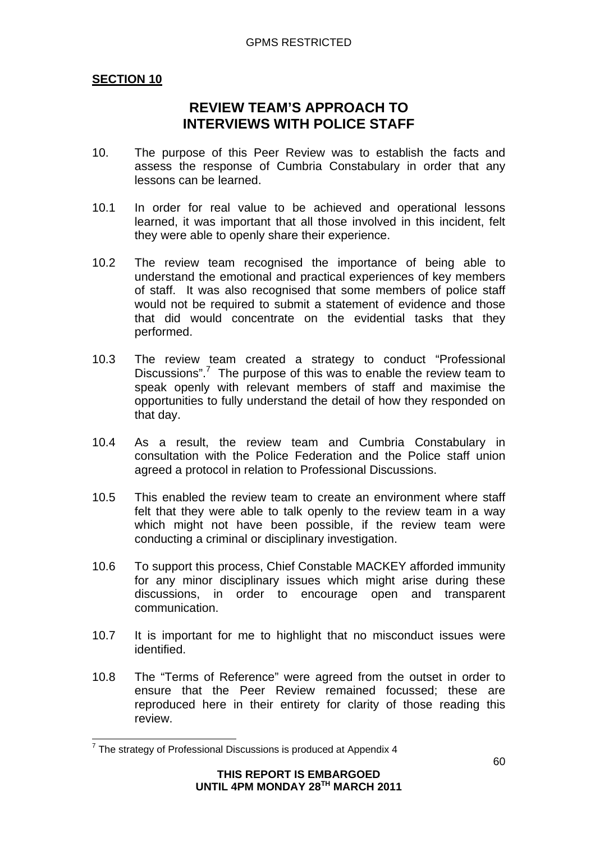# **SECTION 10**

# **REVIEW TEAM'S APPROACH TO INTERVIEWS WITH POLICE STAFF**

- 10. The purpose of this Peer Review was to establish the facts and assess the response of Cumbria Constabulary in order that any lessons can be learned.
- 10.1 In order for real value to be achieved and operational lessons learned, it was important that all those involved in this incident, felt they were able to openly share their experience.
- 10.2 The review team recognised the importance of being able to understand the emotional and practical experiences of key members of staff. It was also recognised that some members of police staff would not be required to submit a statement of evidence and those that did would concentrate on the evidential tasks that they performed.
- 10.3 The review team created a strategy to conduct "Professional Discussions".<sup>7</sup> The purpose of this was to enable the review team to speak openly with relevant members of staff and maximise the opportunities to fully understand the detail of how they responded on that day.
- 10.4 As a result, the review team and Cumbria Constabulary in consultation with the Police Federation and the Police staff union agreed a protocol in relation to Professional Discussions.
- 10.5 This enabled the review team to create an environment where staff felt that they were able to talk openly to the review team in a way which might not have been possible, if the review team were conducting a criminal or disciplinary investigation.
- 10.6 To support this process, Chief Constable MACKEY afforded immunity for any minor disciplinary issues which might arise during these discussions, in order to encourage open and transparent communication.
- 10.7 It is important for me to highlight that no misconduct issues were identified.
- 10.8 The "Terms of Reference" were agreed from the outset in order to ensure that the Peer Review remained focussed; these are reproduced here in their entirety for clarity of those reading this review.

 7 The strategy of Professional Discussions is produced at Appendix 4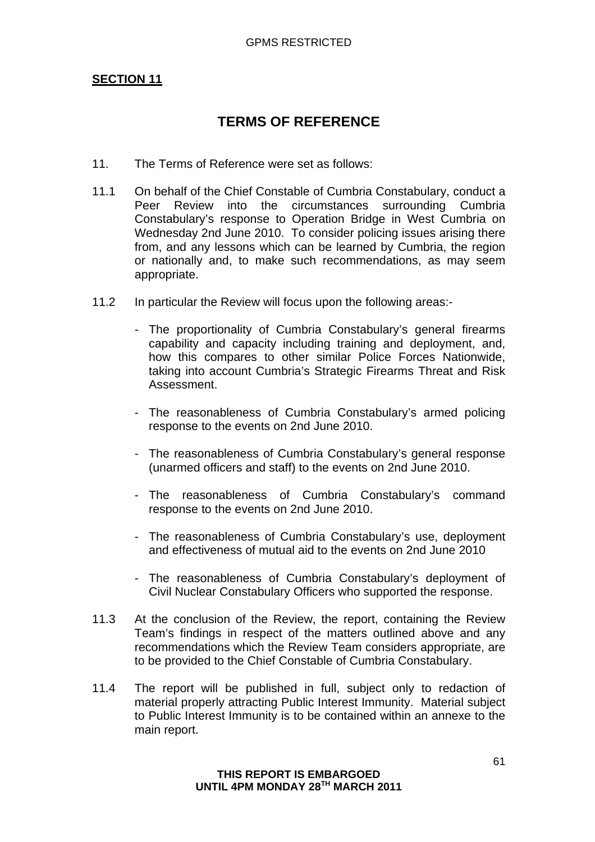# **SECTION 11**

# **TERMS OF REFERENCE**

- 11. The Terms of Reference were set as follows:
- 11.1 On behalf of the Chief Constable of Cumbria Constabulary, conduct a Peer Review into the circumstances surrounding Cumbria Constabulary's response to Operation Bridge in West Cumbria on Wednesday 2nd June 2010. To consider policing issues arising there from, and any lessons which can be learned by Cumbria, the region or nationally and, to make such recommendations, as may seem appropriate.
- 11.2 In particular the Review will focus upon the following areas:-
	- The proportionality of Cumbria Constabulary's general firearms capability and capacity including training and deployment, and, how this compares to other similar Police Forces Nationwide, taking into account Cumbria's Strategic Firearms Threat and Risk Assessment.
	- The reasonableness of Cumbria Constabulary's armed policing response to the events on 2nd June 2010.
	- The reasonableness of Cumbria Constabulary's general response (unarmed officers and staff) to the events on 2nd June 2010.
	- The reasonableness of Cumbria Constabulary's command response to the events on 2nd June 2010.
	- The reasonableness of Cumbria Constabulary's use, deployment and effectiveness of mutual aid to the events on 2nd June 2010
	- The reasonableness of Cumbria Constabulary's deployment of Civil Nuclear Constabulary Officers who supported the response.
- 11.3 At the conclusion of the Review, the report, containing the Review Team's findings in respect of the matters outlined above and any recommendations which the Review Team considers appropriate, are to be provided to the Chief Constable of Cumbria Constabulary.
- 11.4 The report will be published in full, subject only to redaction of material properly attracting Public Interest Immunity. Material subject to Public Interest Immunity is to be contained within an annexe to the main report.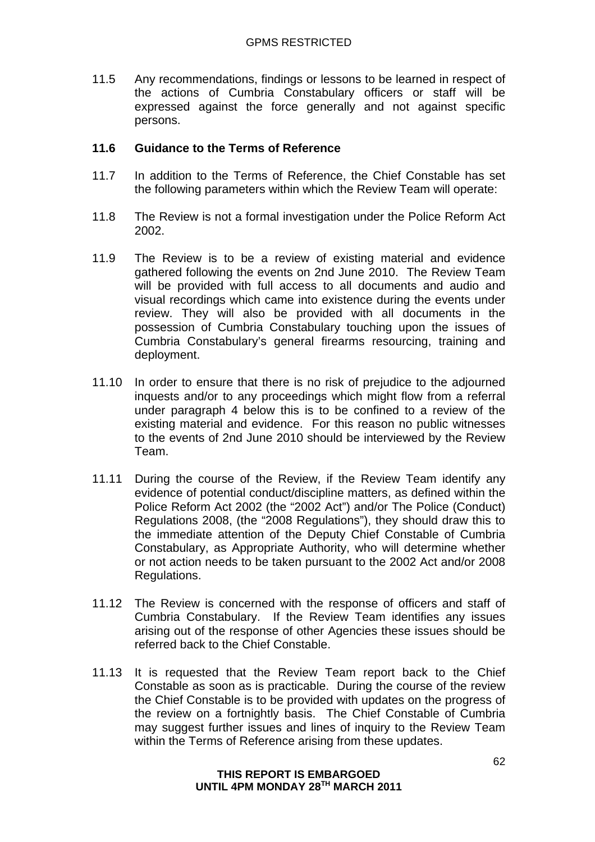11.5 Any recommendations, findings or lessons to be learned in respect of the actions of Cumbria Constabulary officers or staff will be expressed against the force generally and not against specific persons.

### **11.6 Guidance to the Terms of Reference**

- 11.7 In addition to the Terms of Reference, the Chief Constable has set the following parameters within which the Review Team will operate:
- 11.8 The Review is not a formal investigation under the Police Reform Act 2002.
- 11.9 The Review is to be a review of existing material and evidence gathered following the events on 2nd June 2010. The Review Team will be provided with full access to all documents and audio and visual recordings which came into existence during the events under review. They will also be provided with all documents in the possession of Cumbria Constabulary touching upon the issues of Cumbria Constabulary's general firearms resourcing, training and deployment.
- 11.10 In order to ensure that there is no risk of prejudice to the adjourned inquests and/or to any proceedings which might flow from a referral under paragraph 4 below this is to be confined to a review of the existing material and evidence. For this reason no public witnesses to the events of 2nd June 2010 should be interviewed by the Review Team.
- 11.11 During the course of the Review, if the Review Team identify any evidence of potential conduct/discipline matters, as defined within the Police Reform Act 2002 (the "2002 Act") and/or The Police (Conduct) Regulations 2008, (the "2008 Regulations"), they should draw this to the immediate attention of the Deputy Chief Constable of Cumbria Constabulary, as Appropriate Authority, who will determine whether or not action needs to be taken pursuant to the 2002 Act and/or 2008 Regulations.
- 11.12 The Review is concerned with the response of officers and staff of Cumbria Constabulary. If the Review Team identifies any issues arising out of the response of other Agencies these issues should be referred back to the Chief Constable.
- 11.13 It is requested that the Review Team report back to the Chief Constable as soon as is practicable. During the course of the review the Chief Constable is to be provided with updates on the progress of the review on a fortnightly basis. The Chief Constable of Cumbria may suggest further issues and lines of inquiry to the Review Team within the Terms of Reference arising from these updates.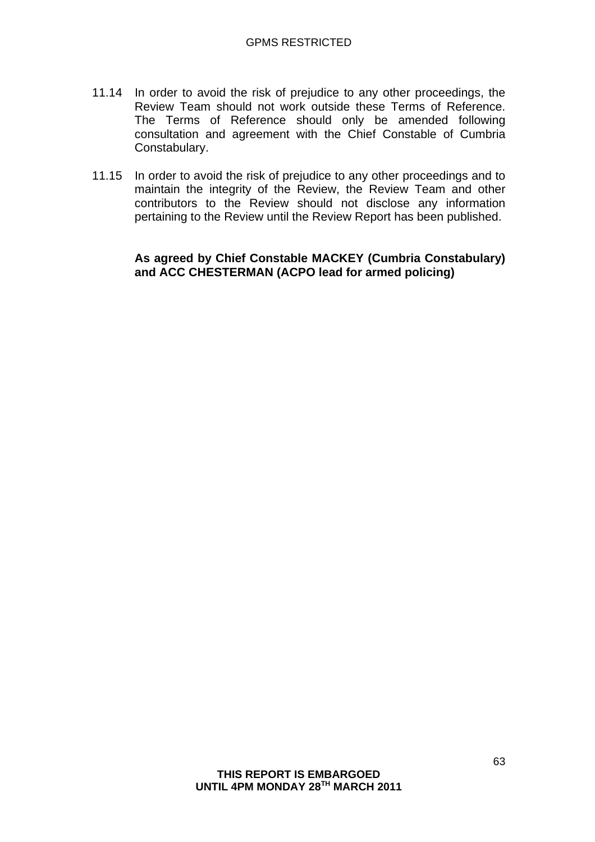- 11.14 In order to avoid the risk of prejudice to any other proceedings, the Review Team should not work outside these Terms of Reference. The Terms of Reference should only be amended following consultation and agreement with the Chief Constable of Cumbria Constabulary.
- 11.15 In order to avoid the risk of prejudice to any other proceedings and to maintain the integrity of the Review, the Review Team and other contributors to the Review should not disclose any information pertaining to the Review until the Review Report has been published.

### **As agreed by Chief Constable MACKEY (Cumbria Constabulary) and ACC CHESTERMAN (ACPO lead for armed policing)**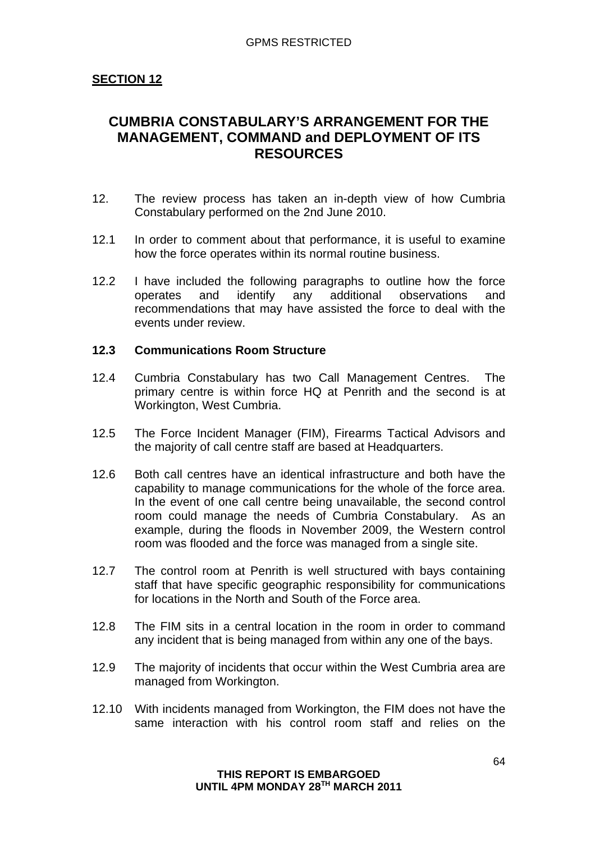# **SECTION 12**

# **CUMBRIA CONSTABULARY'S ARRANGEMENT FOR THE MANAGEMENT, COMMAND and DEPLOYMENT OF ITS RESOURCES**

- 12. The review process has taken an in-depth view of how Cumbria Constabulary performed on the 2nd June 2010.
- 12.1 In order to comment about that performance, it is useful to examine how the force operates within its normal routine business.
- 12.2 I have included the following paragraphs to outline how the force operates and identify any additional observations and recommendations that may have assisted the force to deal with the events under review.

## **12.3 Communications Room Structure**

- 12.4 Cumbria Constabulary has two Call Management Centres. The primary centre is within force HQ at Penrith and the second is at Workington, West Cumbria.
- 12.5 The Force Incident Manager (FIM), Firearms Tactical Advisors and the majority of call centre staff are based at Headquarters.
- 12.6 Both call centres have an identical infrastructure and both have the capability to manage communications for the whole of the force area. In the event of one call centre being unavailable, the second control room could manage the needs of Cumbria Constabulary. As an example, during the floods in November 2009, the Western control room was flooded and the force was managed from a single site.
- 12.7 The control room at Penrith is well structured with bays containing staff that have specific geographic responsibility for communications for locations in the North and South of the Force area.
- 12.8 The FIM sits in a central location in the room in order to command any incident that is being managed from within any one of the bays.
- 12.9 The majority of incidents that occur within the West Cumbria area are managed from Workington.
- 12.10 With incidents managed from Workington, the FIM does not have the same interaction with his control room staff and relies on the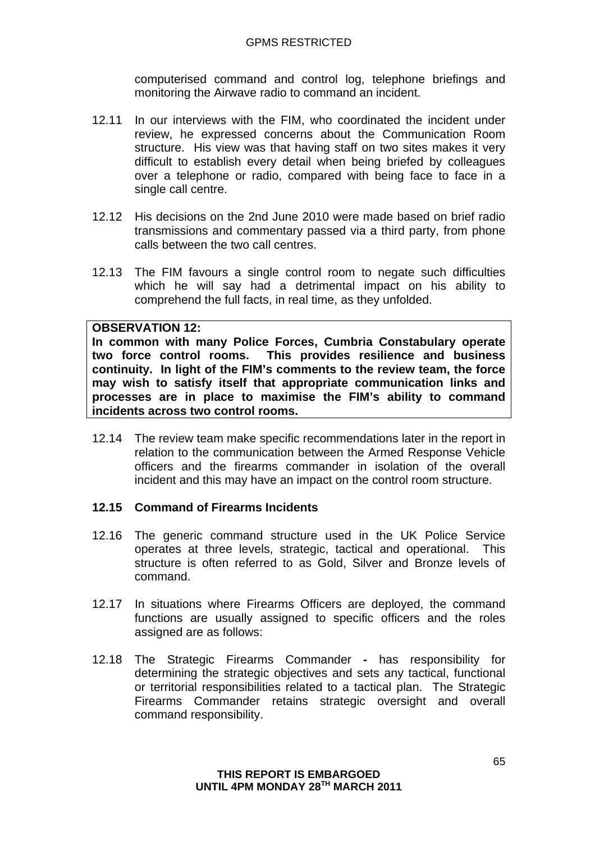computerised command and control log, telephone briefings and monitoring the Airwave radio to command an incident.

- 12.11 In our interviews with the FIM, who coordinated the incident under review, he expressed concerns about the Communication Room structure. His view was that having staff on two sites makes it very difficult to establish every detail when being briefed by colleagues over a telephone or radio, compared with being face to face in a single call centre.
- 12.12 His decisions on the 2nd June 2010 were made based on brief radio transmissions and commentary passed via a third party, from phone calls between the two call centres.
- 12.13 The FIM favours a single control room to negate such difficulties which he will say had a detrimental impact on his ability to comprehend the full facts, in real time, as they unfolded.

### **OBSERVATION 12:**

**In common with many Police Forces, Cumbria Constabulary operate two force control rooms. This provides resilience and business continuity. In light of the FIM's comments to the review team, the force may wish to satisfy itself that appropriate communication links and processes are in place to maximise the FIM's ability to command incidents across two control rooms.** 

12.14 The review team make specific recommendations later in the report in relation to the communication between the Armed Response Vehicle officers and the firearms commander in isolation of the overall incident and this may have an impact on the control room structure.

## **12.15 Command of Firearms Incidents**

- 12.16 The generic command structure used in the UK Police Service operates at three levels, strategic, tactical and operational. This structure is often referred to as Gold, Silver and Bronze levels of command.
- 12.17 In situations where Firearms Officers are deployed, the command functions are usually assigned to specific officers and the roles assigned are as follows:
- 12.18 The Strategic Firearms Commander has responsibility for determining the strategic objectives and sets any tactical, functional or territorial responsibilities related to a tactical plan. The Strategic Firearms Commander retains strategic oversight and overall command responsibility.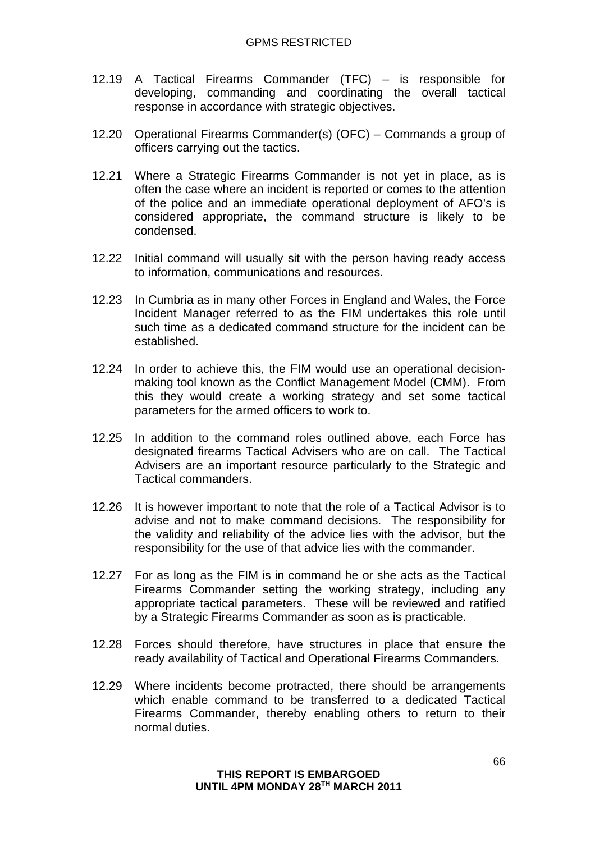- 12.19 A Tactical Firearms Commander (TFC) is responsible for developing, commanding and coordinating the overall tactical response in accordance with strategic objectives.
- 12.20 Operational Firearms Commander(s) (OFC) Commands a group of officers carrying out the tactics.
- 12.21 Where a Strategic Firearms Commander is not yet in place, as is often the case where an incident is reported or comes to the attention of the police and an immediate operational deployment of AFO's is considered appropriate, the command structure is likely to be condensed.
- 12.22 Initial command will usually sit with the person having ready access to information, communications and resources.
- 12.23 In Cumbria as in many other Forces in England and Wales, the Force Incident Manager referred to as the FIM undertakes this role until such time as a dedicated command structure for the incident can be established.
- 12.24 In order to achieve this, the FIM would use an operational decisionmaking tool known as the Conflict Management Model (CMM). From this they would create a working strategy and set some tactical parameters for the armed officers to work to.
- 12.25 In addition to the command roles outlined above, each Force has designated firearms Tactical Advisers who are on call. The Tactical Advisers are an important resource particularly to the Strategic and Tactical commanders.
- 12.26 It is however important to note that the role of a Tactical Advisor is to advise and not to make command decisions. The responsibility for the validity and reliability of the advice lies with the advisor, but the responsibility for the use of that advice lies with the commander.
- 12.27 For as long as the FIM is in command he or she acts as the Tactical Firearms Commander setting the working strategy, including any appropriate tactical parameters. These will be reviewed and ratified by a Strategic Firearms Commander as soon as is practicable.
- 12.28 Forces should therefore, have structures in place that ensure the ready availability of Tactical and Operational Firearms Commanders.
- 12.29 Where incidents become protracted, there should be arrangements which enable command to be transferred to a dedicated Tactical Firearms Commander, thereby enabling others to return to their normal duties.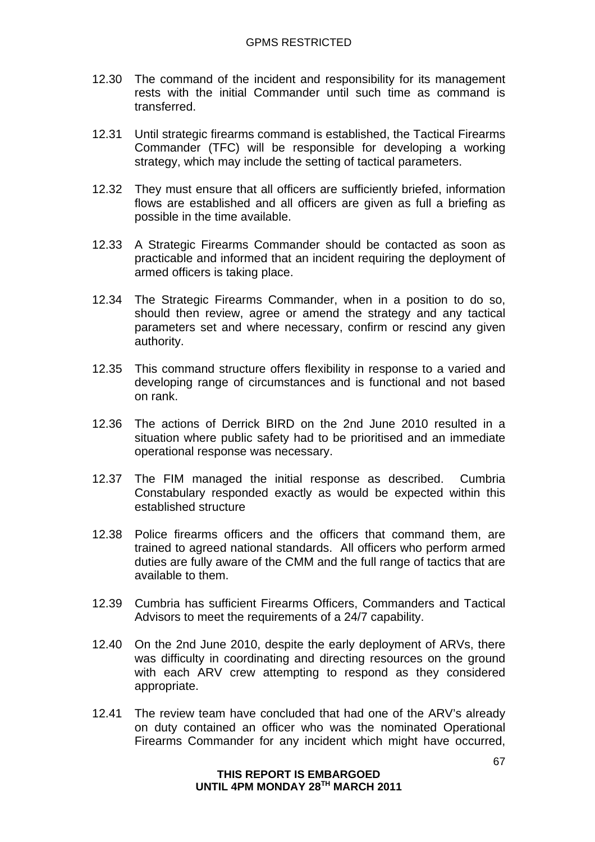- 12.30 The command of the incident and responsibility for its management rests with the initial Commander until such time as command is transferred.
- 12.31 Until strategic firearms command is established, the Tactical Firearms Commander (TFC) will be responsible for developing a working strategy, which may include the setting of tactical parameters.
- 12.32 They must ensure that all officers are sufficiently briefed, information flows are established and all officers are given as full a briefing as possible in the time available.
- 12.33 A Strategic Firearms Commander should be contacted as soon as practicable and informed that an incident requiring the deployment of armed officers is taking place.
- 12.34 The Strategic Firearms Commander, when in a position to do so, should then review, agree or amend the strategy and any tactical parameters set and where necessary, confirm or rescind any given authority.
- 12.35 This command structure offers flexibility in response to a varied and developing range of circumstances and is functional and not based on rank.
- 12.36 The actions of Derrick BIRD on the 2nd June 2010 resulted in a situation where public safety had to be prioritised and an immediate operational response was necessary.
- 12.37 The FIM managed the initial response as described. Cumbria Constabulary responded exactly as would be expected within this established structure
- 12.38 Police firearms officers and the officers that command them, are trained to agreed national standards. All officers who perform armed duties are fully aware of the CMM and the full range of tactics that are available to them.
- 12.39 Cumbria has sufficient Firearms Officers, Commanders and Tactical Advisors to meet the requirements of a 24/7 capability.
- 12.40 On the 2nd June 2010, despite the early deployment of ARVs, there was difficulty in coordinating and directing resources on the ground with each ARV crew attempting to respond as they considered appropriate.
- 12.41 The review team have concluded that had one of the ARV's already on duty contained an officer who was the nominated Operational Firearms Commander for any incident which might have occurred,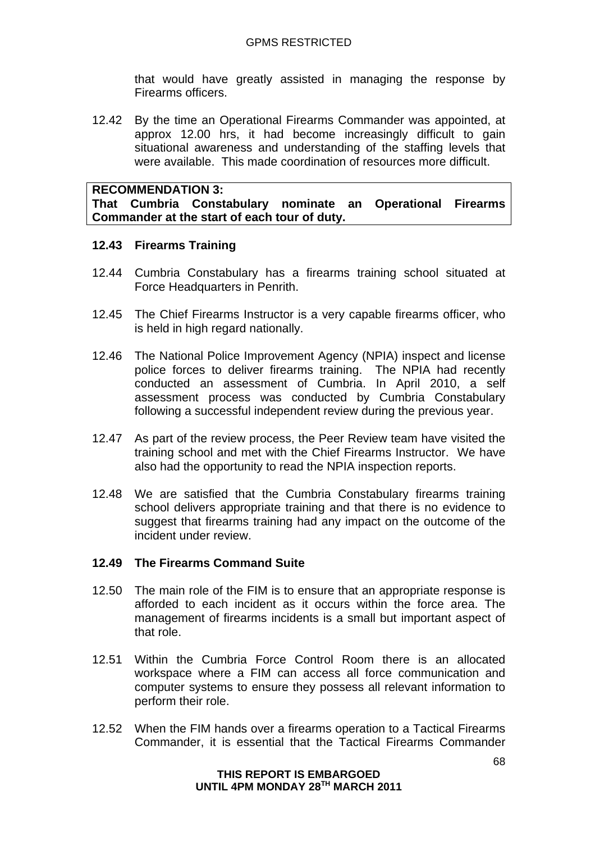that would have greatly assisted in managing the response by Firearms officers.

12.42 By the time an Operational Firearms Commander was appointed, at approx 12.00 hrs, it had become increasingly difficult to gain situational awareness and understanding of the staffing levels that were available. This made coordination of resources more difficult.

### **RECOMMENDATION 3:**

**That Cumbria Constabulary nominate an Operational Firearms Commander at the start of each tour of duty.**

#### **12.43 Firearms Training**

- 12.44 Cumbria Constabulary has a firearms training school situated at Force Headquarters in Penrith.
- 12.45 The Chief Firearms Instructor is a very capable firearms officer, who is held in high regard nationally.
- 12.46 The National Police Improvement Agency (NPIA) inspect and license police forces to deliver firearms training. The NPIA had recently conducted an assessment of Cumbria. In April 2010, a self assessment process was conducted by Cumbria Constabulary following a successful independent review during the previous year.
- 12.47 As part of the review process, the Peer Review team have visited the training school and met with the Chief Firearms Instructor. We have also had the opportunity to read the NPIA inspection reports.
- 12.48 We are satisfied that the Cumbria Constabulary firearms training school delivers appropriate training and that there is no evidence to suggest that firearms training had any impact on the outcome of the incident under review.

#### **12.49 The Firearms Command Suite**

- 12.50 The main role of the FIM is to ensure that an appropriate response is afforded to each incident as it occurs within the force area. The management of firearms incidents is a small but important aspect of that role.
- 12.51 Within the Cumbria Force Control Room there is an allocated workspace where a FIM can access all force communication and computer systems to ensure they possess all relevant information to perform their role.
- 12.52 When the FIM hands over a firearms operation to a Tactical Firearms Commander, it is essential that the Tactical Firearms Commander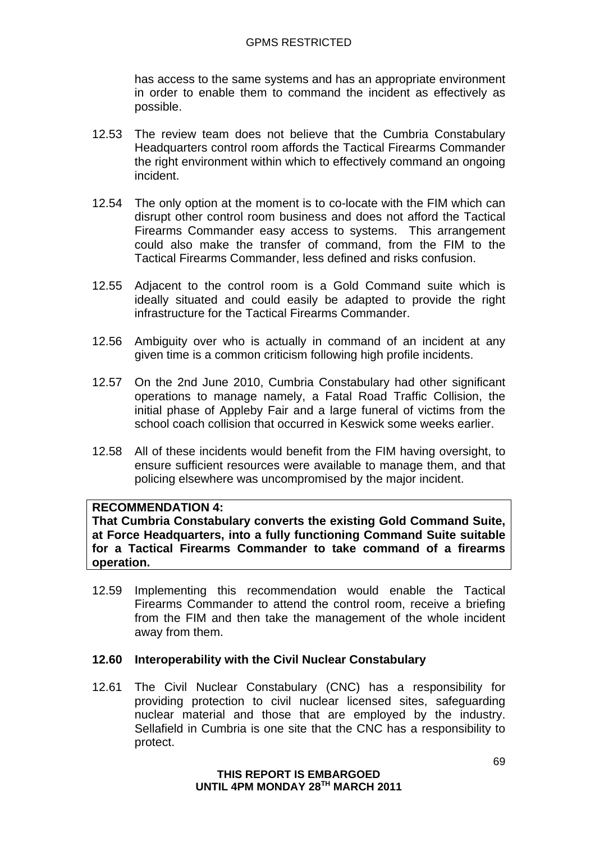has access to the same systems and has an appropriate environment in order to enable them to command the incident as effectively as possible.

- 12.53 The review team does not believe that the Cumbria Constabulary Headquarters control room affords the Tactical Firearms Commander the right environment within which to effectively command an ongoing incident.
- 12.54 The only option at the moment is to co-locate with the FIM which can disrupt other control room business and does not afford the Tactical Firearms Commander easy access to systems. This arrangement could also make the transfer of command, from the FIM to the Tactical Firearms Commander, less defined and risks confusion.
- 12.55 Adjacent to the control room is a Gold Command suite which is ideally situated and could easily be adapted to provide the right infrastructure for the Tactical Firearms Commander.
- 12.56 Ambiguity over who is actually in command of an incident at any given time is a common criticism following high profile incidents.
- 12.57 On the 2nd June 2010, Cumbria Constabulary had other significant operations to manage namely, a Fatal Road Traffic Collision, the initial phase of Appleby Fair and a large funeral of victims from the school coach collision that occurred in Keswick some weeks earlier.
- 12.58 All of these incidents would benefit from the FIM having oversight, to ensure sufficient resources were available to manage them, and that policing elsewhere was uncompromised by the major incident.

## **RECOMMENDATION 4:**

**That Cumbria Constabulary converts the existing Gold Command Suite, at Force Headquarters, into a fully functioning Command Suite suitable for a Tactical Firearms Commander to take command of a firearms operation.** 

12.59 Implementing this recommendation would enable the Tactical Firearms Commander to attend the control room, receive a briefing from the FIM and then take the management of the whole incident away from them.

## **12.60 Interoperability with the Civil Nuclear Constabulary**

12.61 The Civil Nuclear Constabulary (CNC) has a responsibility for providing protection to civil nuclear licensed sites, safeguarding nuclear material and those that are employed by the industry. Sellafield in Cumbria is one site that the CNC has a responsibility to protect.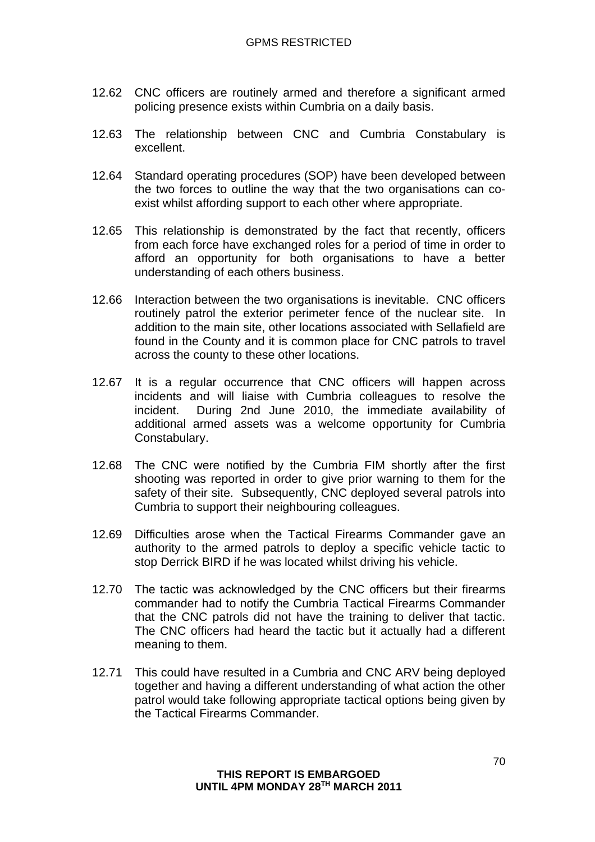- 12.62 CNC officers are routinely armed and therefore a significant armed policing presence exists within Cumbria on a daily basis.
- 12.63 The relationship between CNC and Cumbria Constabulary is excellent.
- 12.64 Standard operating procedures (SOP) have been developed between the two forces to outline the way that the two organisations can coexist whilst affording support to each other where appropriate.
- 12.65 This relationship is demonstrated by the fact that recently, officers from each force have exchanged roles for a period of time in order to afford an opportunity for both organisations to have a better understanding of each others business.
- 12.66 Interaction between the two organisations is inevitable. CNC officers routinely patrol the exterior perimeter fence of the nuclear site. In addition to the main site, other locations associated with Sellafield are found in the County and it is common place for CNC patrols to travel across the county to these other locations.
- 12.67 It is a regular occurrence that CNC officers will happen across incidents and will liaise with Cumbria colleagues to resolve the incident. During 2nd June 2010, the immediate availability of additional armed assets was a welcome opportunity for Cumbria Constabulary.
- 12.68 The CNC were notified by the Cumbria FIM shortly after the first shooting was reported in order to give prior warning to them for the safety of their site. Subsequently, CNC deployed several patrols into Cumbria to support their neighbouring colleagues.
- 12.69 Difficulties arose when the Tactical Firearms Commander gave an authority to the armed patrols to deploy a specific vehicle tactic to stop Derrick BIRD if he was located whilst driving his vehicle.
- 12.70 The tactic was acknowledged by the CNC officers but their firearms commander had to notify the Cumbria Tactical Firearms Commander that the CNC patrols did not have the training to deliver that tactic. The CNC officers had heard the tactic but it actually had a different meaning to them.
- 12.71 This could have resulted in a Cumbria and CNC ARV being deployed together and having a different understanding of what action the other patrol would take following appropriate tactical options being given by the Tactical Firearms Commander.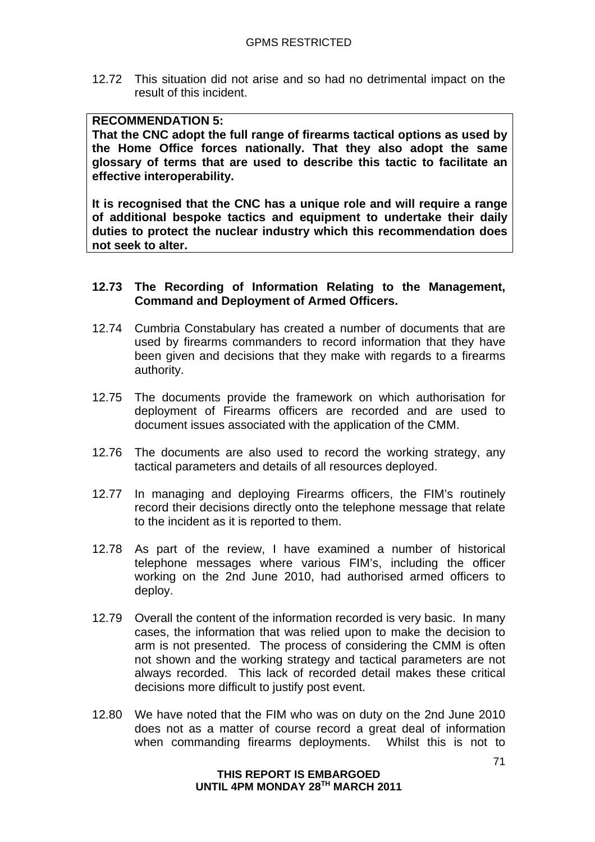12.72 This situation did not arise and so had no detrimental impact on the result of this incident.

### **RECOMMENDATION 5:**

**That the CNC adopt the full range of firearms tactical options as used by the Home Office forces nationally. That they also adopt the same glossary of terms that are used to describe this tactic to facilitate an effective interoperability.** 

**It is recognised that the CNC has a unique role and will require a range of additional bespoke tactics and equipment to undertake their daily duties to protect the nuclear industry which this recommendation does not seek to alter.** 

### **12.73 The Recording of Information Relating to the Management, Command and Deployment of Armed Officers.**

- 12.74 Cumbria Constabulary has created a number of documents that are used by firearms commanders to record information that they have been given and decisions that they make with regards to a firearms authority.
- 12.75 The documents provide the framework on which authorisation for deployment of Firearms officers are recorded and are used to document issues associated with the application of the CMM.
- 12.76 The documents are also used to record the working strategy, any tactical parameters and details of all resources deployed.
- 12.77 In managing and deploying Firearms officers, the FIM's routinely record their decisions directly onto the telephone message that relate to the incident as it is reported to them.
- 12.78 As part of the review, I have examined a number of historical telephone messages where various FIM's, including the officer working on the 2nd June 2010, had authorised armed officers to deploy.
- 12.79 Overall the content of the information recorded is very basic. In many cases, the information that was relied upon to make the decision to arm is not presented. The process of considering the CMM is often not shown and the working strategy and tactical parameters are not always recorded. This lack of recorded detail makes these critical decisions more difficult to justify post event.
- 12.80 We have noted that the FIM who was on duty on the 2nd June 2010 does not as a matter of course record a great deal of information when commanding firearms deployments. Whilst this is not to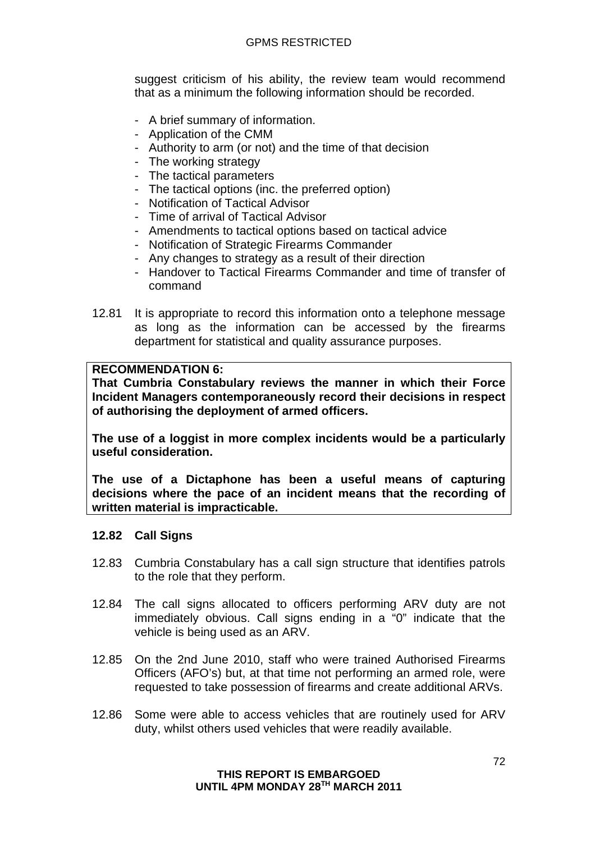### GPMS RESTRICTED

suggest criticism of his ability, the review team would recommend that as a minimum the following information should be recorded.

- A brief summary of information.
- Application of the CMM
- Authority to arm (or not) and the time of that decision
- The working strategy
- The tactical parameters
- The tactical options (inc. the preferred option)
- Notification of Tactical Advisor
- Time of arrival of Tactical Advisor
- Amendments to tactical options based on tactical advice
- Notification of Strategic Firearms Commander
- Any changes to strategy as a result of their direction
- Handover to Tactical Firearms Commander and time of transfer of command
- 12.81 It is appropriate to record this information onto a telephone message as long as the information can be accessed by the firearms department for statistical and quality assurance purposes.

## **RECOMMENDATION 6:**

**That Cumbria Constabulary reviews the manner in which their Force Incident Managers contemporaneously record their decisions in respect of authorising the deployment of armed officers.** 

**The use of a loggist in more complex incidents would be a particularly useful consideration.** 

**The use of a Dictaphone has been a useful means of capturing decisions where the pace of an incident means that the recording of written material is impracticable.**

#### **12.82 Call Signs**

- 12.83 Cumbria Constabulary has a call sign structure that identifies patrols to the role that they perform.
- 12.84 The call signs allocated to officers performing ARV duty are not immediately obvious. Call signs ending in a "0" indicate that the vehicle is being used as an ARV.
- 12.85 On the 2nd June 2010, staff who were trained Authorised Firearms Officers (AFO's) but, at that time not performing an armed role, were requested to take possession of firearms and create additional ARVs.
- 12.86 Some were able to access vehicles that are routinely used for ARV duty, whilst others used vehicles that were readily available.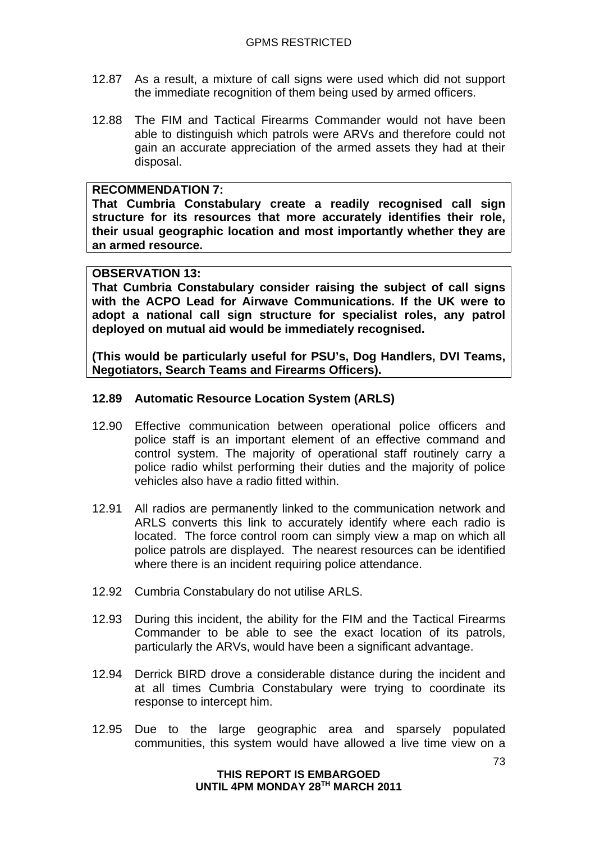- 12.87 As a result, a mixture of call signs were used which did not support the immediate recognition of them being used by armed officers.
- 12.88 The FIM and Tactical Firearms Commander would not have been able to distinguish which patrols were ARVs and therefore could not gain an accurate appreciation of the armed assets they had at their disposal.

#### **RECOMMENDATION 7:**

**That Cumbria Constabulary create a readily recognised call sign structure for its resources that more accurately identifies their role, their usual geographic location and most importantly whether they are an armed resource.** 

#### **OBSERVATION 13:**

**That Cumbria Constabulary consider raising the subject of call signs with the ACPO Lead for Airwave Communications. If the UK were to adopt a national call sign structure for specialist roles, any patrol deployed on mutual aid would be immediately recognised.** 

**(This would be particularly useful for PSU's, Dog Handlers, DVI Teams, Negotiators, Search Teams and Firearms Officers).** 

#### **12.89 Automatic Resource Location System (ARLS)**

- 12.90 Effective communication between operational police officers and police staff is an important element of an effective command and control system. The majority of operational staff routinely carry a police radio whilst performing their duties and the majority of police vehicles also have a radio fitted within.
- 12.91 All radios are permanently linked to the communication network and ARLS converts this link to accurately identify where each radio is located. The force control room can simply view a map on which all police patrols are displayed. The nearest resources can be identified where there is an incident requiring police attendance.
- 12.92 Cumbria Constabulary do not utilise ARLS.
- 12.93 During this incident, the ability for the FIM and the Tactical Firearms Commander to be able to see the exact location of its patrols, particularly the ARVs, would have been a significant advantage.
- 12.94 Derrick BIRD drove a considerable distance during the incident and at all times Cumbria Constabulary were trying to coordinate its response to intercept him.
- 12.95 Due to the large geographic area and sparsely populated communities, this system would have allowed a live time view on a

#### **THIS REPORT IS EMBARGOED UNTIL 4PM MONDAY 28TH MARCH 2011**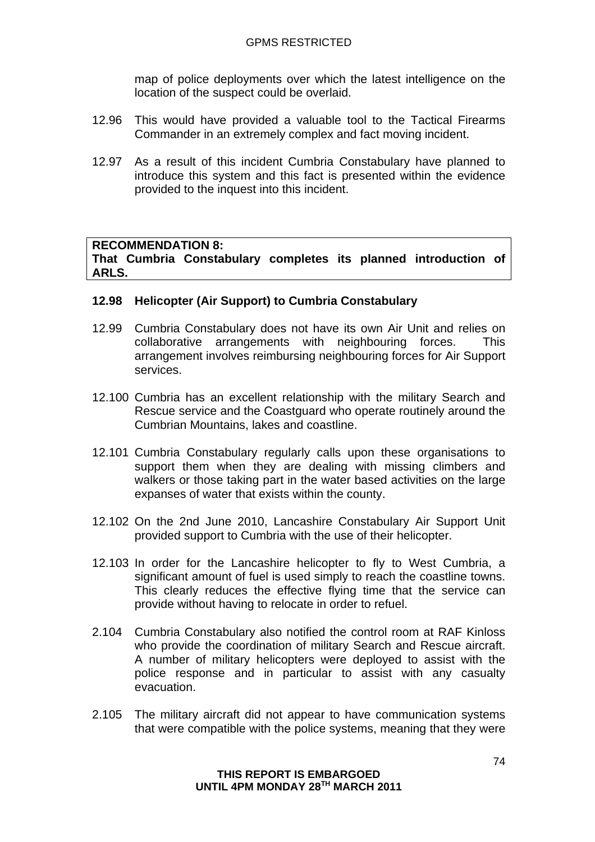map of police deployments over which the latest intelligence on the location of the suspect could be overlaid.

- 12.96 This would have provided a valuable tool to the Tactical Firearms Commander in an extremely complex and fact moving incident.
- 12.97 As a result of this incident Cumbria Constabulary have planned to introduce this system and this fact is presented within the evidence provided to the inquest into this incident.

#### **RECOMMENDATION 8:**

**That Cumbria Constabulary completes its planned introduction of ARLS.**

#### **12.98 Helicopter (Air Support) to Cumbria Constabulary**

- 12.99 Cumbria Constabulary does not have its own Air Unit and relies on collaborative arrangements with neighbouring forces. This arrangement involves reimbursing neighbouring forces for Air Support services.
- 12.100 Cumbria has an excellent relationship with the military Search and Rescue service and the Coastguard who operate routinely around the Cumbrian Mountains, lakes and coastline.
- 12.101 Cumbria Constabulary regularly calls upon these organisations to support them when they are dealing with missing climbers and walkers or those taking part in the water based activities on the large expanses of water that exists within the county.
- 12.102 On the 2nd June 2010, Lancashire Constabulary Air Support Unit provided support to Cumbria with the use of their helicopter.
- 12.103 In order for the Lancashire helicopter to fly to West Cumbria, a significant amount of fuel is used simply to reach the coastline towns. This clearly reduces the effective flying time that the service can provide without having to relocate in order to refuel.
- 2.104 Cumbria Constabulary also notified the control room at RAF Kinloss who provide the coordination of military Search and Rescue aircraft. A number of military helicopters were deployed to assist with the police response and in particular to assist with any casualty evacuation.
- 2.105 The military aircraft did not appear to have communication systems that were compatible with the police systems, meaning that they were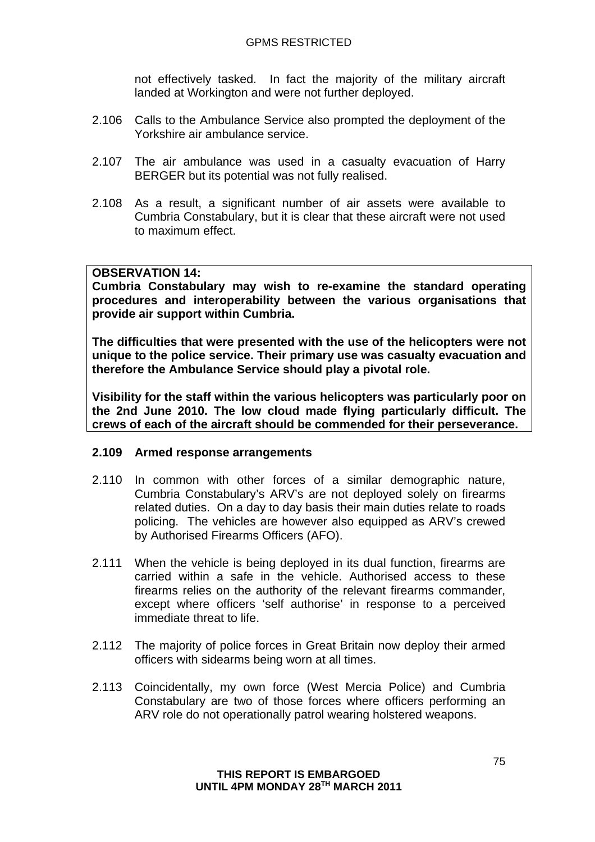not effectively tasked. In fact the majority of the military aircraft landed at Workington and were not further deployed.

- 2.106 Calls to the Ambulance Service also prompted the deployment of the Yorkshire air ambulance service.
- 2.107 The air ambulance was used in a casualty evacuation of Harry BERGER but its potential was not fully realised.
- 2.108 As a result, a significant number of air assets were available to Cumbria Constabulary, but it is clear that these aircraft were not used to maximum effect.

### **OBSERVATION 14:**

**Cumbria Constabulary may wish to re-examine the standard operating procedures and interoperability between the various organisations that provide air support within Cumbria.** 

**The difficulties that were presented with the use of the helicopters were not unique to the police service. Their primary use was casualty evacuation and therefore the Ambulance Service should play a pivotal role.** 

**Visibility for the staff within the various helicopters was particularly poor on the 2nd June 2010. The low cloud made flying particularly difficult. The crews of each of the aircraft should be commended for their perseverance.** 

#### **2.109 Armed response arrangements**

- 2.110 In common with other forces of a similar demographic nature, Cumbria Constabulary's ARV's are not deployed solely on firearms related duties. On a day to day basis their main duties relate to roads policing. The vehicles are however also equipped as ARV's crewed by Authorised Firearms Officers (AFO).
- 2.111 When the vehicle is being deployed in its dual function, firearms are carried within a safe in the vehicle. Authorised access to these firearms relies on the authority of the relevant firearms commander, except where officers 'self authorise' in response to a perceived immediate threat to life.
- 2.112 The majority of police forces in Great Britain now deploy their armed officers with sidearms being worn at all times.
- 2.113 Coincidentally, my own force (West Mercia Police) and Cumbria Constabulary are two of those forces where officers performing an ARV role do not operationally patrol wearing holstered weapons.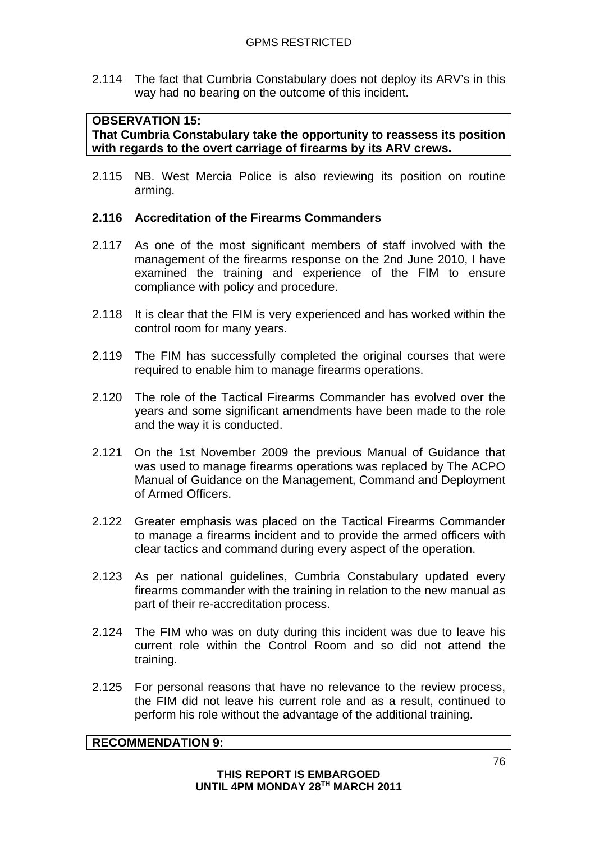#### GPMS RESTRICTED

2.114 The fact that Cumbria Constabulary does not deploy its ARV's in this way had no bearing on the outcome of this incident.

#### **OBSERVATION 15:**

**That Cumbria Constabulary take the opportunity to reassess its position with regards to the overt carriage of firearms by its ARV crews.**

2.115 NB. West Mercia Police is also reviewing its position on routine arming.

#### **2.116 Accreditation of the Firearms Commanders**

- 2.117 As one of the most significant members of staff involved with the management of the firearms response on the 2nd June 2010, I have examined the training and experience of the FIM to ensure compliance with policy and procedure.
- 2.118 It is clear that the FIM is very experienced and has worked within the control room for many years.
- 2.119 The FIM has successfully completed the original courses that were required to enable him to manage firearms operations.
- 2.120 The role of the Tactical Firearms Commander has evolved over the years and some significant amendments have been made to the role and the way it is conducted.
- 2.121 On the 1st November 2009 the previous Manual of Guidance that was used to manage firearms operations was replaced by The ACPO Manual of Guidance on the Management, Command and Deployment of Armed Officers.
- 2.122 Greater emphasis was placed on the Tactical Firearms Commander to manage a firearms incident and to provide the armed officers with clear tactics and command during every aspect of the operation.
- 2.123 As per national guidelines, Cumbria Constabulary updated every firearms commander with the training in relation to the new manual as part of their re-accreditation process.
- 2.124 The FIM who was on duty during this incident was due to leave his current role within the Control Room and so did not attend the training.
- 2.125 For personal reasons that have no relevance to the review process, the FIM did not leave his current role and as a result, continued to perform his role without the advantage of the additional training.

#### **RECOMMENDATION 9:**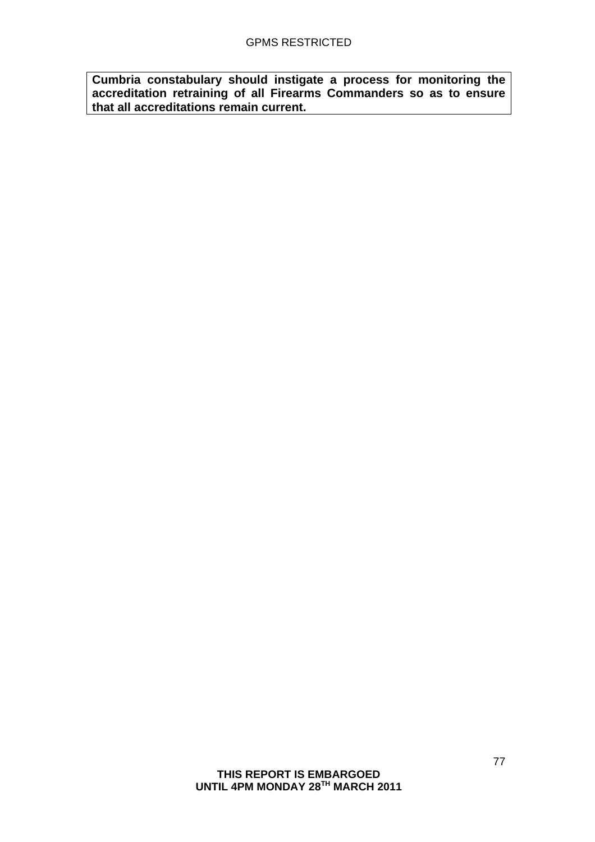**Cumbria constabulary should instigate a process for monitoring the accreditation retraining of all Firearms Commanders so as to ensure that all accreditations remain current.**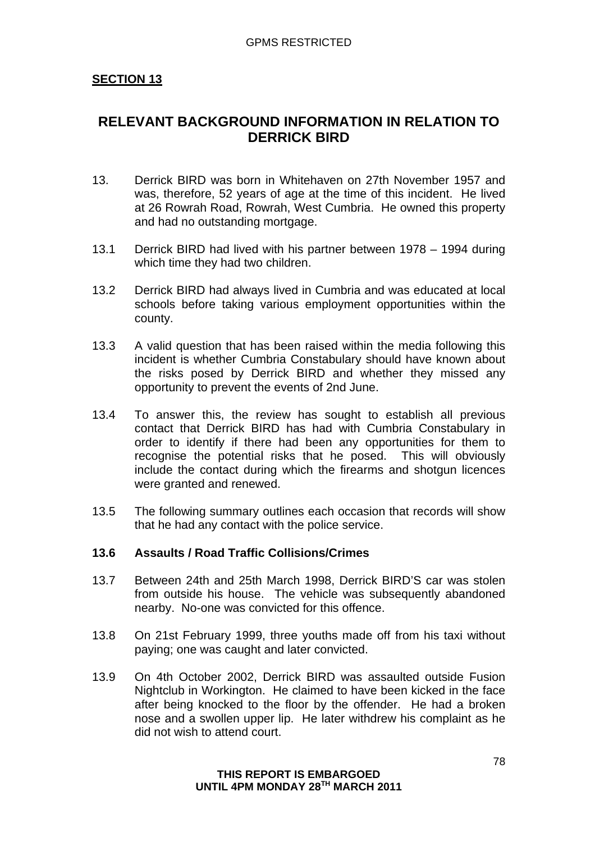### **SECTION 13**

# **RELEVANT BACKGROUND INFORMATION IN RELATION TO DERRICK BIRD**

- 13. Derrick BIRD was born in Whitehaven on 27th November 1957 and was, therefore, 52 years of age at the time of this incident. He lived at 26 Rowrah Road, Rowrah, West Cumbria. He owned this property and had no outstanding mortgage.
- 13.1 Derrick BIRD had lived with his partner between 1978 1994 during which time they had two children.
- 13.2 Derrick BIRD had always lived in Cumbria and was educated at local schools before taking various employment opportunities within the county.
- 13.3 A valid question that has been raised within the media following this incident is whether Cumbria Constabulary should have known about the risks posed by Derrick BIRD and whether they missed any opportunity to prevent the events of 2nd June.
- 13.4 To answer this, the review has sought to establish all previous contact that Derrick BIRD has had with Cumbria Constabulary in order to identify if there had been any opportunities for them to recognise the potential risks that he posed. This will obviously include the contact during which the firearms and shotgun licences were granted and renewed.
- 13.5 The following summary outlines each occasion that records will show that he had any contact with the police service.

#### **13.6 Assaults / Road Traffic Collisions/Crimes**

- 13.7 Between 24th and 25th March 1998, Derrick BIRD'S car was stolen from outside his house. The vehicle was subsequently abandoned nearby. No-one was convicted for this offence.
- 13.8 On 21st February 1999, three youths made off from his taxi without paying; one was caught and later convicted.
- 13.9 On 4th October 2002, Derrick BIRD was assaulted outside Fusion Nightclub in Workington. He claimed to have been kicked in the face after being knocked to the floor by the offender. He had a broken nose and a swollen upper lip. He later withdrew his complaint as he did not wish to attend court.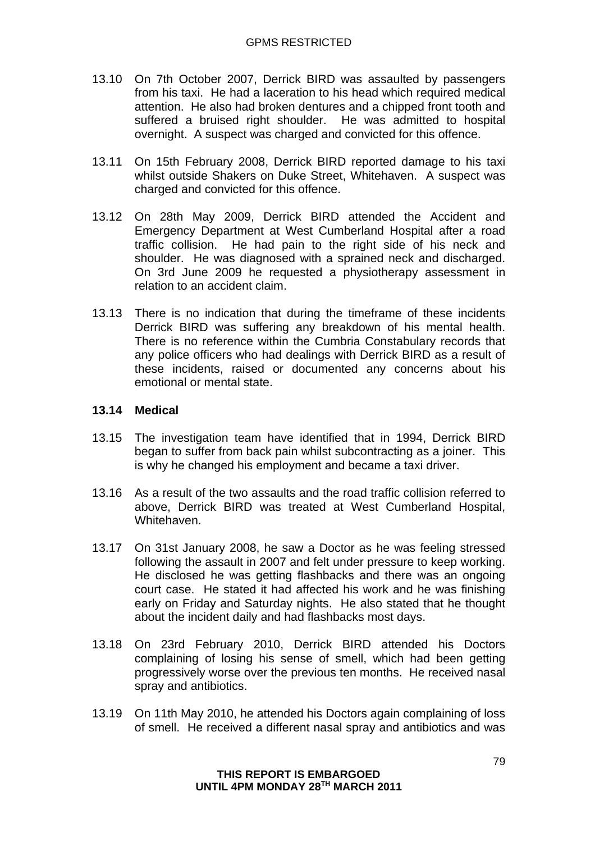- 13.10 On 7th October 2007, Derrick BIRD was assaulted by passengers from his taxi. He had a laceration to his head which required medical attention. He also had broken dentures and a chipped front tooth and suffered a bruised right shoulder. He was admitted to hospital overnight. A suspect was charged and convicted for this offence.
- 13.11 On 15th February 2008, Derrick BIRD reported damage to his taxi whilst outside Shakers on Duke Street, Whitehaven. A suspect was charged and convicted for this offence.
- 13.12 On 28th May 2009, Derrick BIRD attended the Accident and Emergency Department at West Cumberland Hospital after a road traffic collision. He had pain to the right side of his neck and shoulder. He was diagnosed with a sprained neck and discharged. On 3rd June 2009 he requested a physiotherapy assessment in relation to an accident claim.
- 13.13 There is no indication that during the timeframe of these incidents Derrick BIRD was suffering any breakdown of his mental health. There is no reference within the Cumbria Constabulary records that any police officers who had dealings with Derrick BIRD as a result of these incidents, raised or documented any concerns about his emotional or mental state.

#### **13.14 Medical**

- 13.15 The investigation team have identified that in 1994, Derrick BIRD began to suffer from back pain whilst subcontracting as a joiner. This is why he changed his employment and became a taxi driver.
- 13.16 As a result of the two assaults and the road traffic collision referred to above, Derrick BIRD was treated at West Cumberland Hospital, Whitehaven.
- 13.17 On 31st January 2008, he saw a Doctor as he was feeling stressed following the assault in 2007 and felt under pressure to keep working. He disclosed he was getting flashbacks and there was an ongoing court case. He stated it had affected his work and he was finishing early on Friday and Saturday nights. He also stated that he thought about the incident daily and had flashbacks most days.
- 13.18 On 23rd February 2010, Derrick BIRD attended his Doctors complaining of losing his sense of smell, which had been getting progressively worse over the previous ten months. He received nasal spray and antibiotics.
- 13.19 On 11th May 2010, he attended his Doctors again complaining of loss of smell. He received a different nasal spray and antibiotics and was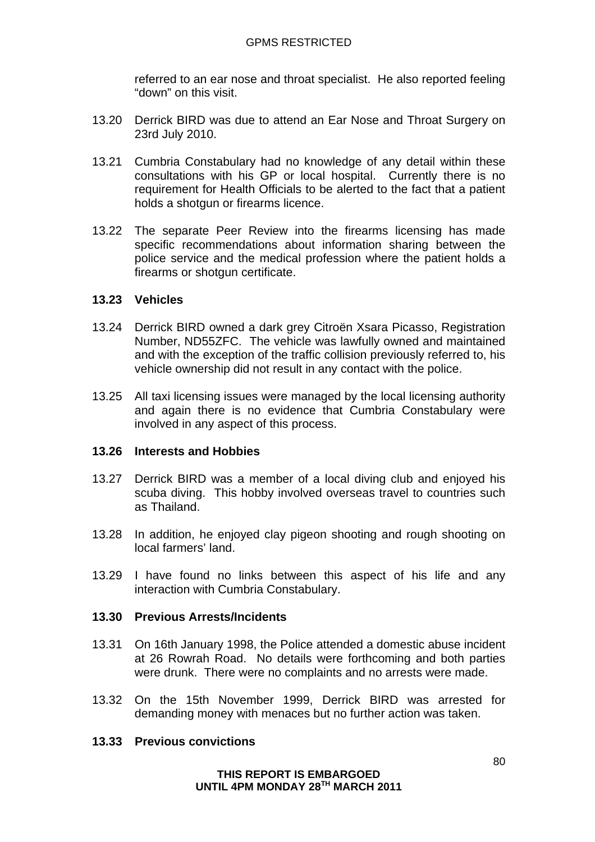referred to an ear nose and throat specialist. He also reported feeling "down" on this visit.

- 13.20 Derrick BIRD was due to attend an Ear Nose and Throat Surgery on 23rd July 2010.
- 13.21 Cumbria Constabulary had no knowledge of any detail within these consultations with his GP or local hospital. Currently there is no requirement for Health Officials to be alerted to the fact that a patient holds a shotgun or firearms licence.
- 13.22 The separate Peer Review into the firearms licensing has made specific recommendations about information sharing between the police service and the medical profession where the patient holds a firearms or shotgun certificate.

#### **13.23 Vehicles**

- 13.24 Derrick BIRD owned a dark grey Citroën Xsara Picasso, Registration Number, ND55ZFC. The vehicle was lawfully owned and maintained and with the exception of the traffic collision previously referred to, his vehicle ownership did not result in any contact with the police.
- 13.25 All taxi licensing issues were managed by the local licensing authority and again there is no evidence that Cumbria Constabulary were involved in any aspect of this process.

#### **13.26 Interests and Hobbies**

- 13.27 Derrick BIRD was a member of a local diving club and enjoyed his scuba diving. This hobby involved overseas travel to countries such as Thailand.
- 13.28 In addition, he enjoyed clay pigeon shooting and rough shooting on local farmers' land.
- 13.29 I have found no links between this aspect of his life and any interaction with Cumbria Constabulary.

#### **13.30 Previous Arrests/Incidents**

- 13.31 On 16th January 1998, the Police attended a domestic abuse incident at 26 Rowrah Road. No details were forthcoming and both parties were drunk. There were no complaints and no arrests were made.
- 13.32 On the 15th November 1999, Derrick BIRD was arrested for demanding money with menaces but no further action was taken.

#### **13.33 Previous convictions**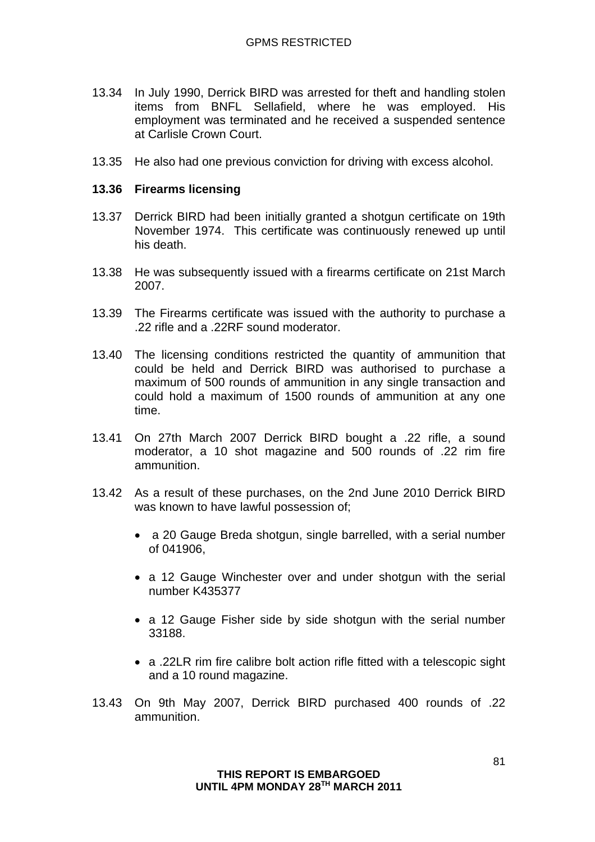- 13.34 In July 1990, Derrick BIRD was arrested for theft and handling stolen items from BNFL Sellafield, where he was employed. His employment was terminated and he received a suspended sentence at Carlisle Crown Court.
- 13.35 He also had one previous conviction for driving with excess alcohol.

#### **13.36 Firearms licensing**

- 13.37 Derrick BIRD had been initially granted a shotgun certificate on 19th November 1974. This certificate was continuously renewed up until his death.
- 13.38 He was subsequently issued with a firearms certificate on 21st March 2007.
- 13.39 The Firearms certificate was issued with the authority to purchase a .22 rifle and a .22RF sound moderator.
- 13.40 The licensing conditions restricted the quantity of ammunition that could be held and Derrick BIRD was authorised to purchase a maximum of 500 rounds of ammunition in any single transaction and could hold a maximum of 1500 rounds of ammunition at any one time.
- 13.41 On 27th March 2007 Derrick BIRD bought a .22 rifle, a sound moderator, a 10 shot magazine and 500 rounds of .22 rim fire ammunition.
- 13.42 As a result of these purchases, on the 2nd June 2010 Derrick BIRD was known to have lawful possession of;
	- a 20 Gauge Breda shotgun, single barrelled, with a serial number of 041906,
	- a 12 Gauge Winchester over and under shotgun with the serial number K435377
	- a 12 Gauge Fisher side by side shotgun with the serial number 33188.
	- a .22LR rim fire calibre bolt action rifle fitted with a telescopic sight and a 10 round magazine.
- 13.43 On 9th May 2007, Derrick BIRD purchased 400 rounds of .22 ammunition.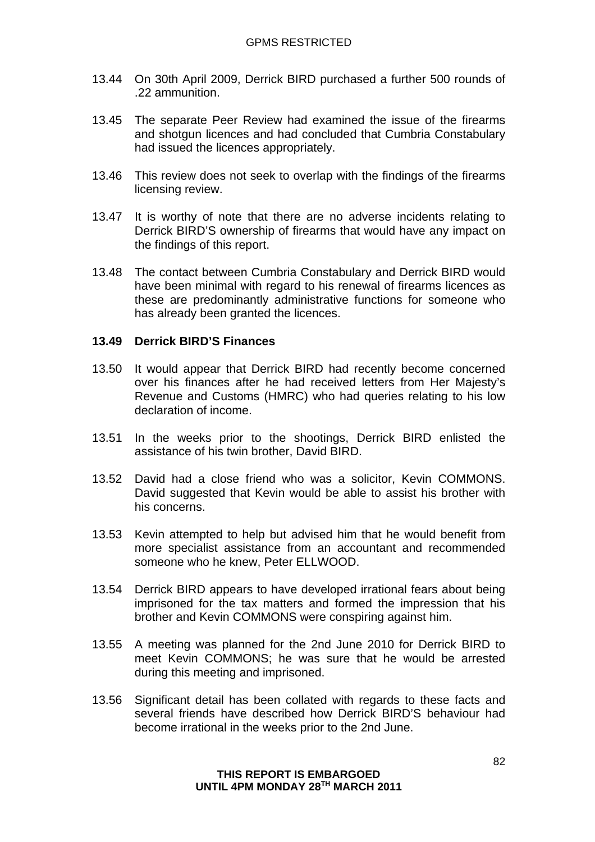- 13.44 On 30th April 2009, Derrick BIRD purchased a further 500 rounds of .22 ammunition.
- 13.45 The separate Peer Review had examined the issue of the firearms and shotgun licences and had concluded that Cumbria Constabulary had issued the licences appropriately.
- 13.46 This review does not seek to overlap with the findings of the firearms licensing review.
- 13.47 It is worthy of note that there are no adverse incidents relating to Derrick BIRD'S ownership of firearms that would have any impact on the findings of this report.
- 13.48 The contact between Cumbria Constabulary and Derrick BIRD would have been minimal with regard to his renewal of firearms licences as these are predominantly administrative functions for someone who has already been granted the licences.

#### **13.49 Derrick BIRD'S Finances**

- 13.50 It would appear that Derrick BIRD had recently become concerned over his finances after he had received letters from Her Majesty's Revenue and Customs (HMRC) who had queries relating to his low declaration of income.
- 13.51 In the weeks prior to the shootings, Derrick BIRD enlisted the assistance of his twin brother, David BIRD.
- 13.52 David had a close friend who was a solicitor, Kevin COMMONS. David suggested that Kevin would be able to assist his brother with his concerns.
- 13.53 Kevin attempted to help but advised him that he would benefit from more specialist assistance from an accountant and recommended someone who he knew, Peter ELLWOOD.
- 13.54 Derrick BIRD appears to have developed irrational fears about being imprisoned for the tax matters and formed the impression that his brother and Kevin COMMONS were conspiring against him.
- 13.55 A meeting was planned for the 2nd June 2010 for Derrick BIRD to meet Kevin COMMONS; he was sure that he would be arrested during this meeting and imprisoned.
- 13.56 Significant detail has been collated with regards to these facts and several friends have described how Derrick BIRD'S behaviour had become irrational in the weeks prior to the 2nd June.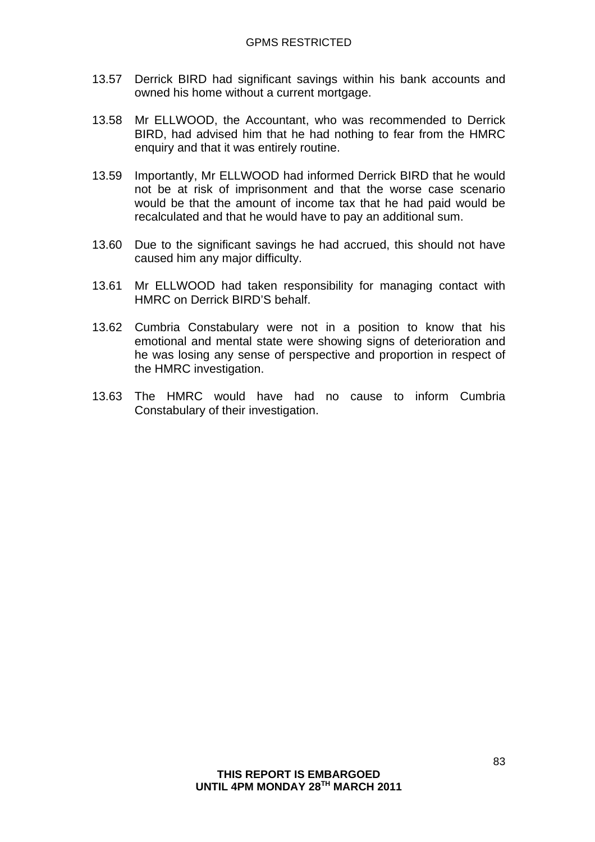- 13.57 Derrick BIRD had significant savings within his bank accounts and owned his home without a current mortgage.
- 13.58 Mr ELLWOOD, the Accountant, who was recommended to Derrick BIRD, had advised him that he had nothing to fear from the HMRC enquiry and that it was entirely routine.
- 13.59 Importantly, Mr ELLWOOD had informed Derrick BIRD that he would not be at risk of imprisonment and that the worse case scenario would be that the amount of income tax that he had paid would be recalculated and that he would have to pay an additional sum.
- 13.60 Due to the significant savings he had accrued, this should not have caused him any major difficulty.
- 13.61 Mr ELLWOOD had taken responsibility for managing contact with HMRC on Derrick BIRD'S behalf.
- 13.62 Cumbria Constabulary were not in a position to know that his emotional and mental state were showing signs of deterioration and he was losing any sense of perspective and proportion in respect of the HMRC investigation.
- 13.63 The HMRC would have had no cause to inform Cumbria Constabulary of their investigation.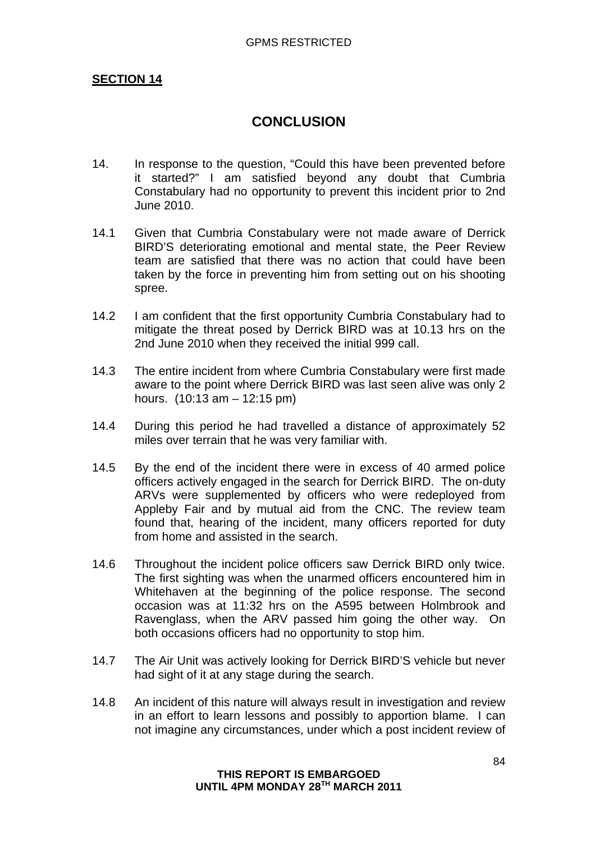### **SECTION 14**

# **CONCLUSION**

- 14. In response to the question, "Could this have been prevented before it started?" I am satisfied beyond any doubt that Cumbria Constabulary had no opportunity to prevent this incident prior to 2nd June 2010.
- 14.1 Given that Cumbria Constabulary were not made aware of Derrick BIRD'S deteriorating emotional and mental state, the Peer Review team are satisfied that there was no action that could have been taken by the force in preventing him from setting out on his shooting spree.
- 14.2 I am confident that the first opportunity Cumbria Constabulary had to mitigate the threat posed by Derrick BIRD was at 10.13 hrs on the 2nd June 2010 when they received the initial 999 call.
- 14.3 The entire incident from where Cumbria Constabulary were first made aware to the point where Derrick BIRD was last seen alive was only 2 hours. (10:13 am – 12:15 pm)
- 14.4 During this period he had travelled a distance of approximately 52 miles over terrain that he was very familiar with.
- 14.5 By the end of the incident there were in excess of 40 armed police officers actively engaged in the search for Derrick BIRD. The on-duty ARVs were supplemented by officers who were redeployed from Appleby Fair and by mutual aid from the CNC. The review team found that, hearing of the incident, many officers reported for duty from home and assisted in the search.
- 14.6 Throughout the incident police officers saw Derrick BIRD only twice. The first sighting was when the unarmed officers encountered him in Whitehaven at the beginning of the police response. The second occasion was at 11:32 hrs on the A595 between Holmbrook and Ravenglass, when the ARV passed him going the other way. On both occasions officers had no opportunity to stop him.
- 14.7 The Air Unit was actively looking for Derrick BIRD'S vehicle but never had sight of it at any stage during the search.
- 14.8 An incident of this nature will always result in investigation and review in an effort to learn lessons and possibly to apportion blame. I can not imagine any circumstances, under which a post incident review of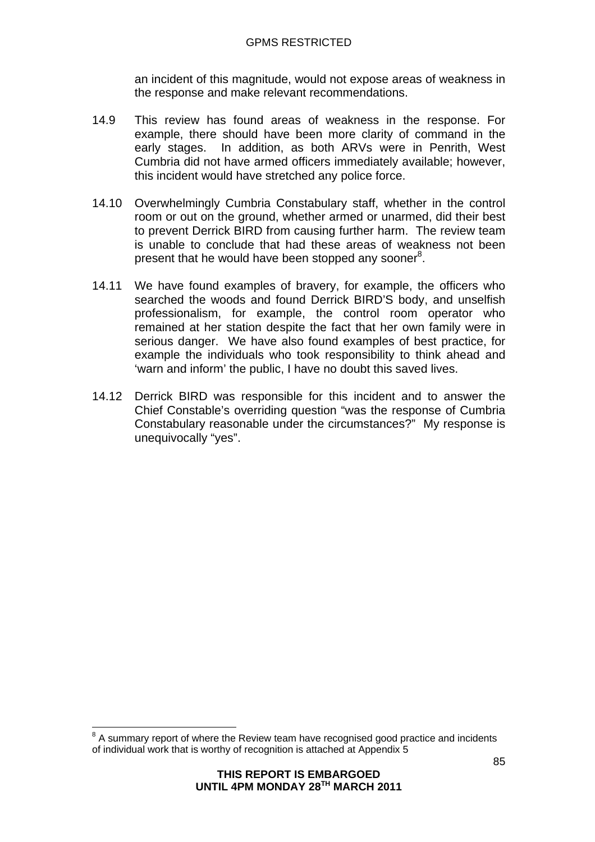#### GPMS RESTRICTED

an incident of this magnitude, would not expose areas of weakness in the response and make relevant recommendations.

- 14.9 This review has found areas of weakness in the response. For example, there should have been more clarity of command in the early stages. In addition, as both ARVs were in Penrith, West Cumbria did not have armed officers immediately available; however, this incident would have stretched any police force.
- 14.10 Overwhelmingly Cumbria Constabulary staff, whether in the control room or out on the ground, whether armed or unarmed, did their best to prevent Derrick BIRD from causing further harm. The review team is unable to conclude that had these areas of weakness not been present that he would have been stopped any sooner<sup>8</sup>.
- 14.11 We have found examples of bravery, for example, the officers who searched the woods and found Derrick BIRD'S body, and unselfish professionalism, for example, the control room operator who remained at her station despite the fact that her own family were in serious danger. We have also found examples of best practice, for example the individuals who took responsibility to think ahead and 'warn and inform' the public, I have no doubt this saved lives.
- 14.12 Derrick BIRD was responsible for this incident and to answer the Chief Constable's overriding question "was the response of Cumbria Constabulary reasonable under the circumstances?" My response is unequivocally "yes".

 $8$  A summary report of where the Review team have recognised good practice and incidents of individual work that is worthy of recognition is attached at Appendix 5